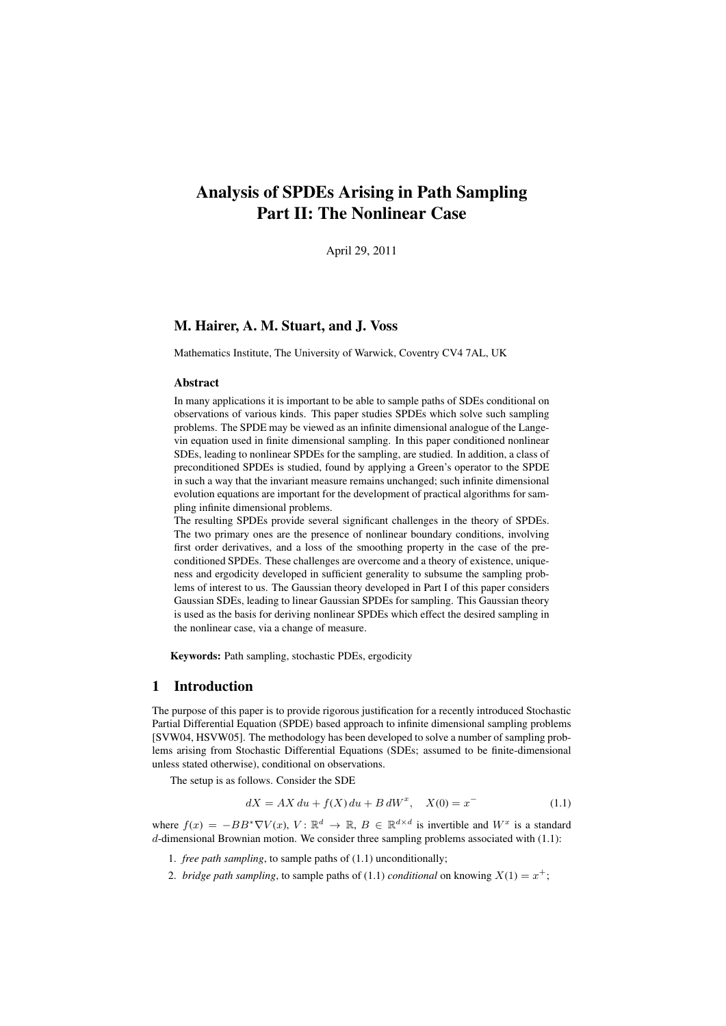# Analysis of SPDEs Arising in Path Sampling Part II: The Nonlinear Case

April 29, 2011

# M. Hairer, A. M. Stuart, and J. Voss

Mathematics Institute, The University of Warwick, Coventry CV4 7AL, UK

#### Abstract

In many applications it is important to be able to sample paths of SDEs conditional on observations of various kinds. This paper studies SPDEs which solve such sampling problems. The SPDE may be viewed as an infinite dimensional analogue of the Langevin equation used in finite dimensional sampling. In this paper conditioned nonlinear SDEs, leading to nonlinear SPDEs for the sampling, are studied. In addition, a class of preconditioned SPDEs is studied, found by applying a Green's operator to the SPDE in such a way that the invariant measure remains unchanged; such infinite dimensional evolution equations are important for the development of practical algorithms for sampling infinite dimensional problems.

The resulting SPDEs provide several significant challenges in the theory of SPDEs. The two primary ones are the presence of nonlinear boundary conditions, involving first order derivatives, and a loss of the smoothing property in the case of the preconditioned SPDEs. These challenges are overcome and a theory of existence, uniqueness and ergodicity developed in sufficient generality to subsume the sampling problems of interest to us. The Gaussian theory developed in Part I of this paper considers Gaussian SDEs, leading to linear Gaussian SPDEs for sampling. This Gaussian theory is used as the basis for deriving nonlinear SPDEs which effect the desired sampling in the nonlinear case, via a change of measure.

Keywords: Path sampling, stochastic PDEs, ergodicity

## 1 Introduction

The purpose of this paper is to provide rigorous justification for a recently introduced Stochastic Partial Differential Equation (SPDE) based approach to infinite dimensional sampling problems [SVW04, HSVW05]. The methodology has been developed to solve a number of sampling problems arising from Stochastic Differential Equations (SDEs; assumed to be finite-dimensional unless stated otherwise), conditional on observations.

The setup is as follows. Consider the SDE

$$
dX = AX\,du + f(X)\,du + B\,dW^x, \quad X(0) = x^{-}
$$
\n(1.1)

where  $f(x) = -BB^* \nabla V(x)$ ,  $V: \mathbb{R}^d \to \mathbb{R}$ ,  $B \in \mathbb{R}^{d \times d}$  is invertible and  $W^x$  is a standard  $d$ -dimensional Brownian motion. We consider three sampling problems associated with  $(1.1)$ :

1. *free path sampling*, to sample paths of (1.1) unconditionally;

2. *bridge path sampling*, to sample paths of (1.1) *conditional* on knowing  $X(1) = x^+$ ;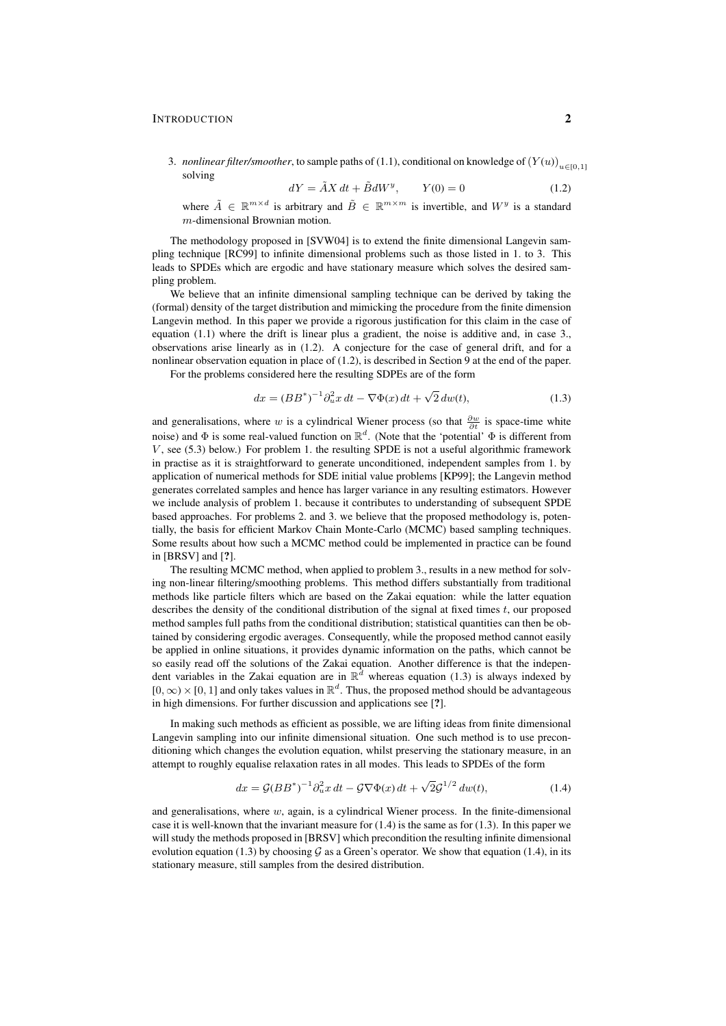#### **INTRODUCTION** 2

3. *nonlinear filter/smoother*, to sample paths of (1.1), conditional on knowledge of  $(Y(u))_{u\in[0,1]}$ solving

$$
dY = \tilde{A}X dt + \tilde{B}dW^y, \qquad Y(0) = 0 \tag{1.2}
$$

where  $\tilde{A} \in \mathbb{R}^{m \times d}$  is arbitrary and  $\tilde{B} \in \mathbb{R}^{m \times m}$  is invertible, and  $W^y$  is a standard m-dimensional Brownian motion.

The methodology proposed in [SVW04] is to extend the finite dimensional Langevin sampling technique [RC99] to infinite dimensional problems such as those listed in 1. to 3. This leads to SPDEs which are ergodic and have stationary measure which solves the desired sampling problem.

We believe that an infinite dimensional sampling technique can be derived by taking the (formal) density of the target distribution and mimicking the procedure from the finite dimension Langevin method. In this paper we provide a rigorous justification for this claim in the case of equation (1.1) where the drift is linear plus a gradient, the noise is additive and, in case 3., observations arise linearly as in (1.2). A conjecture for the case of general drift, and for a nonlinear observation equation in place of (1.2), is described in Section 9 at the end of the paper.

For the problems considered here the resulting SDPEs are of the form

$$
dx = (BB^*)^{-1} \partial_u^2 x \, dt - \nabla \Phi(x) \, dt + \sqrt{2} \, dw(t), \tag{1.3}
$$

and generalisations, where w is a cylindrical Wiener process (so that  $\frac{\partial w}{\partial t}$  is space-time white noise) and  $\Phi$  is some real-valued function on  $\mathbb{R}^d$ . (Note that the 'potential'  $\Phi$  is different from  $V$ , see (5.3) below.) For problem 1. the resulting SPDE is not a useful algorithmic framework in practise as it is straightforward to generate unconditioned, independent samples from 1. by application of numerical methods for SDE initial value problems [KP99]; the Langevin method generates correlated samples and hence has larger variance in any resulting estimators. However we include analysis of problem 1. because it contributes to understanding of subsequent SPDE based approaches. For problems 2. and 3. we believe that the proposed methodology is, potentially, the basis for efficient Markov Chain Monte-Carlo (MCMC) based sampling techniques. Some results about how such a MCMC method could be implemented in practice can be found in [BRSV] and [?].

The resulting MCMC method, when applied to problem 3., results in a new method for solving non-linear filtering/smoothing problems. This method differs substantially from traditional methods like particle filters which are based on the Zakai equation: while the latter equation describes the density of the conditional distribution of the signal at fixed times  $t$ , our proposed method samples full paths from the conditional distribution; statistical quantities can then be obtained by considering ergodic averages. Consequently, while the proposed method cannot easily be applied in online situations, it provides dynamic information on the paths, which cannot be so easily read off the solutions of the Zakai equation. Another difference is that the independent variables in the Zakai equation are in  $\mathbb{R}^d$  whereas equation (1.3) is always indexed by  $[0, \infty) \times [0, 1]$  and only takes values in  $\mathbb{R}^d$ . Thus, the proposed method should be advantageous in high dimensions. For further discussion and applications see [?].

In making such methods as efficient as possible, we are lifting ideas from finite dimensional Langevin sampling into our infinite dimensional situation. One such method is to use preconditioning which changes the evolution equation, whilst preserving the stationary measure, in an attempt to roughly equalise relaxation rates in all modes. This leads to SPDEs of the form

$$
dx = \mathcal{G}(BB^*)^{-1}\partial_u^2 x \, dt - \mathcal{G}\nabla\Phi(x) \, dt + \sqrt{2}\mathcal{G}^{1/2} \, dw(t),\tag{1.4}
$$

and generalisations, where  $w$ , again, is a cylindrical Wiener process. In the finite-dimensional case it is well-known that the invariant measure for  $(1.4)$  is the same as for  $(1.3)$ . In this paper we will study the methods proposed in [BRSV] which precondition the resulting infinite dimensional evolution equation (1.3) by choosing G as a Green's operator. We show that equation (1.4), in its stationary measure, still samples from the desired distribution.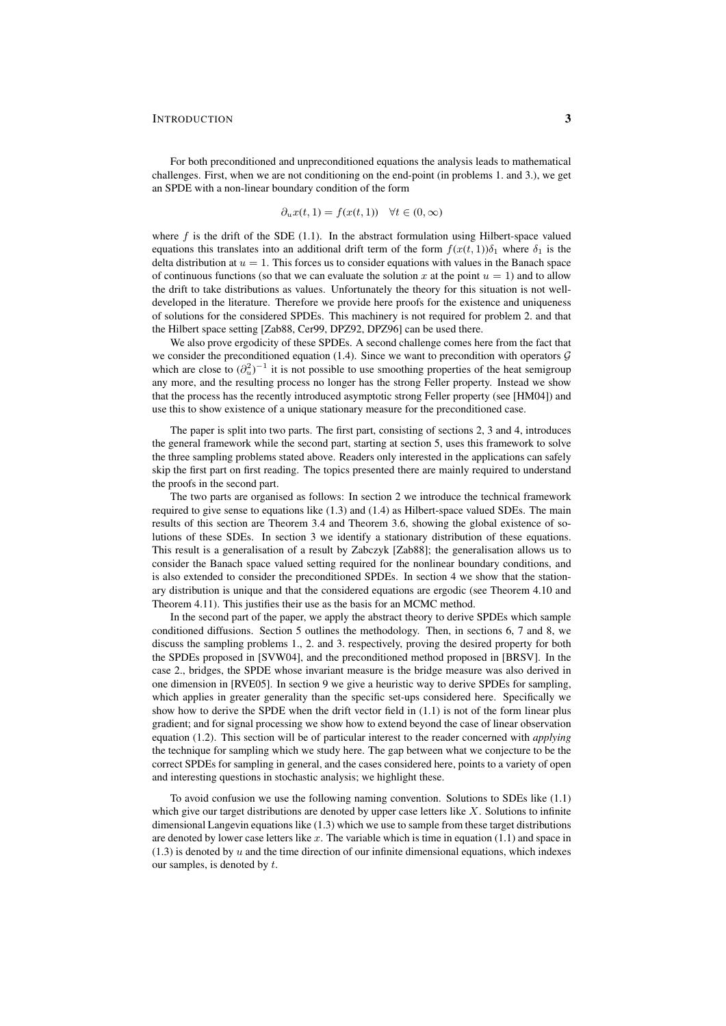#### INTRODUCTION 3

For both preconditioned and unpreconditioned equations the analysis leads to mathematical challenges. First, when we are not conditioning on the end-point (in problems 1. and 3.), we get an SPDE with a non-linear boundary condition of the form

$$
\partial_u x(t,1) = f(x(t,1)) \quad \forall t \in (0,\infty)
$$

where  $f$  is the drift of the SDE (1.1). In the abstract formulation using Hilbert-space valued equations this translates into an additional drift term of the form  $f(x(t, 1))\delta_1$  where  $\delta_1$  is the delta distribution at  $u = 1$ . This forces us to consider equations with values in the Banach space of continuous functions (so that we can evaluate the solution x at the point  $u = 1$ ) and to allow the drift to take distributions as values. Unfortunately the theory for this situation is not welldeveloped in the literature. Therefore we provide here proofs for the existence and uniqueness of solutions for the considered SPDEs. This machinery is not required for problem 2. and that the Hilbert space setting [Zab88, Cer99, DPZ92, DPZ96] can be used there.

We also prove ergodicity of these SPDEs. A second challenge comes here from the fact that we consider the preconditioned equation (1.4). Since we want to precondition with operators  $\mathcal G$ which are close to  $(\partial_u^2)^{-1}$  it is not possible to use smoothing properties of the heat semigroup any more, and the resulting process no longer has the strong Feller property. Instead we show that the process has the recently introduced asymptotic strong Feller property (see [HM04]) and use this to show existence of a unique stationary measure for the preconditioned case.

The paper is split into two parts. The first part, consisting of sections 2, 3 and 4, introduces the general framework while the second part, starting at section 5, uses this framework to solve the three sampling problems stated above. Readers only interested in the applications can safely skip the first part on first reading. The topics presented there are mainly required to understand the proofs in the second part.

The two parts are organised as follows: In section 2 we introduce the technical framework required to give sense to equations like (1.3) and (1.4) as Hilbert-space valued SDEs. The main results of this section are Theorem 3.4 and Theorem 3.6, showing the global existence of solutions of these SDEs. In section 3 we identify a stationary distribution of these equations. This result is a generalisation of a result by Zabczyk [Zab88]; the generalisation allows us to consider the Banach space valued setting required for the nonlinear boundary conditions, and is also extended to consider the preconditioned SPDEs. In section 4 we show that the stationary distribution is unique and that the considered equations are ergodic (see Theorem 4.10 and Theorem 4.11). This justifies their use as the basis for an MCMC method.

In the second part of the paper, we apply the abstract theory to derive SPDEs which sample conditioned diffusions. Section 5 outlines the methodology. Then, in sections 6, 7 and 8, we discuss the sampling problems 1., 2. and 3. respectively, proving the desired property for both the SPDEs proposed in [SVW04], and the preconditioned method proposed in [BRSV]. In the case 2., bridges, the SPDE whose invariant measure is the bridge measure was also derived in one dimension in [RVE05]. In section 9 we give a heuristic way to derive SPDEs for sampling, which applies in greater generality than the specific set-ups considered here. Specifically we show how to derive the SPDE when the drift vector field in (1.1) is not of the form linear plus gradient; and for signal processing we show how to extend beyond the case of linear observation equation (1.2). This section will be of particular interest to the reader concerned with *applying* the technique for sampling which we study here. The gap between what we conjecture to be the correct SPDEs for sampling in general, and the cases considered here, points to a variety of open and interesting questions in stochastic analysis; we highlight these.

To avoid confusion we use the following naming convention. Solutions to SDEs like (1.1) which give our target distributions are denoted by upper case letters like  $X$ . Solutions to infinite dimensional Langevin equations like (1.3) which we use to sample from these target distributions are denoted by lower case letters like  $x$ . The variable which is time in equation (1.1) and space in  $(1.3)$  is denoted by u and the time direction of our infinite dimensional equations, which indexes our samples, is denoted by t.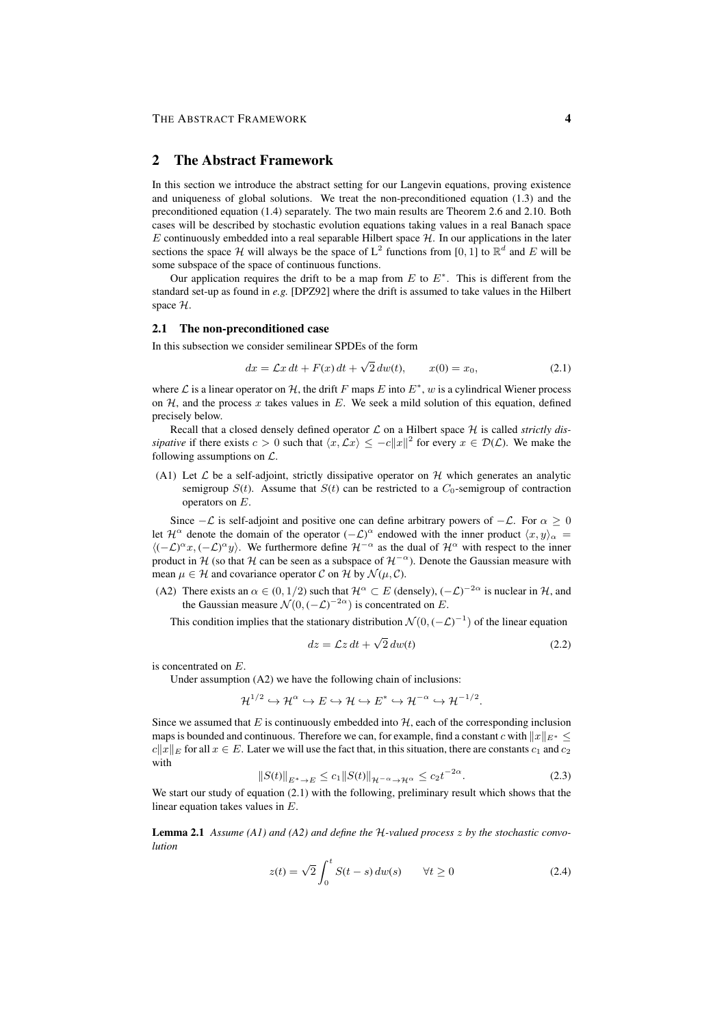### 2 The Abstract Framework

In this section we introduce the abstract setting for our Langevin equations, proving existence and uniqueness of global solutions. We treat the non-preconditioned equation (1.3) and the preconditioned equation (1.4) separately. The two main results are Theorem 2.6 and 2.10. Both cases will be described by stochastic evolution equations taking values in a real Banach space  $E$  continuously embedded into a real separable Hilbert space  $H$ . In our applications in the later sections the space H will always be the space of  $L^2$  functions from [0, 1] to  $\mathbb{R}^d$  and E will be some subspace of the space of continuous functions.

Our application requires the drift to be a map from  $E$  to  $E^*$ . This is different from the standard set-up as found in *e.g.* [DPZ92] where the drift is assumed to take values in the Hilbert space H.

### 2.1 The non-preconditioned case

In this subsection we consider semilinear SPDEs of the form

$$
dx = \mathcal{L}x dt + F(x) dt + \sqrt{2} dw(t), \qquad x(0) = x_0,
$$
\n(2.1)

where  $\mathcal L$  is a linear operator on  $\mathcal H$ , the drift F maps E into  $E^*$ , w is a cylindrical Wiener process on  $H$ , and the process x takes values in E. We seek a mild solution of this equation, defined precisely below.

Recall that a closed densely defined operator  $\mathcal L$  on a Hilbert space  $\mathcal H$  is called *strictly dissipative* if there exists  $c > 0$  such that  $\langle x, \mathcal{L}x \rangle \leq -c||x||^2$  for every  $x \in \mathcal{D}(\mathcal{L})$ . We make the following assumptions on  $\mathcal{L}$ .

(A1) Let  $\mathcal L$  be a self-adjoint, strictly dissipative operator on  $\mathcal H$  which generates an analytic semigroup  $S(t)$ . Assume that  $S(t)$  can be restricted to a  $C_0$ -semigroup of contraction operators on E.

Since  $-\mathcal{L}$  is self-adjoint and positive one can define arbitrary powers of  $-\mathcal{L}$ . For  $\alpha \ge 0$ let  $\mathcal{H}^{\alpha}$  denote the domain of the operator  $(-\mathcal{L})^{\alpha}$  endowed with the inner product  $\langle x, y \rangle_{\alpha} =$  $\langle (-\mathcal{L})^{\alpha} x, (-\mathcal{L})^{\alpha} y \rangle$ . We furthermore define  $\mathcal{H}^{-\alpha}$  as the dual of  $\mathcal{H}^{\alpha}$  with respect to the inner product in H (so that H can be seen as a subspace of  $H^{-\alpha}$ ). Denote the Gaussian measure with mean  $\mu \in \mathcal{H}$  and covariance operator C on H by  $\mathcal{N}(\mu, \mathcal{C})$ .

(A2) There exists an  $\alpha \in (0, 1/2)$  such that  $\mathcal{H}^{\alpha} \subset E$  (densely),  $(-\mathcal{L})^{-2\alpha}$  is nuclear in  $\mathcal{H}$ , and the Gaussian measure  $\mathcal{N}(0, (-\mathcal{L})^{-2\alpha})$  is concentrated on E.

This condition implies that the stationary distribution  $\mathcal{N}(0, (-\mathcal{L})^{-1})$  of the linear equation

$$
dz = \mathcal{L}z dt + \sqrt{2} dw(t)
$$
 (2.2)

is concentrated on E.

Under assumption (A2) we have the following chain of inclusions:

 $\mathcal{H}^{1/2} \hookrightarrow \mathcal{H}^{\alpha} \hookrightarrow E \hookrightarrow \mathcal{H} \hookrightarrow \mathcal{H}^{-1} \xrightarrow{\alpha} \hookrightarrow \mathcal{H}^{-1/2}.$ 

Since we assumed that  $E$  is continuously embedded into  $H$ , each of the corresponding inclusion maps is bounded and continuous. Therefore we can, for example, find a constant c with  $||x||_{E^*} <$  $c||x||_E$  for all  $x \in E$ . Later we will use the fact that, in this situation, there are constants  $c_1$  and  $c_2$ with

$$
||S(t)||_{E^* \to E} \le c_1 ||S(t)||_{\mathcal{H}^{-\alpha} \to \mathcal{H}^{\alpha}} \le c_2 t^{-2\alpha}.
$$
 (2.3)

We start our study of equation (2.1) with the following, preliminary result which shows that the linear equation takes values in E.

Lemma 2.1 *Assume (A1) and (A2) and define the* H*-valued process* z *by the stochastic convolution*

$$
z(t) = \sqrt{2} \int_0^t S(t - s) \, dw(s) \qquad \forall t \ge 0 \tag{2.4}
$$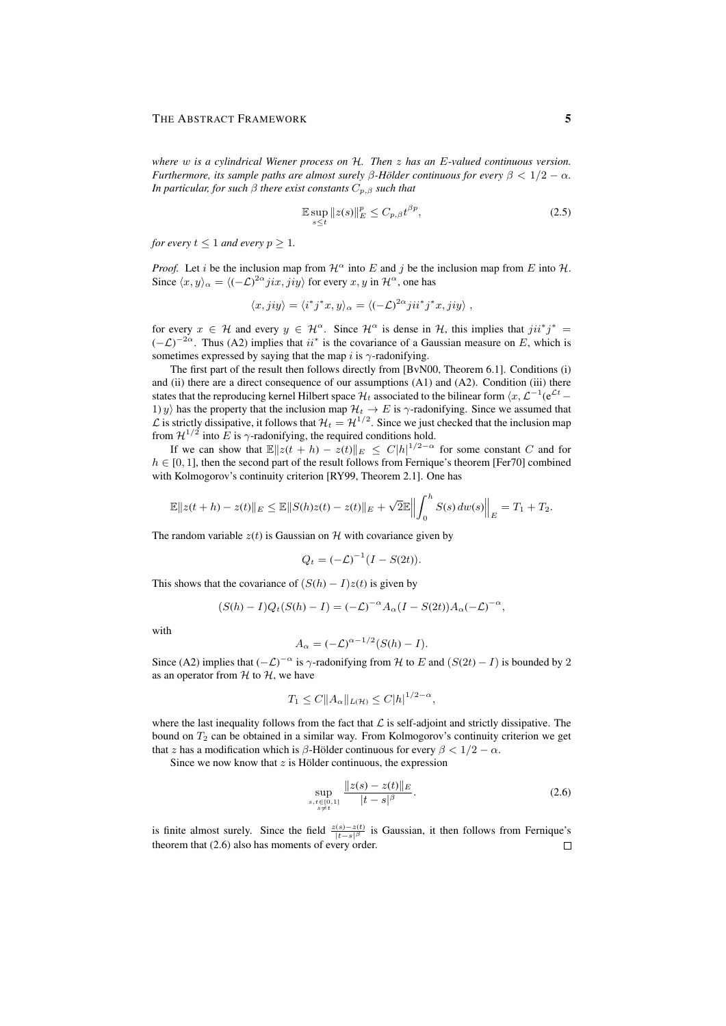*where* w *is a cylindrical Wiener process on* H*. Then* z *has an* E*-valued continuous version. Furthermore, its sample paths are almost surely*  $\beta$ -Hölder continuous for every  $\beta < 1/2 - \alpha$ . *In particular, for such*  $\beta$  *there exist constants*  $C_{p,\beta}$  *such that* 

$$
\mathbb{E}\sup_{s\leq t}||z(s)||_{E}^{p}\leq C_{p,\beta}t^{\beta p},\tag{2.5}
$$

*for every*  $t \leq 1$  *and every*  $p \geq 1$ *.* 

*Proof.* Let i be the inclusion map from  $\mathcal{H}^{\alpha}$  into E and j be the inclusion map from E into H. Since  $\langle x, y \rangle_{\alpha} = \langle (-\mathcal{L})^{2\alpha} jix, jiy \rangle$  for every  $x, y$  in  $\mathcal{H}^{\alpha}$ , one has

$$
\langle x, jiy \rangle = \langle i^*j^*x, y \rangle_\alpha = \langle (-\mathcal{L})^{2\alpha}jii^*j^*x, jiy \rangle,
$$

for every  $x \in \mathcal{H}$  and every  $y \in \mathcal{H}^{\alpha}$ . Since  $\mathcal{H}^{\alpha}$  is dense in H, this implies that  $jii^*j^* =$  $(-\mathcal{L})^{-2\alpha}$ . Thus (A2) implies that  $ii^*$  is the covariance of a Gaussian measure on E, which is sometimes expressed by saying that the map i is  $\gamma$ -radonifying.

The first part of the result then follows directly from [BvN00, Theorem 6.1]. Conditions (i) and (ii) there are a direct consequence of our assumptions  $(A1)$  and  $(A2)$ . Condition (iii) there states that the reproducing kernel Hilbert space  $\mathcal{H}_t$  associated to the bilinear form  $\langle x, \mathcal{L}^{-1}(e^{\mathcal{L}t}-$ 1) y) has the property that the inclusion map  $\mathcal{H}_t \to E$  is  $\gamma$ -radonifying. Since we assumed that  $\mathcal L$  is strictly dissipative, it follows that  $\mathcal H_t = \mathcal H^{1/2}$ . Since we just checked that the inclusion map from  $\mathcal{H}^{1/2}$  into E is  $\gamma$ -radonifying, the required conditions hold.

If we can show that  $\mathbb{E}||z(t+h) - z(t)||_E \leq C|h|^{1/2-\alpha}$  for some constant C and for  $h \in [0, 1]$ , then the second part of the result follows from Fernique's theorem [Fer70] combined with Kolmogorov's continuity criterion [RY99, Theorem 2.1]. One has

$$
\mathbb{E}||z(t+h)-z(t)||_E \leq \mathbb{E}||S(h)z(t)-z(t)||_E + \sqrt{2}\mathbb{E}||\int_0^h S(s) dw(s)||_E = T_1 + T_2.
$$

The random variable  $z(t)$  is Gaussian on H with covariance given by

$$
Q_t = \left(-\mathcal{L}\right)^{-1} \left(I - S(2t)\right).
$$

This shows that the covariance of  $(S(h) - I)z(t)$  is given by

$$
(S(h) - I)Q_t(S(h) - I) = (-\mathcal{L})^{-\alpha} A_{\alpha} (I - S(2t)) A_{\alpha} (-\mathcal{L})^{-\alpha},
$$

with

$$
A_{\alpha} = (-\mathcal{L})^{\alpha - 1/2} (S(h) - I).
$$

Since (A2) implies that  $(-\mathcal{L})^{-\alpha}$  is  $\gamma$ -radonifying from H to E and  $(S(2t) - I)$  is bounded by 2 as an operator from  $H$  to  $H$ , we have

$$
T_1 \le C \|A_{\alpha}\|_{L(\mathcal{H})} \le C |h|^{1/2 - \alpha},
$$

where the last inequality follows from the fact that  $\mathcal L$  is self-adjoint and strictly dissipative. The bound on  $T_2$  can be obtained in a similar way. From Kolmogorov's continuity criterion we get that z has a modification which is  $\beta$ -Hölder continuous for every  $\beta < 1/2 - \alpha$ .

Since we now know that  $z$  is Hölder continuous, the expression

$$
\sup_{\substack{s,t \in [0,1] \\ s \neq t}} \frac{\|z(s) - z(t)\|_E}{|t - s|^\beta}.
$$
\n(2.6)

is finite almost surely. Since the field  $\frac{z(s)-z(t)}{|t-s|^\beta}$  is Gaussian, it then follows from Fernique's theorem that (2.6) also has moments of every order.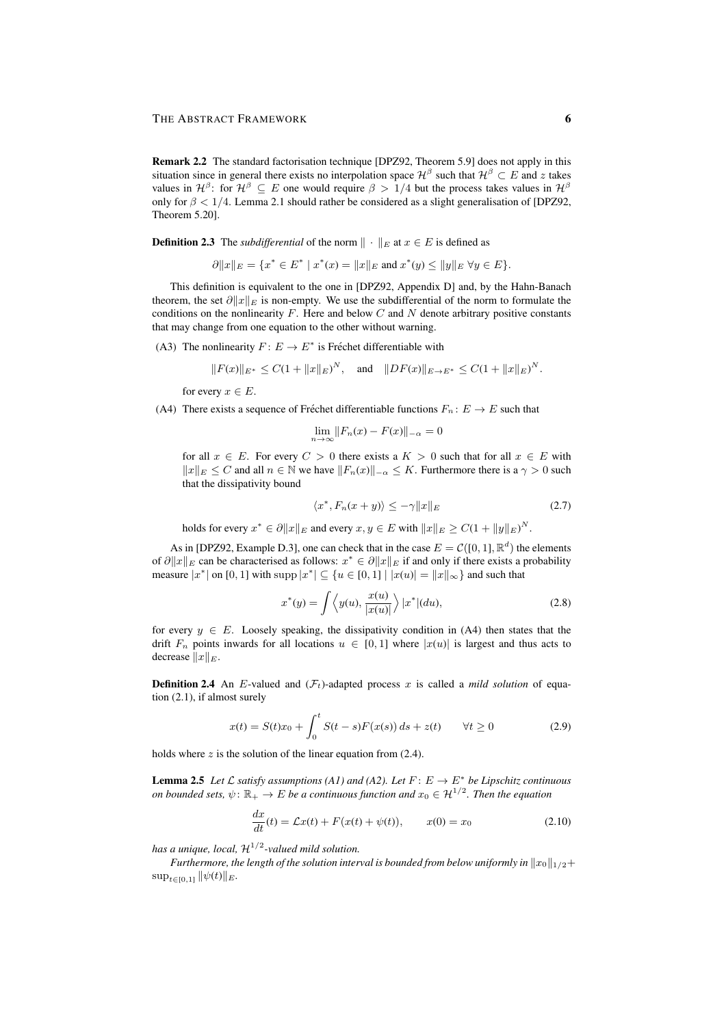Remark 2.2 The standard factorisation technique [DPZ92, Theorem 5.9] does not apply in this situation since in general there exists no interpolation space  $\mathcal{H}^{\beta}$  such that  $\mathcal{H}^{\beta} \subset E$  and z takes values in  $\mathcal{H}^{\beta}$ : for  $\mathcal{H}^{\beta} \subseteq E$  one would require  $\beta > 1/4$  but the process takes values in  $\mathcal{H}^{\beta}$ only for  $\beta < 1/4$ . Lemma 2.1 should rather be considered as a slight generalisation of [DPZ92, Theorem 5.20].

**Definition 2.3** The *subdifferential* of the norm  $\|\cdot\|_E$  at  $x \in E$  is defined as

$$
\partial ||x||_E = \{x^* \in E^* \mid x^*(x) = ||x||_E \text{ and } x^*(y) \le ||y||_E \,\forall y \in E\}.
$$

This definition is equivalent to the one in [DPZ92, Appendix D] and, by the Hahn-Banach theorem, the set  $\partial ||x||_E$  is non-empty. We use the subdifferential of the norm to formulate the conditions on the nonlinearity  $F$ . Here and below  $C$  and  $N$  denote arbitrary positive constants that may change from one equation to the other without warning.

(A3) The nonlinearity  $F: E \to E^*$  is Fréchet differentiable with

$$
||F(x)||_{E^*} \leq C(1+||x||_E)^N
$$
, and  $||DF(x)||_{E\to E^*} \leq C(1+||x||_E)^N$ .

for every  $x \in E$ .

(A4) There exists a sequence of Fréchet differentiable functions  $F_n : E \to E$  such that

$$
\lim_{n \to \infty} ||F_n(x) - F(x)||_{-\alpha} = 0
$$

for all  $x \in E$ . For every  $C > 0$  there exists a  $K > 0$  such that for all  $x \in E$  with  $||x||_E \leq C$  and all  $n \in \mathbb{N}$  we have  $||F_n(x)||_{-\alpha} \leq K$ . Furthermore there is a  $\gamma > 0$  such that the dissipativity bound

$$
\langle x^*, F_n(x+y) \rangle \le -\gamma \|x\|_E \tag{2.7}
$$

holds for every  $x^* \in \partial ||x||_E$  and every  $x, y \in E$  with  $||x||_E \geq C(1 + ||y||_E)^N$ .

As in [DPZ92, Example D.3], one can check that in the case  $E = \mathcal{C}([0, 1], \mathbb{R}^d)$  the elements of  $\partial ||x||_E$  can be characterised as follows:  $x^* \in \partial ||x||_E$  if and only if there exists a probability measure  $|x^*|$  on [0, 1] with supp  $|x^*| \subseteq \{u \in [0,1] \mid |x(u)| = ||x||_{\infty}\}$  and such that

$$
x^*(y) = \int \left\langle y(u), \frac{x(u)}{|x(u)|} \right\rangle |x^*|(du),\tag{2.8}
$$

for every  $y \in E$ . Loosely speaking, the dissipativity condition in (A4) then states that the drift  $F_n$  points inwards for all locations  $u \in [0,1]$  where  $|x(u)|$  is largest and thus acts to decrease  $||x||_E$ .

**Definition 2.4** An E-valued and  $(F_t)$ -adapted process x is called a *mild solution* of equation (2.1), if almost surely

$$
x(t) = S(t)x_0 + \int_0^t S(t - s)F(x(s)) ds + z(t) \qquad \forall t \ge 0
$$
 (2.9)

holds where  $z$  is the solution of the linear equation from (2.4).

**Lemma 2.5** Let  $\mathcal L$  *satisfy assumptions (A1) and (A2). Let*  $F: E \to E^*$  *be Lipschitz continuous on bounded sets,*  $\psi \colon \mathbb{R}_+ \to E$  *be a continuous function and*  $x_0 \in \mathcal{H}^{1/2}$ *. Then the equation* 

$$
\frac{dx}{dt}(t) = \mathcal{L}x(t) + F(x(t) + \psi(t)), \qquad x(0) = x_0 \tag{2.10}
$$

has a unique, local,  $\mathcal{H}^{1/2}$ -valued mild solution.

*Furthermore, the length of the solution interval is bounded from below uniformly in*  $||x_0||_{1/2}+$  $\sup_{t\in[0,1]} ||\psi(t)||_E.$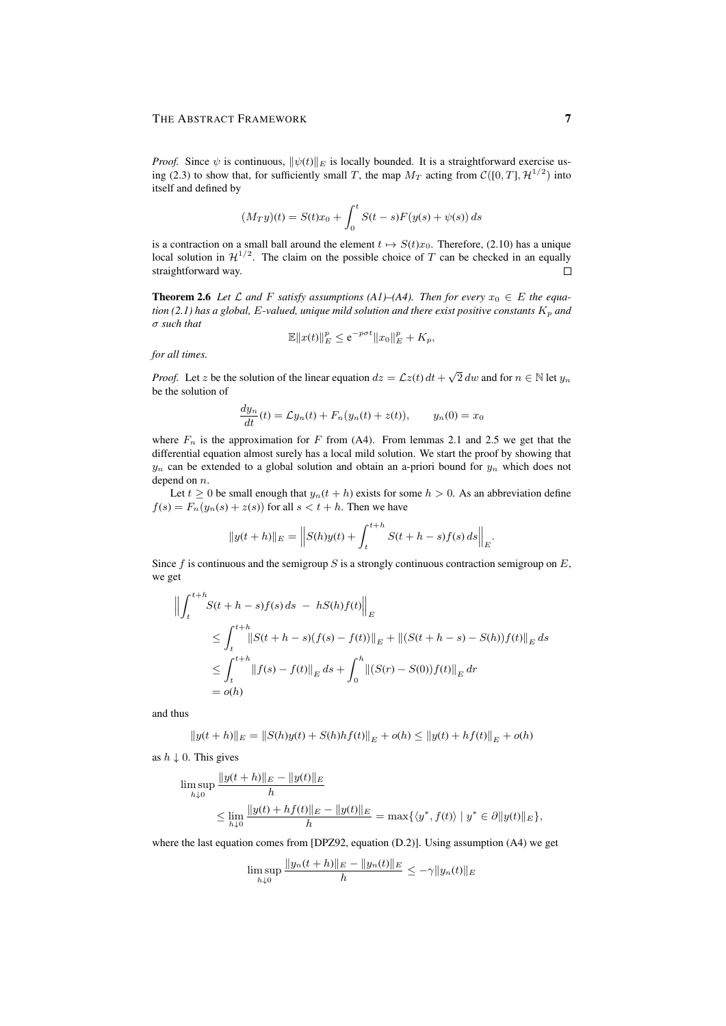### THE ABSTRACT FRAMEWORK 7

*Proof.* Since  $\psi$  is continuous,  $\|\psi(t)\|_E$  is locally bounded. It is a straightforward exercise using (2.3) to show that, for sufficiently small T, the map  $M_T$  acting from  $\mathcal{C}([0,T], \mathcal{H}^{1/2})$  into itself and defined by

$$
(M_T y)(t) = S(t)x_0 + \int_0^t S(t - s)F(y(s) + \psi(s)) ds
$$

is a contraction on a small ball around the element  $t \mapsto S(t)x_0$ . Therefore, (2.10) has a unique local solution in  $\mathcal{H}^{1/2}$ . The claim on the possible choice of T can be checked in an equally straightforward way.  $\Box$ 

**Theorem 2.6** Let L and F satisfy assumptions (A1)–(A4). Then for every  $x_0 \in E$  the equa*tion* (2.1) has a global, E-valued, unique mild solution and there exist positive constants  $K_p$  and σ *such that*

$$
\mathbb{E}||x(t)||_E^p \le e^{-p\sigma t}||x_0||_E^p + K_p,
$$

*for all times.*

*Proof.* Let z be the solution of the linear equation  $dz = \mathcal{L}z(t) dt + \sqrt{2} dw$  and for  $n \in \mathbb{N}$  let  $y_n$ be the solution of

$$
\frac{dy_n}{dt}(t) = \mathcal{L}y_n(t) + F_n(y_n(t) + z(t)), \qquad y_n(0) = x_0
$$

where  $F_n$  is the approximation for F from (A4). From lemmas 2.1 and 2.5 we get that the differential equation almost surely has a local mild solution. We start the proof by showing that  $y_n$  can be extended to a global solution and obtain an a-priori bound for  $y_n$  which does not depend on  $n$ .

Let  $t \geq 0$  be small enough that  $y_n(t + h)$  exists for some  $h > 0$ . As an abbreviation define  $f(s) = F_n(y_n(s) + z(s))$  for all  $s < t + h$ . Then we have

$$
||y(t+h)||_E = ||S(h)y(t) + \int_{t}^{t+h} S(t+h-s)f(s) \, ds||_E.
$$

Since f is continuous and the semigroup S is a strongly continuous contraction semigroup on  $E$ , we get

$$
\left\| \int_{t}^{t+h} S(t+h-s)f(s) \, ds \ - \ hS(h)f(t) \right\|_{E}
$$
\n
$$
\leq \int_{t}^{t+h} \left\| S(t+h-s)(f(s)-f(t)) \right\|_{E} + \left\| (S(t+h-s)-S(h))f(t) \right\|_{E} ds
$$
\n
$$
\leq \int_{t}^{t+h} \left\| f(s) - f(t) \right\|_{E} ds + \int_{0}^{h} \left\| (S(r)-S(0))f(t) \right\|_{E} dr
$$
\n
$$
= o(h)
$$

and thus

$$
||y(t+h)||_E = ||S(h)y(t) + S(h)hf(t)||_E + o(h) \le ||y(t) + hf(t)||_E + o(h)
$$

as  $h \downarrow 0$ . This gives

$$
\limsup_{h \downarrow 0} \frac{\|y(t+h)\|_E - \|y(t)\|_E}{h}
$$
\n
$$
\leq \lim_{h \downarrow 0} \frac{\|y(t) + hf(t)\|_E - \|y(t)\|_E}{h} = \max\{\langle y^*, f(t) \rangle \mid y^* \in \partial \|y(t)\|_E\},
$$

where the last equation comes from [DPZ92, equation (D.2)]. Using assumption (A4) we get

$$
\limsup_{h \downarrow 0} \frac{\|y_n(t+h)\|_E - \|y_n(t)\|_E}{h} \le -\gamma \|y_n(t)\|_E
$$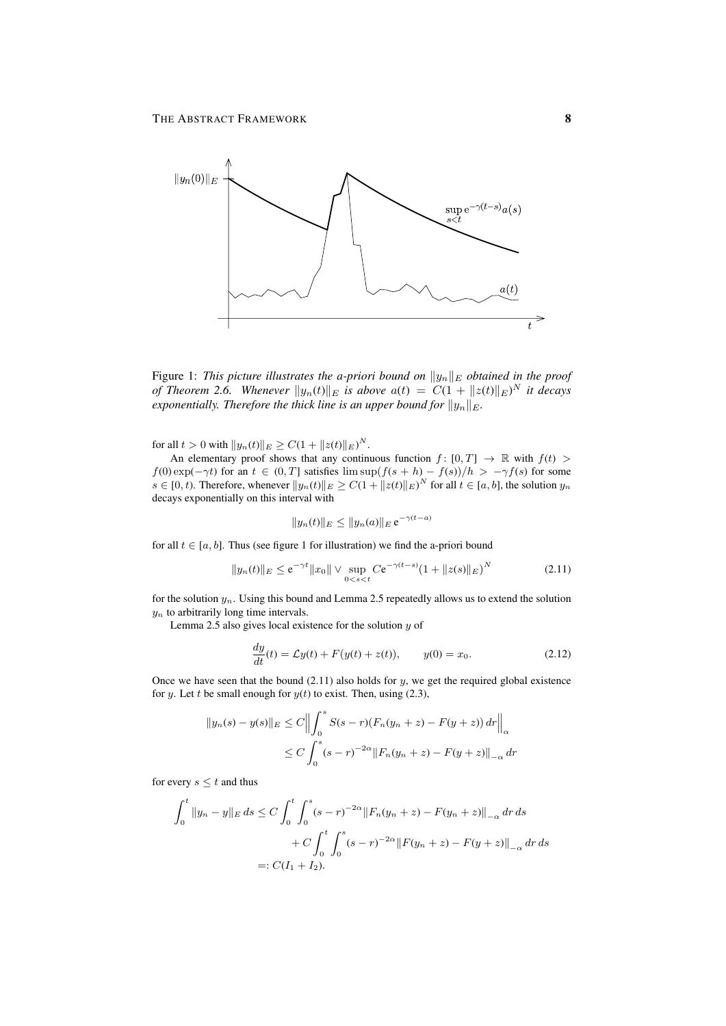

Figure 1: *This picture illustrates the a-priori bound on*  $||y_n||_E$  *obtained in the proof of Theorem 2.6.* Whenever  $||y_n(t)||_E$  is above  $a(t) = C(1 + ||z(t)||_E)^N$  it decays *exponentially. Therefore the thick line is an upper bound for*  $||y_n||_E$ *.* 

for all  $t > 0$  with  $||y_n(t)||_E \ge C(1 + ||z(t)||_E)^N$ .

An elementary proof shows that any continuous function  $f : [0, T] \rightarrow \mathbb{R}$  with  $f(t) >$  $f(0) \exp(-\gamma t)$  for an  $t \in (0, T]$  satisfies  $\limsup (f(s+h) - f(s))/h > -\gamma f(s)$  for some  $s \in [0, t)$ . Therefore, whenever  $||y_n(t)||_E \ge C(1 + ||z(t)||_E)^N$  for all  $t \in [a, b]$ , the solution  $y_n$ decays exponentially on this interval with

$$
||y_n(t)||_E \le ||y_n(a)||_E e^{-\gamma(t-a)}
$$

for all  $t \in [a, b]$ . Thus (see figure 1 for illustration) we find the a-priori bound

$$
||y_n(t)||_E \le e^{-\gamma t} ||x_0|| \vee \sup_{0 < s < t} C e^{-\gamma(t-s)} (1 + ||z(s)||_E)^N \tag{2.11}
$$

for the solution  $y_n$ . Using this bound and Lemma 2.5 repeatedly allows us to extend the solution  $y_n$  to arbitrarily long time intervals.

Lemma 2.5 also gives local existence for the solution  $y$  of

$$
\frac{dy}{dt}(t) = \mathcal{L}y(t) + F(y(t) + z(t)), \qquad y(0) = x_0.
$$
\n(2.12)

Once we have seen that the bound  $(2.11)$  also holds for  $y$ , we get the required global existence for y. Let t be small enough for  $y(t)$  to exist. Then, using (2.3),

$$
||y_n(s) - y(s)||_E \le C \Big\| \int_0^s S(s - r)(F_n(y_n + z) - F(y + z)) dr \Big\|_{\alpha}
$$
  
 
$$
\le C \int_0^s (s - r)^{-2\alpha} ||F_n(y_n + z) - F(y + z)||_{-\alpha} dr
$$

for every  $s \leq t$  and thus

$$
\int_0^t \|y_n - y\|_E ds \le C \int_0^t \int_0^s (s - r)^{-2\alpha} \|F_n(y_n + z) - F(y_n + z)\|_{-\alpha} dr ds
$$
  
+ 
$$
C \int_0^t \int_0^s (s - r)^{-2\alpha} \|F(y_n + z) - F(y + z)\|_{-\alpha} dr ds
$$
  
=:  $C(I_1 + I_2).$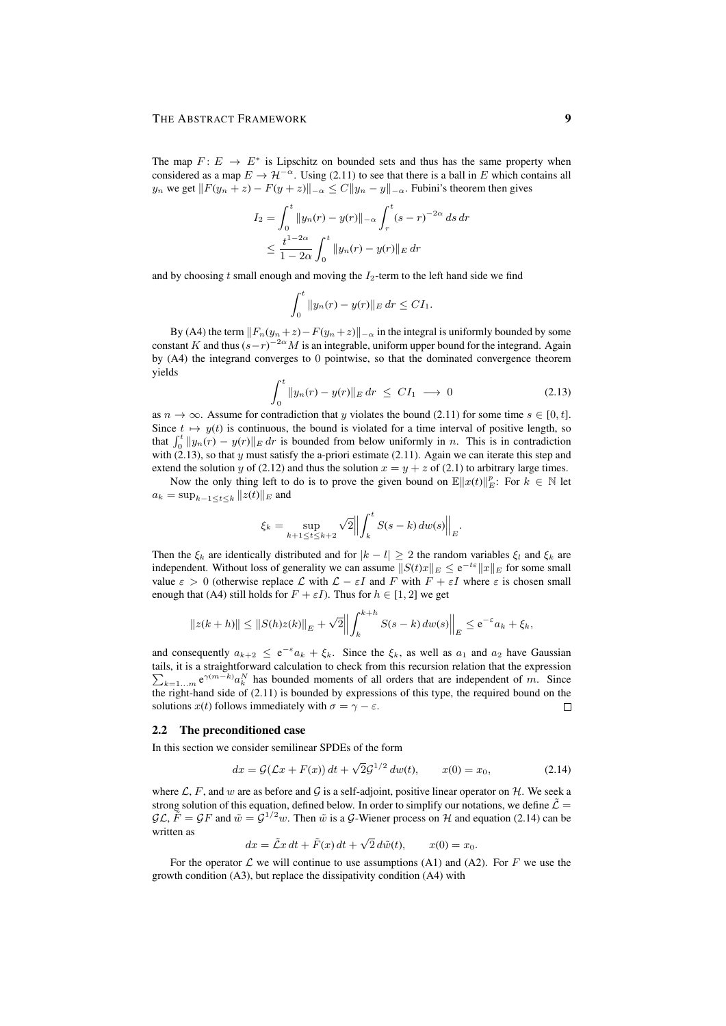The map  $F: E \to E^*$  is Lipschitz on bounded sets and thus has the same property when considered as a map  $E \to \mathcal{H}^{-\alpha}$ . Using (2.11) to see that there is a ball in E which contains all  $y_n$  we get  $||F(y_n + z) - F(y + z)||_{-\alpha} \leq C||y_n - y||_{-\alpha}$ . Fubini's theorem then gives

$$
I_2 = \int_0^t \|y_n(r) - y(r)\|_{-\alpha} \int_r^t (s - r)^{-2\alpha} ds dr
$$
  
 
$$
\leq \frac{t^{1-2\alpha}}{1-2\alpha} \int_0^t \|y_n(r) - y(r)\|_E dr
$$

and by choosing t small enough and moving the  $I_2$ -term to the left hand side we find

$$
\int_0^t \|y_n(r) - y(r)\|_E dr \leq C I_1.
$$

By (A4) the term  $||F_n(y_n+z)-F(y_n+z)||_{-\alpha}$  in the integral is uniformly bounded by some constant K and thus  $(s-r)^{-2\alpha}M$  is an integrable, uniform upper bound for the integrand. Again by (A4) the integrand converges to 0 pointwise, so that the dominated convergence theorem yields

$$
\int_0^t \|y_n(r) - y(r)\|_E dr \le C I_1 \longrightarrow 0 \tag{2.13}
$$

as  $n \to \infty$ . Assume for contradiction that y violates the bound (2.11) for some time  $s \in [0, t]$ . Since  $t \mapsto y(t)$  is continuous, the bound is violated for a time interval of positive length, so that  $\int_0^t ||y_n(r) - y(r)||_E dr$  is bounded from below uniformly in n. This is in contradiction with  $(2.13)$ , so that y must satisfy the a-priori estimate (2.11). Again we can iterate this step and extend the solution y of (2.12) and thus the solution  $x = y + z$  of (2.1) to arbitrary large times.

Now the only thing left to do is to prove the given bound on  $\mathbb{E}\|x(t)\|_{E}^{p}$ : For  $k \in \mathbb{N}$  let  $a_k = \sup_{k-1 \le t \le k} ||z(t)||_E$  and

$$
\xi_k = \sup_{k+1 \le t \le k+2} \sqrt{2} \left\| \int_k^t S(s-k) \, dw(s) \right\|_E.
$$

Then the  $\xi_k$  are identically distributed and for  $|k - l| \geq 2$  the random variables  $\xi_l$  and  $\xi_k$  are independent. Without loss of generality we can assume  $||S(t)x||_E \le e^{-t\varepsilon}||x||_E$  for some small value  $\varepsilon > 0$  (otherwise replace L with  $\mathcal{L} - \varepsilon I$  and F with  $F + \varepsilon I$  where  $\varepsilon$  is chosen small enough that (A4) still holds for  $F + \varepsilon I$ ). Thus for  $h \in [1, 2]$  we get

$$
||z(k+h)|| \le ||S(h)z(k)||_E + \sqrt{2} \Big\| \int_k^{k+h} S(s-k) \, dw(s) \Big\|_E \le e^{-\varepsilon} a_k + \xi_k,
$$

and consequently  $a_{k+2} \le e^{-\epsilon} a_k + \xi_k$ . Since the  $\xi_k$ , as well as  $a_1$  and  $a_2$  have Gaussian tails, it is a straightforward calculation to check from this recursion relation that the expression  $\sum_{k=1...m} e^{\gamma(m-k)} a_k^N$  has bounded moments of all orders that are independent of m. Since the right-hand side of  $(2.11)$  is bounded by expressions of this type, the required bound on the solutions  $x(t)$  follows immediately with  $\sigma = \gamma - \varepsilon$ .  $\Box$ 

#### 2.2 The preconditioned case

In this section we consider semilinear SPDEs of the form

$$
dx = \mathcal{G}(\mathcal{L}x + F(x)) dt + \sqrt{2}\mathcal{G}^{1/2} dw(t), \qquad x(0) = x_0,
$$
 (2.14)

where  $\mathcal{L}, F$ , and w are as before and  $\mathcal{G}$  is a self-adjoint, positive linear operator on  $\mathcal{H}$ . We seek a strong solution of this equation, defined below. In order to simplify our notations, we define  $\tilde{\mathcal{L}} =$  $\mathcal{GL}, \tilde{F} = \mathcal{G}F$  and  $\tilde{w} = \mathcal{G}^{1/2}w$ . Then  $\tilde{w}$  is a  $\mathcal{G}$ -Wiener process on  $\mathcal{H}$  and equation (2.14) can be written as √

$$
dx = \tilde{\mathcal{L}}x dt + \tilde{F}(x) dt + \sqrt{2} d\tilde{w}(t), \qquad x(0) = x_0.
$$

For the operator  $\mathcal L$  we will continue to use assumptions (A1) and (A2). For F we use the growth condition (A3), but replace the dissipativity condition (A4) with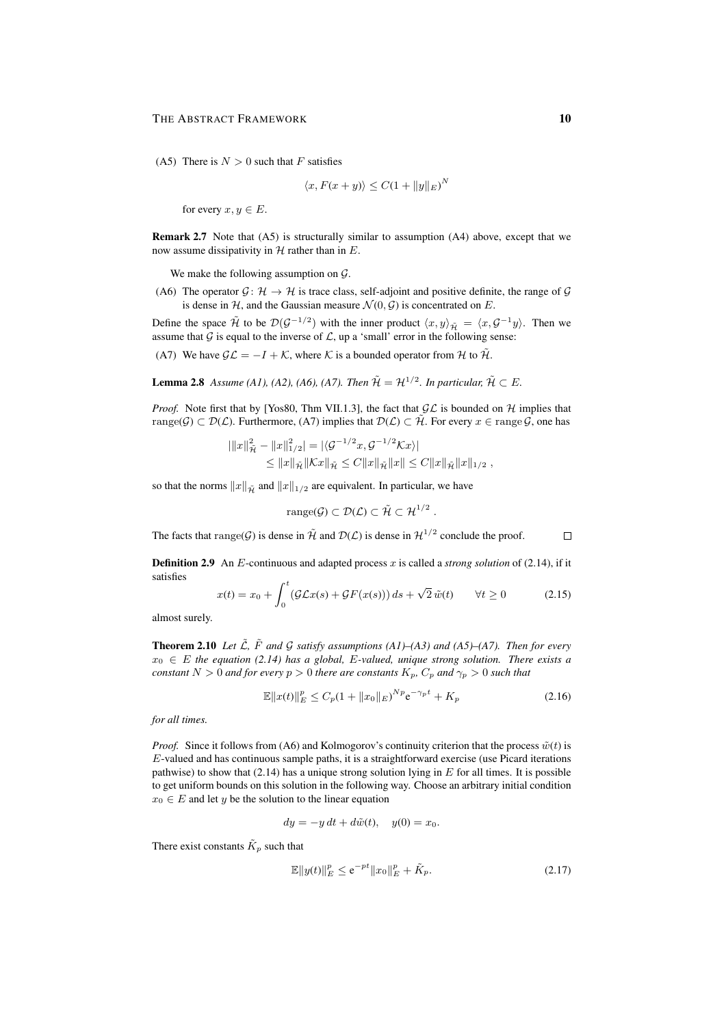(A5) There is  $N > 0$  such that F satisfies

$$
\langle x, F(x+y) \rangle \le C(1 + ||y||_E)^N
$$

for every  $x, y \in E$ .

Remark 2.7 Note that (A5) is structurally similar to assumption (A4) above, except that we now assume dissipativity in  $H$  rather than in  $E$ .

We make the following assumption on  $\mathcal{G}$ .

(A6) The operator  $\mathcal{G} \colon \mathcal{H} \to \mathcal{H}$  is trace class, self-adjoint and positive definite, the range of  $\mathcal{G}$ is dense in H, and the Gaussian measure  $\mathcal{N}(0, \mathcal{G})$  is concentrated on E.

Define the space  $\tilde{\mathcal{H}}$  to be  $\mathcal{D}(\mathcal{G}^{-1/2})$  with the inner product  $\langle x, y \rangle_{\tilde{\mathcal{H}}} = \langle x, \mathcal{G}^{-1}y \rangle$ . Then we assume that  $G$  is equal to the inverse of  $\mathcal{L}$ , up a 'small' error in the following sense:

(A7) We have  $\mathcal{GL} = -I + \mathcal{K}$ , where K is a bounded operator from H to  $\tilde{\mathcal{H}}$ .

**Lemma 2.8** Assume (A1), (A2), (A6), (A7). Then  $\mathcal{H} = \mathcal{H}^{1/2}$ . In particular,  $\mathcal{H} \subset E$ .

*Proof.* Note first that by [Yos80, Thm VII.1.3], the fact that  $GL$  is bounded on H implies that range( $\mathcal{G}$ )  $\subset \mathcal{D}(\mathcal{L})$ . Furthermore, (A7) implies that  $\mathcal{D}(\mathcal{L}) \subset \tilde{\mathcal{H}}$ . For every  $x \in \text{range } \mathcal{G}$ , one has

$$
\begin{aligned} |||x||_{\tilde{\mathcal{H}}}^2 - \|x\|_{1/2}^2| &= |\langle \mathcal{G}^{-1/2}x, \mathcal{G}^{-1/2} \mathcal{K}x \rangle| \\ &\leq \|x\|_{\tilde{\mathcal{H}}} \|\mathcal{K}x\|_{\tilde{\mathcal{H}}} \leq C \|x\|_{\tilde{\mathcal{H}}} \|x\| \leq C \|x\|_{\tilde{\mathcal{H}}} \|x\|_{1/2} \;, \end{aligned}
$$

so that the norms  $||x||_{\tilde{H}}$  and  $||x||_{1/2}$  are equivalent. In particular, we have

$$
range(\mathcal{G}) \subset \mathcal{D}(\mathcal{L}) \subset \tilde{\mathcal{H}} \subset \mathcal{H}^{1/2} .
$$

The facts that range(G) is dense in  $\tilde{\mathcal{H}}$  and  $\mathcal{D}(\mathcal{L})$  is dense in  $\mathcal{H}^{1/2}$  conclude the proof.  $\Box$ 

Definition 2.9 An E-continuous and adapted process x is called a *strong solution* of (2.14), if it satisfies

$$
x(t) = x_0 + \int_0^t (\mathcal{G}Lx(s) + \mathcal{G}F(x(s))) ds + \sqrt{2} \tilde{w}(t) \qquad \forall t \ge 0 \tag{2.15}
$$

almost surely.

**Theorem 2.10** Let  $\tilde{\mathcal{L}}$ *,*  $\tilde{F}$  and  $\mathcal{G}$  satisfy assumptions (A1)–(A3) and (A5)–(A7). Then for every  $x_0 \in E$  the equation (2.14) has a global, E-valued, unique strong solution. There exists a *constant*  $N > 0$  *and for every*  $p > 0$  *there are constants*  $K_p$ ,  $C_p$  *and*  $\gamma_p > 0$  *such that* 

$$
\mathbb{E}||x(t)||_{E}^{p} \le C_{p}(1+||x_{0}||_{E})^{Np}e^{-\gamma_{p}t} + K_{p}
$$
\n(2.16)

*for all times.*

*Proof.* Since it follows from (A6) and Kolmogorov's continuity criterion that the process  $\tilde{w}(t)$  is  $E$ -valued and has continuous sample paths, it is a straightforward exercise (use Picard iterations pathwise) to show that  $(2.14)$  has a unique strong solution lying in E for all times. It is possible to get uniform bounds on this solution in the following way. Choose an arbitrary initial condition  $x_0 \in E$  and let y be the solution to the linear equation

$$
dy = -y dt + d\tilde{w}(t), \quad y(0) = x_0.
$$

There exist constants  $\tilde{K}_p$  such that

$$
\mathbb{E}||y(t)||_{E}^{p} \le e^{-pt}||x_0||_{E}^{p} + \tilde{K}_p. \tag{2.17}
$$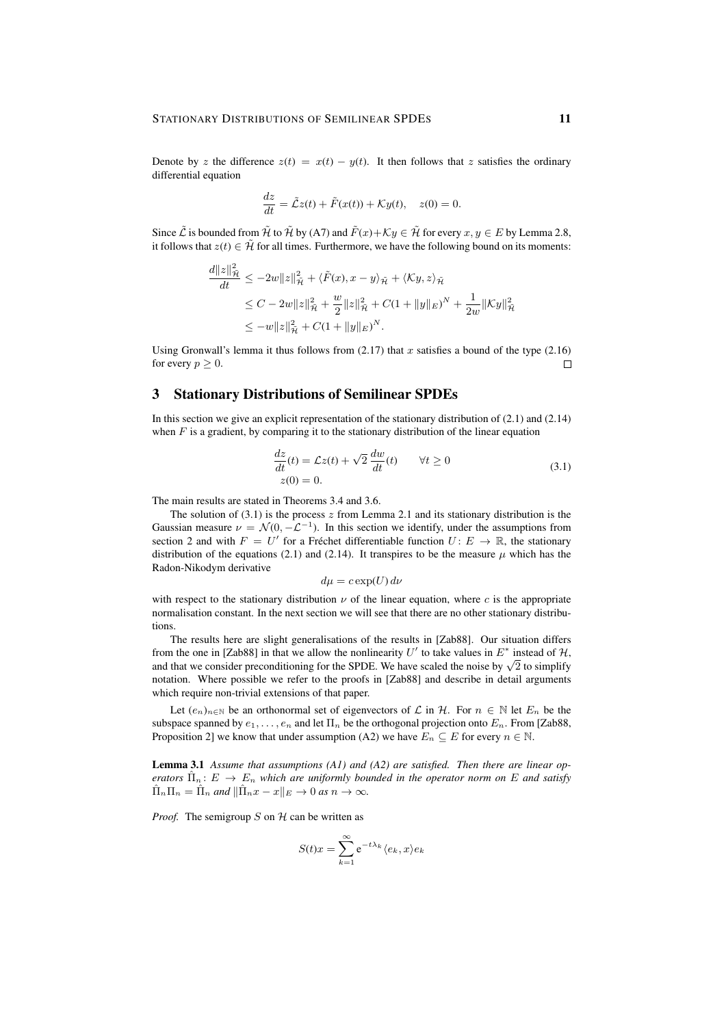Denote by z the difference  $z(t) = x(t) - y(t)$ . It then follows that z satisfies the ordinary differential equation

$$
\frac{dz}{dt} = \tilde{\mathcal{L}}z(t) + \tilde{F}(x(t)) + \mathcal{K}y(t), \quad z(0) = 0.
$$

Since  $\tilde{\mathcal{L}}$  is bounded from  $\tilde{\mathcal{H}}$  to  $\tilde{\mathcal{H}}$  by (A7) and  $\tilde{F}(x)+\mathcal{K}y \in \tilde{\mathcal{H}}$  for every  $x, y \in E$  by Lemma 2.8, it follows that  $z(t) \in \tilde{\mathcal{H}}$  for all times. Furthermore, we have the following bound on its moments:

$$
\frac{d||z||_{\tilde{\mathcal{H}}}^{2}}{dt} \leq -2w||z||_{\tilde{\mathcal{H}}}^{2} + \langle \tilde{F}(x), x - y \rangle_{\tilde{\mathcal{H}}} + \langle \mathcal{K}y, z \rangle_{\tilde{\mathcal{H}}}
$$
  
\n
$$
\leq C - 2w||z||_{\tilde{\mathcal{H}}}^{2} + \frac{w}{2}||z||_{\tilde{\mathcal{H}}}^{2} + C(1 + ||y||_{E})^{N} + \frac{1}{2w}||\mathcal{K}y||_{\tilde{\mathcal{H}}}^{2}
$$
  
\n
$$
\leq -w||z||_{\tilde{\mathcal{H}}}^{2} + C(1 + ||y||_{E})^{N}.
$$

Using Gronwall's lemma it thus follows from  $(2.17)$  that x satisfies a bound of the type  $(2.16)$ for every  $p \geq 0$ .  $\Box$ 

# 3 Stationary Distributions of Semilinear SPDEs

In this section we give an explicit representation of the stationary distribution of (2.1) and (2.14) when  $F$  is a gradient, by comparing it to the stationary distribution of the linear equation

$$
\frac{dz}{dt}(t) = \mathcal{L}z(t) + \sqrt{2}\frac{dw}{dt}(t) \qquad \forall t \ge 0
$$
\n
$$
z(0) = 0.
$$
\n(3.1)

The main results are stated in Theorems 3.4 and 3.6.

The solution of  $(3.1)$  is the process z from Lemma 2.1 and its stationary distribution is the Gaussian measure  $\nu = \mathcal{N}(0, -\mathcal{L}^{-1})$ . In this section we identify, under the assumptions from section 2 and with  $F = U'$  for a Fréchet differentiable function  $U: E \to \mathbb{R}$ , the stationary distribution of the equations (2.1) and (2.14). It transpires to be the measure  $\mu$  which has the Radon-Nikodym derivative

$$
d\mu = c \exp(U) d\nu
$$

with respect to the stationary distribution  $\nu$  of the linear equation, where c is the appropriate normalisation constant. In the next section we will see that there are no other stationary distributions.

The results here are slight generalisations of the results in [Zab88]. Our situation differs from the one in [Zab88] in that we allow the nonlinearity U' to take values in  $E^*$  instead of H, From the one in [ZabSS] in that we allow the nonlinearity  $U$  to take values in  $E$  instead of  $H$ , and that we consider preconditioning for the SPDE. We have scaled the noise by  $\sqrt{2}$  to simplify notation. Where possible we refer to the proofs in [Zab88] and describe in detail arguments which require non-trivial extensions of that paper.

Let  $(e_n)_{n\in\mathbb{N}}$  be an orthonormal set of eigenvectors of  $\mathcal L$  in  $\mathcal H$ . For  $n \in \mathbb{N}$  let  $E_n$  be the subspace spanned by  $e_1, \ldots, e_n$  and let  $\Pi_n$  be the orthogonal projection onto  $E_n$ . From [Zab88, Proposition 2] we know that under assumption (A2) we have  $E_n \subseteq E$  for every  $n \in \mathbb{N}$ .

Lemma 3.1 *Assume that assumptions (A1) and (A2) are satisfied. Then there are linear operators*  $\hat{\Pi}_n : E \to E_n$  *which are uniformly bounded in the operator norm on* E *and satisfy*  $\hat{\Pi}_n \Pi_n = \hat{\Pi}_n$  and  $\|\hat{\Pi}_n x - x\|_E \to 0$  as  $n \to \infty$ .

*Proof.* The semigroup  $S$  on  $H$  can be written as

$$
S(t)x = \sum_{k=1}^{\infty} e^{-t\lambda_k} \langle e_k, x \rangle e_k
$$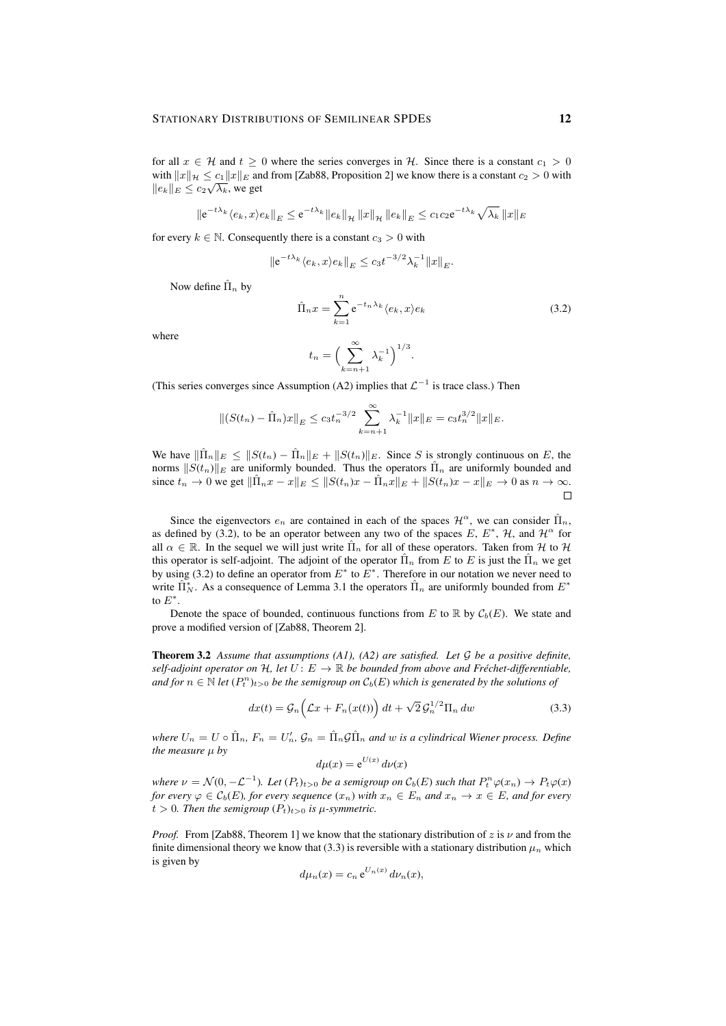for all  $x \in \mathcal{H}$  and  $t \geq 0$  where the series converges in  $\mathcal{H}$ . Since there is a constant  $c_1 > 0$ with  $||x||_{\mathcal{H}} \leq c_1 ||x||_E$  and from [Zab88, Proposition 2] we know there is a constant  $c_2 > 0$  with  $||e_k||_E \leq c_2 \sqrt{\lambda_k}$ , we get

$$
\|e^{-t\lambda_k} \langle e_k, x \rangle e_k\|_E \le e^{-t\lambda_k} \|e_k\|_{\mathcal{H}} \|x\|_{\mathcal{H}} \|e_k\|_E \le c_1 c_2 e^{-t\lambda_k} \sqrt{\lambda_k} \|x\|_E
$$

for every  $k \in \mathbb{N}$ . Consequently there is a constant  $c_3 > 0$  with

$$
||e^{-t\lambda_k} \langle e_k, x \rangle e_k||_E \le c_3 t^{-3/2} \lambda_k^{-1} ||x||_E.
$$

Now define  $\hat{\Pi}_n$  by

$$
\hat{\Pi}_n x = \sum_{k=1}^n e^{-t_n \lambda_k} \langle e_k, x \rangle e_k
$$
\n
$$
t_n = \left(\sum_{k=n+1}^\infty \lambda_k^{-1}\right)^{1/3}.
$$
\n(3.2)

where

(This series converges since Assumption (A2) implies that 
$$
\mathcal{L}^{-1}
$$
 is trace class.) Then

$$
\|(S(t_n) - \hat{\Pi}_n)x\|_E \le c_3 t_n^{-3/2} \sum_{k=n+1}^{\infty} \lambda_k^{-1} \|x\|_E = c_3 t_n^{3/2} \|x\|_E.
$$

We have  $\|\hat{\Pi}_n\|_E \leq ||S(t_n) - \hat{\Pi}_n||_E + ||S(t_n)||_E$ . Since S is strongly continuous on E, the norms  $||S(t_n)||_E$  are uniformly bounded. Thus the operators  $\hat{\Pi}_n$  are uniformly bounded and since  $t_n \to 0$  we get  $\|\hat{\Pi}_n x - x\|_E \leq \|S(t_n)x - \hat{\Pi}_n x\|_E + \|S(t_n)x - x\|_E \to 0$  as  $n \to \infty$ .  $\Box$ 

Since the eigenvectors  $e_n$  are contained in each of the spaces  $\mathcal{H}^{\alpha}$ , we can consider  $\hat{\Pi}_n$ , as defined by (3.2), to be an operator between any two of the spaces E,  $E^*$ , H, and  $\mathcal{H}^{\alpha}$  for all  $\alpha \in \mathbb{R}$ . In the sequel we will just write  $\hat{\Pi}_n$  for all of these operators. Taken from H to H this operator is self-adjoint. The adjoint of the operator  $\hat{\Pi}_n$  from E to E is just the  $\hat{\Pi}_n$  we get by using (3.2) to define an operator from  $E^*$  to  $E^*$ . Therefore in our notation we never need to write  $\hat{\Pi}_{N}^{*}$ . As a consequence of Lemma 3.1 the operators  $\hat{\Pi}_{n}$  are uniformly bounded from  $E^{*}$ to  $E^*$ .

Denote the space of bounded, continuous functions from E to R by  $\mathcal{C}_b(E)$ . We state and prove a modified version of [Zab88, Theorem 2].

Theorem 3.2 *Assume that assumptions (A1), (A2) are satisfied. Let* G *be a positive definite, self-adjoint operator on*  $H$ *, let*  $U: E \to \mathbb{R}$  *be bounded from above and Fréchet-differentiable,* and for  $n \in \mathbb{N}$  let  $(P_t^n)_{t>0}$  be the semigroup on  $\mathcal{C}_b(E)$  which is generated by the solutions of

$$
dx(t) = \mathcal{G}_n\left(\mathcal{L}x + F_n(x(t))\right)dt + \sqrt{2}\mathcal{G}_n^{1/2}\Pi_n dw
$$
\n(3.3)

where  $U_n = U \circ \hat{\Pi}_n$ ,  $F_n = U'_n$ ,  $\mathcal{G}_n = \hat{\Pi}_n \mathcal{G} \hat{\Pi}_n$  and w is a cylindrical Wiener process. Define *the measure* µ *by*

$$
d\mu(x) = e^{U(x)} d\nu(x)
$$

*where*  $\nu = \mathcal{N}(0, -\mathcal{L}^{-1})$ *. Let*  $(P_t)_{t>0}$  *be a semigroup on*  $\mathcal{C}_b(E)$  *such that*  $P_t^n \varphi(x_n) \to P_t \varphi(x)$ *for every*  $\varphi \in C_b(E)$ *, for every sequence*  $(x_n)$  *with*  $x_n \in E_n$  *and*  $x_n \to x \in E$ *, and for every*  $t > 0$ *. Then the semigroup*  $(P_t)_{t>0}$  *is*  $\mu$ *-symmetric.* 

*Proof.* From [Zab88, Theorem 1] we know that the stationary distribution of z is  $\nu$  and from the finite dimensional theory we know that (3.3) is reversible with a stationary distribution  $\mu_n$  which is given by

$$
d\mu_n(x) = c_n e^{U_n(x)} d\nu_n(x),
$$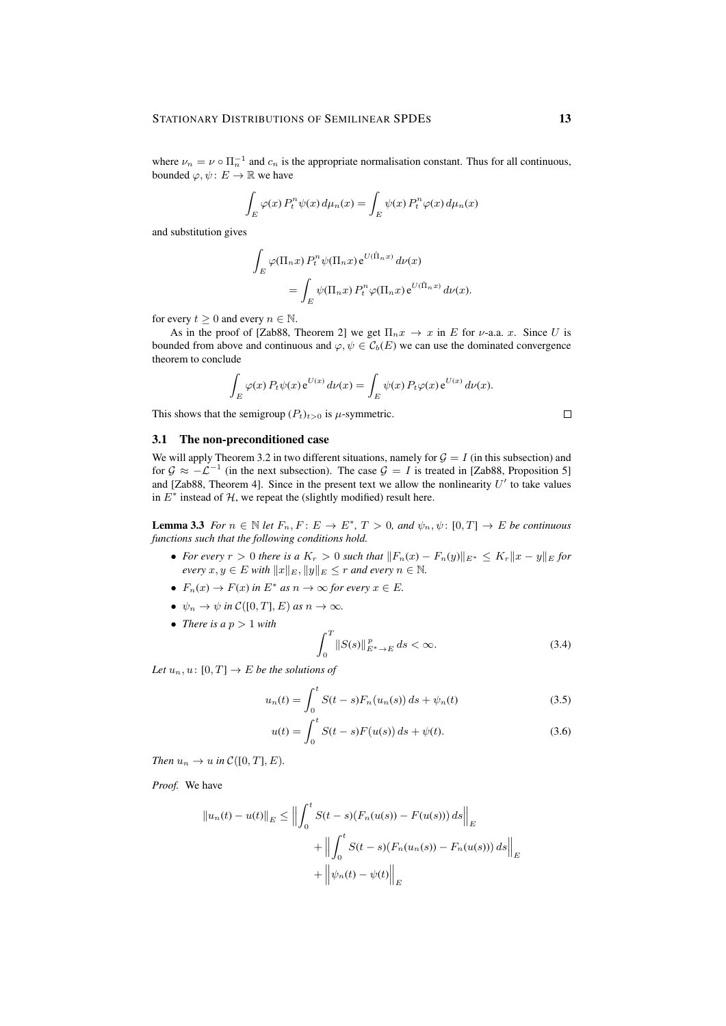where  $\nu_n = \nu \circ \Pi_n^{-1}$  and  $c_n$  is the appropriate normalisation constant. Thus for all continuous, bounded  $\varphi, \psi \colon E \to \mathbb{R}$  we have

$$
\int_{E} \varphi(x) P_t^n \psi(x) d\mu_n(x) = \int_{E} \psi(x) P_t^n \varphi(x) d\mu_n(x)
$$

and substitution gives

$$
\int_{E} \varphi(\Pi_n x) P_t^n \psi(\Pi_n x) e^{U(\hat{\Pi}_n x)} d\nu(x)
$$
  
= 
$$
\int_{E} \psi(\Pi_n x) P_t^n \varphi(\Pi_n x) e^{U(\hat{\Pi}_n x)} d\nu(x).
$$

for every  $t \geq 0$  and every  $n \in \mathbb{N}$ .

As in the proof of [Zab88, Theorem 2] we get  $\Pi_n x \to x$  in E for *v*-a.a. x. Since U is bounded from above and continuous and  $\varphi, \psi \in C_b(E)$  we can use the dominated convergence theorem to conclude

$$
\int_E \varphi(x) P_t \psi(x) e^{U(x)} d\nu(x) = \int_E \psi(x) P_t \varphi(x) e^{U(x)} d\nu(x).
$$

This shows that the semigroup  $(P_t)_{t>0}$  is  $\mu$ -symmetric.

### 3.1 The non-preconditioned case

We will apply Theorem 3.2 in two different situations, namely for  $\mathcal{G} = I$  (in this subsection) and for  $\mathcal{G} \approx -\mathcal{L}^{-1}$  (in the next subsection). The case  $\mathcal{G} = I$  is treated in [Zab88, Proposition 5] and [Zab88, Theorem 4]. Since in the present text we allow the nonlinearity  $U'$  to take values in  $E^*$  instead of  $H$ , we repeat the (slightly modified) result here.

**Lemma 3.3** *For*  $n \in \mathbb{N}$  *let*  $F_n, F: E \to E^*, T > 0$ , and  $\psi_n, \psi: [0, T] \to E$  be continuous *functions such that the following conditions hold.*

- For every  $r > 0$  there is a  $K_r > 0$  such that  $||F_n(x) F_n(y)||_{E^*} \le K_r ||x y||_E$  for *every*  $x, y \in E$  *with*  $||x||_E$ ,  $||y||_E \leq r$  *and every*  $n \in \mathbb{N}$ .
- $F_n(x) \to F(x)$  in  $E^*$  as  $n \to \infty$  for every  $x \in E$ .
- $\psi_n \to \psi$  *in*  $\mathcal{C}([0,T], E)$  *as*  $n \to \infty$ *.*
- *There is a*  $p > 1$  *with*

$$
\int_{0}^{T} \|S(s)\|_{E^{*} \to E}^{p} ds < \infty.
$$
 (3.4)

*Let*  $u_n, u \colon [0, T] \to E$  *be the solutions of* 

$$
u_n(t) = \int_0^t S(t-s) F_n(u_n(s)) \, ds + \psi_n(t) \tag{3.5}
$$

$$
u(t) = \int_0^t S(t - s)F(u(s)) ds + \psi(t).
$$
 (3.6)

*Then*  $u_n \to u$  *in*  $\mathcal{C}([0, T], E)$ *.* 

*Proof.* We have

$$
||u_n(t) - u(t)||_E \le ||\int_0^t S(t - s)(F_n(u(s)) - F(u(s))) ds||_E
$$
  
+  $||\int_0^t S(t - s)(F_n(u_n(s)) - F_n(u(s))) ds||_E$   
+  $||\psi_n(t) - \psi(t)||_E$ 

 $\Box$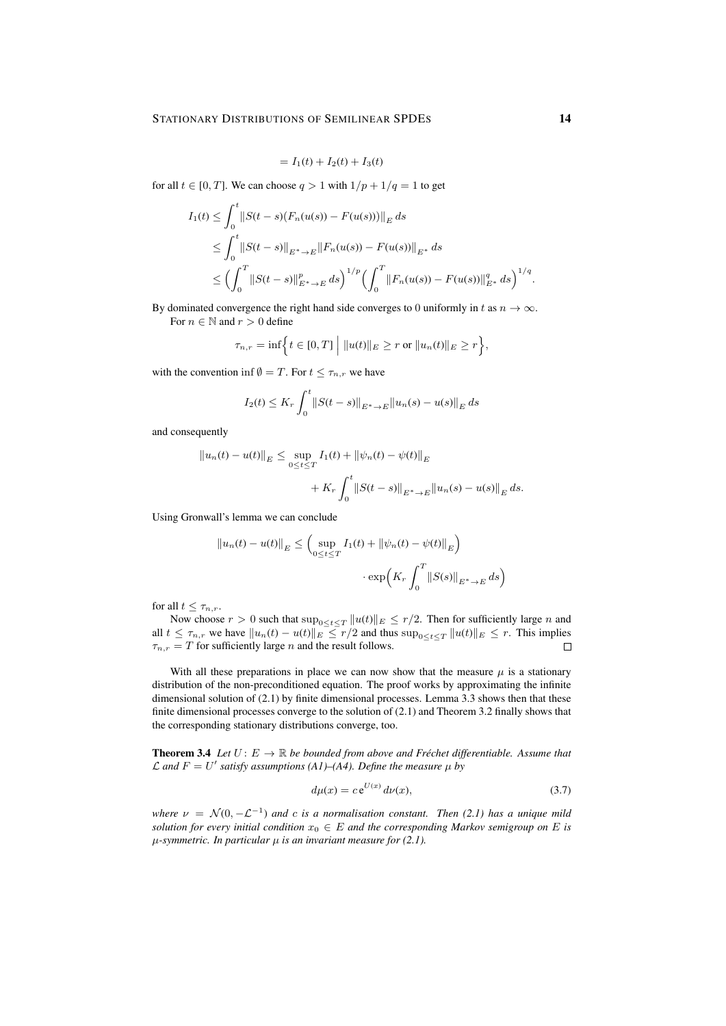$$
= I_1(t) + I_2(t) + I_3(t)
$$

for all  $t \in [0, T]$ . We can choose  $q > 1$  with  $1/p + 1/q = 1$  to get

$$
I_1(t) \le \int_0^t \|S(t-s)(F_n(u(s)) - F(u(s)))\|_E ds
$$
  
\n
$$
\le \int_0^t \|S(t-s)\|_{E^* \to E} \|F_n(u(s)) - F(u(s))\|_{E^*} ds
$$
  
\n
$$
\le \left(\int_0^T \|S(t-s)\|_{E^* \to E}^p ds\right)^{1/p} \left(\int_0^T \|F_n(u(s)) - F(u(s))\|_{E^*}^q ds\right)^{1/q}
$$

By dominated convergence the right hand side converges to 0 uniformly in t as  $n \to \infty$ .

For  $n \in \mathbb{N}$  and  $r > 0$  define

$$
\tau_{n,r} = \inf \Big\{ t \in [0,T] \Big| \ ||u(t)||_{E} \ge r \text{ or } ||u_n(t)||_{E} \ge r \Big\},\
$$

with the convention inf  $\emptyset = T$ . For  $t \leq \tau_{n,r}$  we have

$$
I_2(t) \le K_r \int_0^t \|S(t-s)\|_{E^* \to E} \|u_n(s) - u(s)\|_E ds
$$

and consequently

$$
||u_n(t) - u(t)||_E \le \sup_{0 \le t \le T} I_1(t) + ||\psi_n(t) - \psi(t)||_E
$$
  
+  $K_r \int_0^t ||S(t - s)||_{E^* \to E} ||u_n(s) - u(s)||_E ds.$ 

Using Gronwall's lemma we can conclude

$$
||u_n(t) - u(t)||_E \leq \left(\sup_{0 \leq t \leq T} I_1(t) + ||\psi_n(t) - \psi(t)||_E\right) \cdot \exp\left(K_r \int_0^T ||S(s)||_{E^* \to E} ds\right)
$$

for all  $t \leq \tau_{n,r}$ .

Now choose  $r > 0$  such that  $\sup_{0 \le t \le T} ||u(t)||_E \le r/2$ . Then for sufficiently large n and all  $t \leq \tau_{n,r}$  we have  $||u_n(t) - u(t)||_E \leq r/2$  and thus  $\sup_{0 \leq t \leq T} ||u(t)||_E \leq r$ . This implies  $\tau_{n,r} = T$  for sufficiently large *n* and the result follows.  $\tau_{n,r} = T$  for sufficiently large *n* and the result follows.

With all these preparations in place we can now show that the measure  $\mu$  is a stationary distribution of the non-preconditioned equation. The proof works by approximating the infinite dimensional solution of (2.1) by finite dimensional processes. Lemma 3.3 shows then that these finite dimensional processes converge to the solution of (2.1) and Theorem 3.2 finally shows that the corresponding stationary distributions converge, too.

**Theorem 3.4** Let  $U: E \to \mathbb{R}$  be bounded from above and Fréchet differentiable. Assume that  $\mathcal{L}$  and  $F = U'$  satisfy assumptions (A1)–(A4). Define the measure  $\mu$  by

$$
d\mu(x) = c e^{U(x)} d\nu(x),\tag{3.7}
$$

*where*  $\nu = \mathcal{N}(0, -\mathcal{L}^{-1})$  *and* c *is a normalisation constant.* Then (2.1) has a unique mild *solution for every initial condition*  $x_0 \in E$  *and the corresponding Markov semigroup on* E *is* µ*-symmetric. In particular* µ *is an invariant measure for (2.1).*

.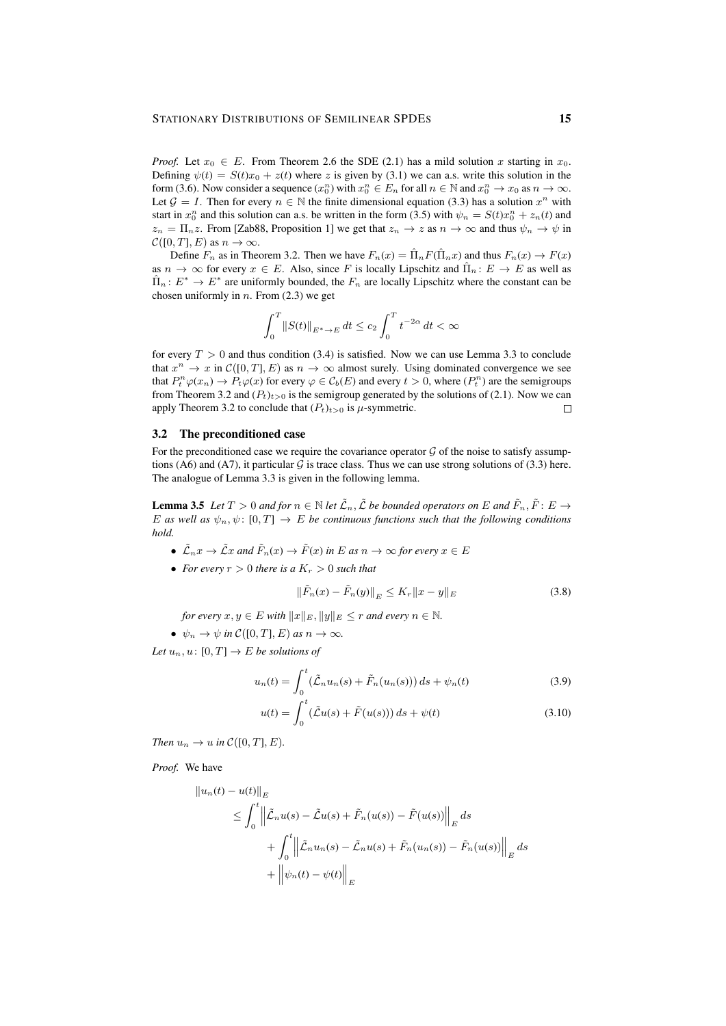*Proof.* Let  $x_0 \in E$ . From Theorem 2.6 the SDE (2.1) has a mild solution x starting in  $x_0$ . Defining  $\psi(t) = S(t)x_0 + z(t)$  where z is given by (3.1) we can a.s. write this solution in the form (3.6). Now consider a sequence  $(x_0^n)$  with  $x_0^n \in E_n$  for all  $n \in \mathbb{N}$  and  $x_0^n \to x_0$  as  $n \to \infty$ . Let  $\mathcal{G} = I$ . Then for every  $n \in \mathbb{N}$  the finite dimensional equation (3.3) has a solution  $x^n$  with start in  $x_0^n$  and this solution can a.s. be written in the form (3.5) with  $\psi_n = S(t)x_0^n + z_n(t)$  and  $z_n = \Pi_n z$ . From [Zab88, Proposition 1] we get that  $z_n \to z$  as  $n \to \infty$  and thus  $\psi_n \to \psi$  in  $\mathcal{C}([0,T], E)$  as  $n \to \infty$ .

Define  $F_n$  as in Theorem 3.2. Then we have  $F_n(x) = \hat{\Pi}_n F(\hat{\Pi}_n x)$  and thus  $F_n(x) \to F(x)$ as  $n \to \infty$  for every  $x \in E$ . Also, since F is locally Lipschitz and  $\hat{\Pi}_n : E \to E$  as well as  $\hat{\Pi}_n: E^* \to E^*$  are uniformly bounded, the  $F_n$  are locally Lipschitz where the constant can be chosen uniformly in  $n$ . From (2.3) we get

$$
\int_0^T \left\|S(t)\right\|_{E^*\to E} dt \le c_2 \int_0^T t^{-2\alpha} dt < \infty
$$

for every  $T > 0$  and thus condition (3.4) is satisfied. Now we can use Lemma 3.3 to conclude that  $x^n \to x$  in  $\mathcal{C}([0,T], E)$  as  $n \to \infty$  almost surely. Using dominated convergence we see that  $P_t^n \varphi(x_n) \to P_t \varphi(x)$  for every  $\varphi \in C_b(E)$  and every  $t > 0$ , where  $(P_t^n)$  are the semigroups from Theorem 3.2 and  $(P_t)_{t>0}$  is the semigroup generated by the solutions of (2.1). Now we can apply Theorem 3.2 to conclude that  $(P_t)_{t>0}$  is  $\mu$ -symmetric.  $\Box$ 

### 3.2 The preconditioned case

For the preconditioned case we require the covariance operator  $\mathcal G$  of the noise to satisfy assumptions (A6) and (A7), it particular G is trace class. Thus we can use strong solutions of (3.3) here. The analogue of Lemma 3.3 is given in the following lemma.

**Lemma 3.5** Let  $T > 0$  and for  $n \in \mathbb{N}$  let  $\tilde{\mathcal{L}}_n$ ,  $\tilde{\mathcal{L}}$  be bounded operators on E and  $\tilde{F}_n$ ,  $\tilde{F}: E \to$ E as well as  $\psi_n, \psi \colon [0, T] \to E$  be continuous functions such that the following conditions *hold.*

- $\tilde{\mathcal{L}}_n x \to \tilde{\mathcal{L}} x$  and  $\tilde{F}_n(x) \to \tilde{F}(x)$  in E as  $n \to \infty$  for every  $x \in E$
- *For every*  $r > 0$  *there is a*  $K_r > 0$  *such that*

$$
\|\tilde{F}_n(x) - \tilde{F}_n(y)\|_{E} \le K_r \|x - y\|_{E}
$$
\n(3.8)

*for every*  $x, y \in E$  *with*  $||x||_E$ ,  $||y||_E \le r$  *and every*  $n \in \mathbb{N}$ .

•  $\psi_n \to \psi$  *in*  $\mathcal{C}([0,T], E)$  *as*  $n \to \infty$ *.* 

*Let*  $u_n, u \colon [0, T] \to E$  *be solutions of* 

$$
u_n(t) = \int_0^t (\tilde{\mathcal{L}}_n u_n(s) + \tilde{F}_n(u_n(s))) ds + \psi_n(t)
$$
 (3.9)

$$
u(t) = \int_0^t (\tilde{\mathcal{L}}u(s) + \tilde{F}(u(s))) ds + \psi(t)
$$
\n(3.10)

*Then*  $u_n \to u$  *in*  $\mathcal{C}([0, T], E)$ .

*Proof.* We have

$$
||u_n(t) - u(t)||_E
$$
  
\n
$$
\leq \int_0^t \left\| \tilde{\mathcal{L}}_n u(s) - \tilde{\mathcal{L}} u(s) + \tilde{F}_n(u(s)) - \tilde{F}(u(s)) \right\|_E ds
$$
  
\n
$$
+ \int_0^t \left\| \tilde{\mathcal{L}}_n u_n(s) - \tilde{\mathcal{L}}_n u(s) + \tilde{F}_n(u_n(s)) - \tilde{F}_n(u(s)) \right\|_E ds
$$
  
\n
$$
+ \left\| \psi_n(t) - \psi(t) \right\|_E
$$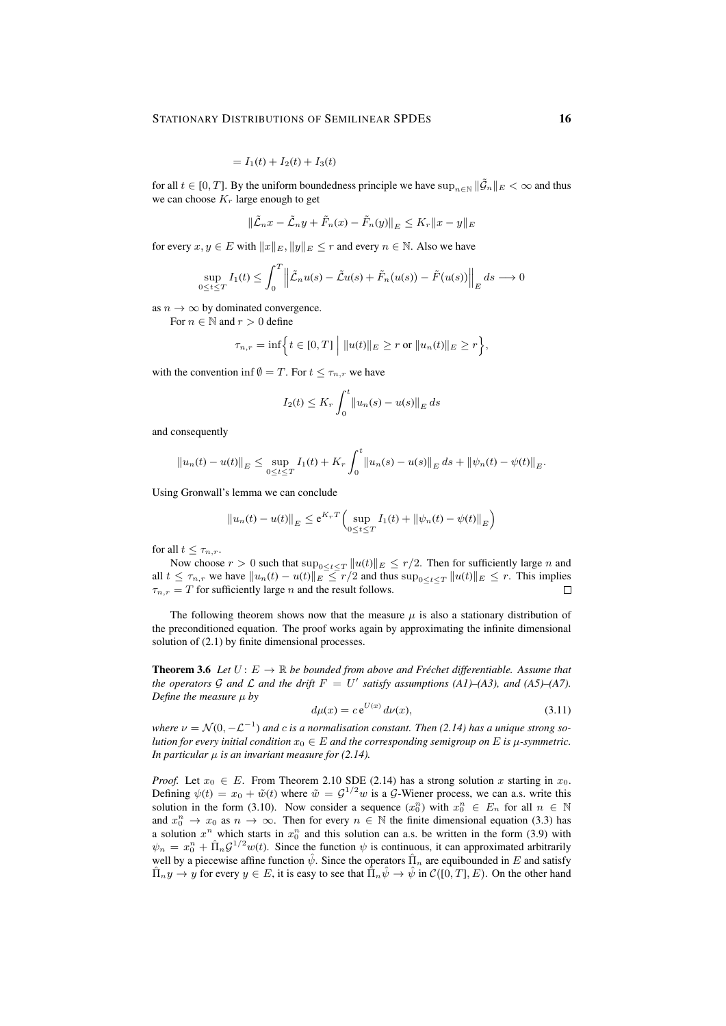$$
= I_1(t) + I_2(t) + I_3(t)
$$

for all  $t \in [0, T]$ . By the uniform boundedness principle we have  $\sup_{n \in \mathbb{N}} ||\tilde{G}_n||_E < \infty$  and thus we can choose  $K_r$  large enough to get

$$
\|\tilde{\mathcal{L}}_n x - \tilde{\mathcal{L}}_n y + \tilde{F}_n(x) - \tilde{F}_n(y)\|_E \le K_r \|x - y\|_E
$$

for every  $x, y \in E$  with  $||x||_E, ||y||_E \le r$  and every  $n \in \mathbb{N}$ . Also we have

$$
\sup_{0 \le t \le T} I_1(t) \le \int_0^T \left\| \tilde{\mathcal{L}}_n u(s) - \tilde{\mathcal{L}} u(s) + \tilde{F}_n(u(s)) - \tilde{F}(u(s)) \right\|_E ds \longrightarrow 0
$$

as  $n \to \infty$  by dominated convergence.

For  $n \in \mathbb{N}$  and  $r > 0$  define

$$
\tau_{n,r} = \inf \Big\{ t \in [0,T] \Big| \ ||u(t)||_{E} \geq r \text{ or } ||u_{n}(t)||_{E} \geq r \Big\},\
$$

with the convention inf  $\emptyset = T$ . For  $t \leq \tau_{n,r}$  we have

$$
I_2(t) \le K_r \int_0^t ||u_n(s) - u(s)||_E ds
$$

and consequently

$$
||u_n(t) - u(t)||_E \leq \sup_{0 \leq t \leq T} I_1(t) + K_r \int_0^t ||u_n(s) - u(s)||_E ds + ||\psi_n(t) - \psi(t)||_E.
$$

Using Gronwall's lemma we can conclude

$$
||u_n(t) - u(t)||_E \le e^{K_T T} \Big( \sup_{0 \le t \le T} I_1(t) + ||\psi_n(t) - \psi(t)||_E \Big)
$$

for all  $t \leq \tau_{n,r}$ .

Now choose  $r > 0$  such that  $\sup_{0 \le t \le T} ||u(t)||_E \le r/2$ . Then for sufficiently large n and all  $t \leq \tau_{n,r}$  we have  $||u_n(t) - u(t)||_E \leq r/2$  and thus  $\sup_{0 \leq t \leq T} ||u(t)||_E \leq r$ . This implies  $\tau_{n,r} = T$  for sufficiently large *n* and the result follows.  $\Box$ 

The following theorem shows now that the measure  $\mu$  is also a stationary distribution of the preconditioned equation. The proof works again by approximating the infinite dimensional solution of (2.1) by finite dimensional processes.

**Theorem 3.6** Let  $U: E \to \mathbb{R}$  be bounded from above and Fréchet differentiable. Assume that the operators G and L and the drift  $F = U'$  satisfy assumptions (A1)–(A3), and (A5)–(A7). *Define the measure*  $\mu$  *by* 

$$
d\mu(x) = c e^{U(x)} d\nu(x),\tag{3.11}
$$

where  $\nu = \mathcal{N}(0, -\mathcal{L}^{-1})$  and c is a normalisation constant. Then (2.14) has a unique strong so*lution for every initial condition*  $x_0 \in E$  *and the corresponding semigroup on* E *is*  $\mu$ *-symmetric. In particular*  $\mu$  *is an invariant measure for (2.14).* 

*Proof.* Let  $x_0 \in E$ . From Theorem 2.10 SDE (2.14) has a strong solution x starting in  $x_0$ . Defining  $\psi(t) = x_0 + \tilde{w}(t)$  where  $\tilde{w} = \mathcal{G}^{1/2}w$  is a  $\mathcal{G}$ -Wiener process, we can a.s. write this solution in the form (3.10). Now consider a sequence  $(x_0^n)$  with  $x_0^n \in E_n$  for all  $n \in \mathbb{N}$ and  $x_0^n \to x_0$  as  $n \to \infty$ . Then for every  $n \in \mathbb{N}$  the finite dimensional equation (3.3) has a solution  $x^n$  which starts in  $x_0^n$  and this solution can a.s. be written in the form (3.9) with  $\psi_n = x_0^n + \hat{\Pi}_n \mathcal{G}^{1/2} w(t)$ . Since the function  $\psi$  is continuous, it can approximated arbitrarily well by a piecewise affine function  $\hat{\psi}$ . Since the operators  $\hat{\Pi}_n$  are equibounded in E and satisfy  $\Pi_n y \to y$  for every  $y \in E$ , it is easy to see that  $\hat{\Pi}_n \hat{\psi} \to \hat{\psi}$  in  $\mathcal{C}([0,T], E)$ . On the other hand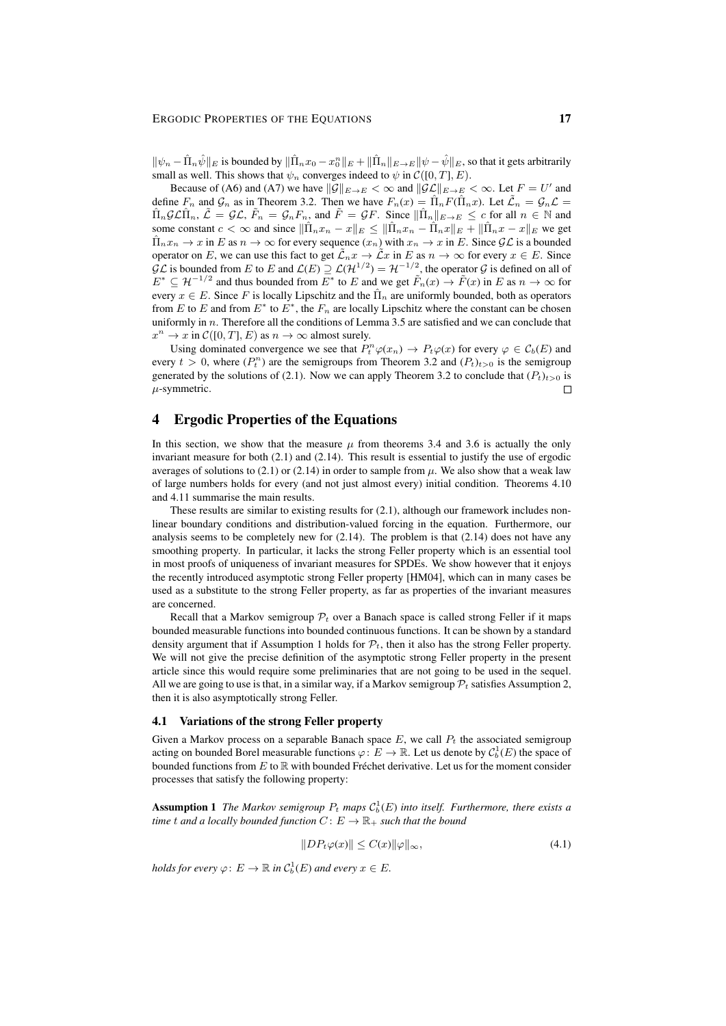$\|\psi_n - \hat{\Pi}_n \hat{\psi}\|_E$  is bounded by  $\|\hat{\Pi}_n x_0 - x_0^n\|_E + \|\hat{\Pi}_n\|_{E\to E} \|\psi - \hat{\psi}\|_E$ , so that it gets arbitrarily small as well. This shows that  $\psi_n$  converges indeed to  $\psi$  in  $\mathcal{C}([0, T], E)$ .

Because of (A6) and (A7) we have  $\|\mathcal{G}\|_{E\to E} < \infty$  and  $\|\mathcal{GL}\|_{E\to E} < \infty$ . Let  $F = U'$  and define  $F_n$  and  $\mathcal{G}_n$  as in Theorem 3.2. Then we have  $F_n(x) = \hat{\Pi}_n F(\hat{\Pi}_n x)$ . Let  $\tilde{\mathcal{L}}_n = \mathcal{G}_n \mathcal{L}$  $\hat{\Pi}_n\mathcal{GL}\hat{\Pi}_n, \ \tilde{\mathcal{L}}=\mathcal{GL}, \ \tilde{F}_n=\mathcal{G}_nF_n,$  and  $\tilde{F}=\mathcal{G}F$ . Since  $\|\hat{\Pi}_n\|_{E\to E}\leq c$  for all  $n\in\mathbb{N}$  and some constant  $c < \infty$  and since  $\|\hat{\Pi}_n x_n - x\|_E \le \|\hat{\Pi}_n x_n - \hat{\Pi}_n x\|_E + \|\hat{\Pi}_n x - x\|_E$  we get  $\prod_n x_n \to x$  in E as  $n \to \infty$  for every sequence  $(x_n)$  with  $x_n \to x$  in E. Since  $\mathcal{GL}$  is a bounded operator on E, we can use this fact to get  $\tilde{\mathcal{L}}_n x \to \tilde{\mathcal{L}} x$  in E as  $n \to \infty$  for every  $x \in E$ . Since  $\mathcal{GL}$  is bounded from E to E and  $\mathcal{L}(E) \supseteq \mathcal{L}(\mathcal{H}^{1/2}) = \mathcal{H}^{-1/2}$ , the operator G is defined on all of  $E^* \subseteq \mathcal{H}^{-1/2}$  and thus bounded from  $E^*$  to E and we get  $\tilde{F}_n(x) \to \tilde{F}(x)$  in E as  $n \to \infty$  for every  $x \in E$ . Since F is locally Lipschitz and the  $\hat{\Pi}_n$  are uniformly bounded, both as operators from E to E and from  $E^*$  to  $E^*$ , the  $F_n$  are locally Lipschitz where the constant can be chosen uniformly in  $n$ . Therefore all the conditions of Lemma 3.5 are satisfied and we can conclude that  $x^n \to x$  in  $\mathcal{C}([0,T], E)$  as  $n \to \infty$  almost surely.

Using dominated convergence we see that  $P_t^n \varphi(x_n) \to P_t \varphi(x)$  for every  $\varphi \in C_b(E)$  and every  $t > 0$ , where  $(P_t^n)$  are the semigroups from Theorem 3.2 and  $(P_t)_{t>0}$  is the semigroup generated by the solutions of (2.1). Now we can apply Theorem 3.2 to conclude that  $(P_t)_{t>0}$  is  $\mu$ -symmetric.  $\Box$ 

# 4 Ergodic Properties of the Equations

In this section, we show that the measure  $\mu$  from theorems 3.4 and 3.6 is actually the only invariant measure for both  $(2.1)$  and  $(2.14)$ . This result is essential to justify the use of ergodic averages of solutions to (2.1) or (2.14) in order to sample from  $\mu$ . We also show that a weak law of large numbers holds for every (and not just almost every) initial condition. Theorems 4.10 and 4.11 summarise the main results.

These results are similar to existing results for  $(2.1)$ , although our framework includes nonlinear boundary conditions and distribution-valued forcing in the equation. Furthermore, our analysis seems to be completely new for  $(2.14)$ . The problem is that  $(2.14)$  does not have any smoothing property. In particular, it lacks the strong Feller property which is an essential tool in most proofs of uniqueness of invariant measures for SPDEs. We show however that it enjoys the recently introduced asymptotic strong Feller property [HM04], which can in many cases be used as a substitute to the strong Feller property, as far as properties of the invariant measures are concerned.

Recall that a Markov semigroup  $P_t$  over a Banach space is called strong Feller if it maps bounded measurable functions into bounded continuous functions. It can be shown by a standard density argument that if Assumption 1 holds for  $\mathcal{P}_t$ , then it also has the strong Feller property. We will not give the precise definition of the asymptotic strong Feller property in the present article since this would require some preliminaries that are not going to be used in the sequel. All we are going to use is that, in a similar way, if a Markov semigroup  $P_t$  satisfies Assumption 2, then it is also asymptotically strong Feller.

#### 4.1 Variations of the strong Feller property

Given a Markov process on a separable Banach space  $E$ , we call  $P_t$  the associated semigroup acting on bounded Borel measurable functions  $\varphi: E \to \mathbb{R}$ . Let us denote by  $\mathcal{C}_b^1(E)$  the space of bounded functions from  $E$  to  $\mathbb R$  with bounded Fréchet derivative. Let us for the moment consider processes that satisfy the following property:

**Assumption 1** The Markov semigroup  $P_t$  maps  $C_b^1(E)$  into itself. Furthermore, there exists a *time* t and a locally bounded function  $C: E \to \mathbb{R}_+$  such that the bound

$$
||DP_t\varphi(x)|| \le C(x)||\varphi||_{\infty},\tag{4.1}
$$

*holds for every*  $\varphi: E \to \mathbb{R}$  *in*  $C_b^1(E)$  *and every*  $x \in E$ *.*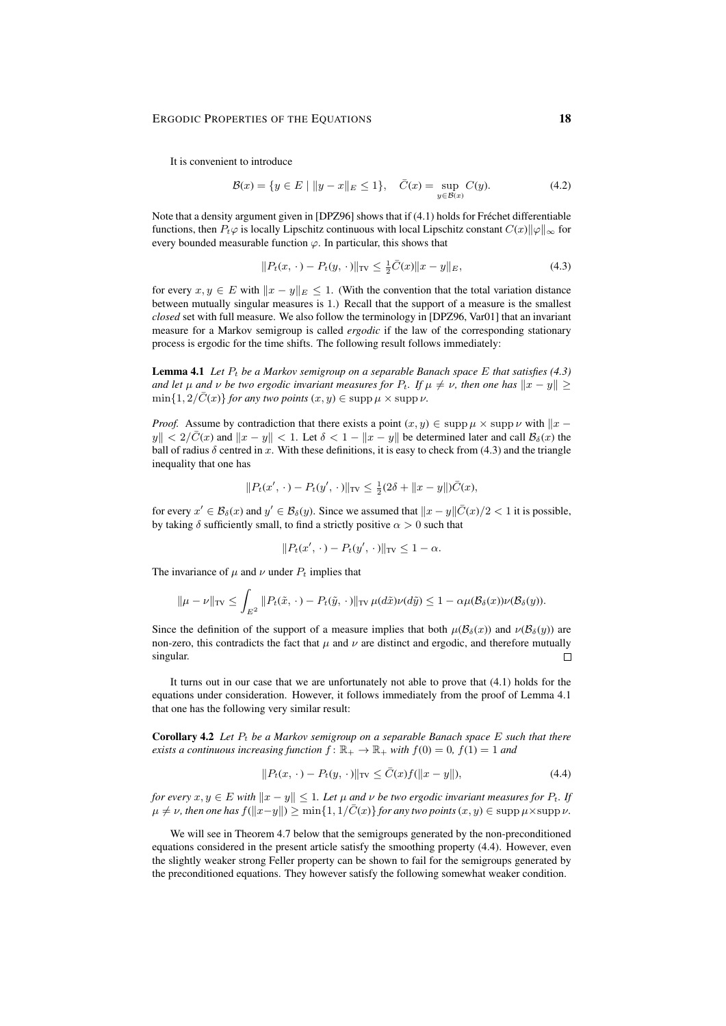It is convenient to introduce

$$
\mathcal{B}(x) = \{ y \in E \mid ||y - x||_E \le 1 \}, \quad \bar{C}(x) = \sup_{y \in \mathcal{B}(x)} C(y). \tag{4.2}
$$

Note that a density argument given in [DPZ96] shows that if (4.1) holds for Fréchet differentiable functions, then  $P_t\varphi$  is locally Lipschitz continuous with local Lipschitz constant  $C(x)\|\varphi\|_{\infty}$  for every bounded measurable function  $\varphi$ . In particular, this shows that

$$
||P_t(x, \cdot) - P_t(y, \cdot)||_{TV} \le \frac{1}{2}\overline{C}(x)||x - y||_E, \tag{4.3}
$$

for every  $x, y \in E$  with  $||x - y||_E \le 1$ . (With the convention that the total variation distance between mutually singular measures is 1.) Recall that the support of a measure is the smallest *closed* set with full measure. We also follow the terminology in [DPZ96, Var01] that an invariant measure for a Markov semigroup is called *ergodic* if the law of the corresponding stationary process is ergodic for the time shifts. The following result follows immediately:

**Lemma 4.1** Let  $P_t$  be a Markov semigroup on a separable Banach space E that satisfies (4.3) *and let*  $\mu$  *and*  $\nu$  *be two ergodic invariant measures for*  $P_t$ *. If*  $\mu \neq \nu$ *, then one has*  $\|x - y\| \ge$  $\min\{1, 2/\overline{C}(x)\}$  *for any two points*  $(x, y) \in \text{supp }\mu \times \text{supp }\nu$ .

*Proof.* Assume by contradiction that there exists a point  $(x, y) \in \text{supp }\mu \times \text{supp }\nu$  with  $||x - y||$  $|y|| < 2/\bar{C}(x)$  and  $||x - y|| < 1$ . Let  $\delta < 1 - ||x - y||$  be determined later and call  $\mathcal{B}_{\delta}(x)$  the ball of radius  $\delta$  centred in x. With these definitions, it is easy to check from (4.3) and the triangle inequality that one has

$$
||P_t(x', \cdot) - P_t(y', \cdot)||_{TV} \le \frac{1}{2}(2\delta + ||x - y||)\bar{C}(x),
$$

for every  $x' \in \mathcal{B}_{\delta}(x)$  and  $y' \in \mathcal{B}_{\delta}(y)$ . Since we assumed that  $||x - y||\overline{C}(x)/2 < 1$  it is possible, by taking  $\delta$  sufficiently small, to find a strictly positive  $\alpha > 0$  such that

$$
||P_t(x', \cdot) - P_t(y', \cdot)||_{TV} \leq 1 - \alpha.
$$

The invariance of  $\mu$  and  $\nu$  under  $P_t$  implies that

$$
\|\mu - \nu\|_{TV} \leq \int_{E^2} \|P_t(\tilde{x}, \cdot) - P_t(\tilde{y}, \cdot)\|_{TV} \, \mu(d\tilde{x}) \nu(d\tilde{y}) \leq 1 - \alpha \mu(\mathcal{B}_{\delta}(x)) \nu(\mathcal{B}_{\delta}(y)).
$$

Since the definition of the support of a measure implies that both  $\mu(\mathcal{B}_{\delta}(x))$  and  $\nu(\mathcal{B}_{\delta}(y))$  are non-zero, this contradicts the fact that  $\mu$  and  $\nu$  are distinct and ergodic, and therefore mutually singular.  $\Box$ 

It turns out in our case that we are unfortunately not able to prove that (4.1) holds for the equations under consideration. However, it follows immediately from the proof of Lemma 4.1 that one has the following very similar result:

Corollary 4.2 Let  $P_t$  be a Markov semigroup on a separable Banach space E such that there *exists a continuous increasing function*  $f: \mathbb{R}_+ \to \mathbb{R}_+$  *with*  $f(0) = 0$ ,  $f(1) = 1$  *and* 

$$
||P_t(x, \cdot) - P_t(y, \cdot)||_{TV} \le \bar{C}(x)f(||x - y||),
$$
\n(4.4)

*for every*  $x, y \in E$  *with*  $||x - y|| \leq 1$ *. Let*  $\mu$  *and*  $\nu$  *be two ergodic invariant measures for*  $P_t$ *. If*  $\mu \neq \nu$ , then one has  $f(\Vert x-y \Vert) \geq \min\{1, 1/\overline{C}(x)\}$  *for any two points*  $(x, y) \in \text{supp }\mu \times \text{supp }\nu$ .

We will see in Theorem 4.7 below that the semigroups generated by the non-preconditioned equations considered in the present article satisfy the smoothing property (4.4). However, even the slightly weaker strong Feller property can be shown to fail for the semigroups generated by the preconditioned equations. They however satisfy the following somewhat weaker condition.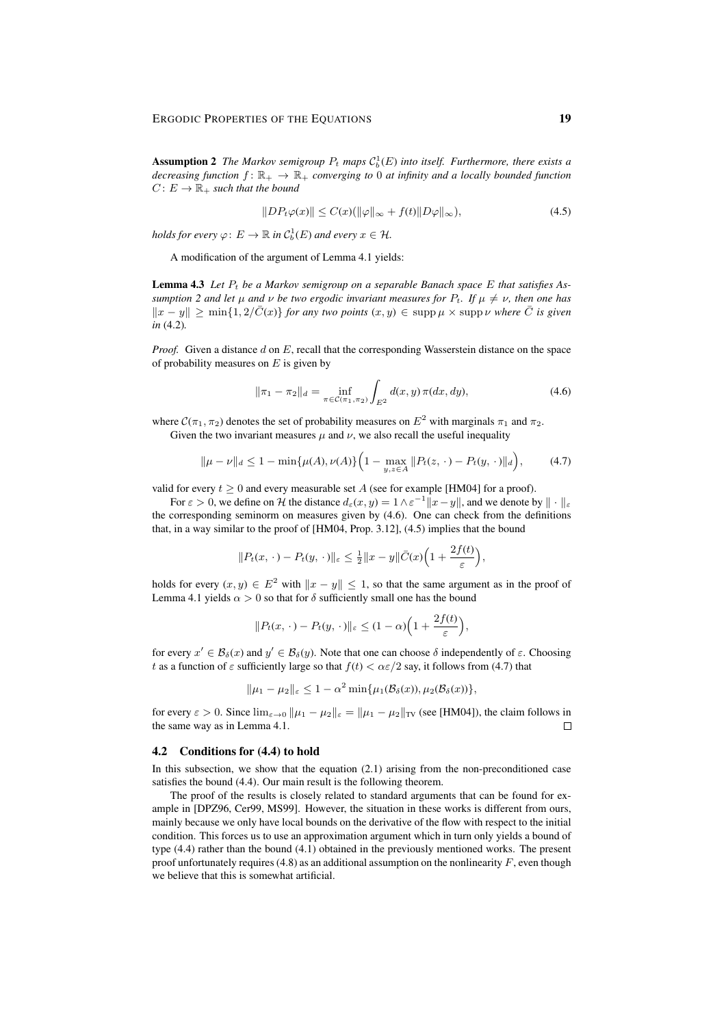**Assumption 2** The Markov semigroup  $P_t$  maps  $C_b^1(E)$  into itself. Furthermore, there exists a *decreasing function*  $f: \mathbb{R}_+ \to \mathbb{R}_+$  *converging to* 0 *at infinity and a locally bounded function*  $C: E \to \mathbb{R}_+$  *such that the bound* 

$$
||DP_t\varphi(x)|| \le C(x)(||\varphi||_{\infty} + f(t)||D\varphi||_{\infty}),
$$
\n(4.5)

*holds for every*  $\varphi: E \to \mathbb{R}$  *in*  $C_b^1(E)$  *and every*  $x \in \mathcal{H}$ *.* 

A modification of the argument of Lemma 4.1 yields:

Lemma 4.3 Let  $P_t$  be a Markov semigroup on a separable Banach space E that satisfies As*sumption 2 and let*  $\mu$  *and*  $\nu$  *be two ergodic invariant measures for*  $P_t$ *. If*  $\mu \neq \nu$ *, then one has*  $\|x - y\|$  ≥ min{1, 2/ $\overline{C}(x)$ } *for any two points*  $(x, y)$  ∈ supp  $\mu$  × supp  $\nu$  *where*  $\overline{C}$  *is given in* (4.2)*.*

*Proof.* Given a distance d on E, recall that the corresponding Wasserstein distance on the space of probability measures on  $E$  is given by

$$
\|\pi_1 - \pi_2\|_d = \inf_{\pi \in \mathcal{C}(\pi_1, \pi_2)} \int_{E^2} d(x, y) \,\pi(dx, dy),\tag{4.6}
$$

where  $C(\pi_1, \pi_2)$  denotes the set of probability measures on  $E^2$  with marginals  $\pi_1$  and  $\pi_2$ .

Given the two invariant measures  $\mu$  and  $\nu$ , we also recall the useful inequality

$$
\|\mu - \nu\|_d \le 1 - \min\{\mu(A), \nu(A)\} \Big(1 - \max_{y,z \in A} \|P_t(z, \cdot) - P_t(y, \cdot)\|_d\Big),\tag{4.7}
$$

valid for every  $t > 0$  and every measurable set A (see for example [HM04] for a proof).

For  $\varepsilon > 0$ , we define on H the distance  $d_{\varepsilon}(x, y) = 1 \wedge \varepsilon^{-1} ||x - y||$ , and we denote by  $|| \cdot ||_{\varepsilon}$ the corresponding seminorm on measures given by (4.6). One can check from the definitions that, in a way similar to the proof of [HM04, Prop. 3.12], (4.5) implies that the bound

$$
||P_t(x,\cdot)-P_t(y,\cdot)||_{\varepsilon}\leq \frac{1}{2}||x-y||\bar{C}(x)\Big(1+\frac{2f(t)}{\varepsilon}\Big),
$$

holds for every  $(x, y) \in E^2$  with  $||x - y|| \le 1$ , so that the same argument as in the proof of Lemma 4.1 yields  $\alpha > 0$  so that for  $\delta$  sufficiently small one has the bound

$$
||P_t(x,\cdot)-P_t(y,\cdot)||_{\varepsilon}\leq (1-\alpha)\Big(1+\frac{2f(t)}{\varepsilon}\Big),
$$

for every  $x' \in \mathcal{B}_{\delta}(x)$  and  $y' \in \mathcal{B}_{\delta}(y)$ . Note that one can choose  $\delta$  independently of  $\varepsilon$ . Choosing t as a function of  $\varepsilon$  sufficiently large so that  $f(t) < \alpha \varepsilon/2$  say, it follows from (4.7) that

$$
\|\mu_1-\mu_2\|_{\varepsilon}\leq 1-\alpha^2\min{\{\mu_1(\mathcal{B}_{\delta}(x)),\mu_2(\mathcal{B}_{\delta}(x))\}},
$$

for every  $\varepsilon > 0$ . Since  $\lim_{\varepsilon \to 0} ||\mu_1 - \mu_2||_{\varepsilon} = ||\mu_1 - \mu_2||_{TV}$  (see [HM04]), the claim follows in the same way as in Lemma 4.1.  $\Box$ 

### 4.2 Conditions for (4.4) to hold

In this subsection, we show that the equation  $(2.1)$  arising from the non-preconditioned case satisfies the bound (4.4). Our main result is the following theorem.

The proof of the results is closely related to standard arguments that can be found for example in [DPZ96, Cer99, MS99]. However, the situation in these works is different from ours, mainly because we only have local bounds on the derivative of the flow with respect to the initial condition. This forces us to use an approximation argument which in turn only yields a bound of type (4.4) rather than the bound (4.1) obtained in the previously mentioned works. The present proof unfortunately requires (4.8) as an additional assumption on the nonlinearity  $F$ , even though we believe that this is somewhat artificial.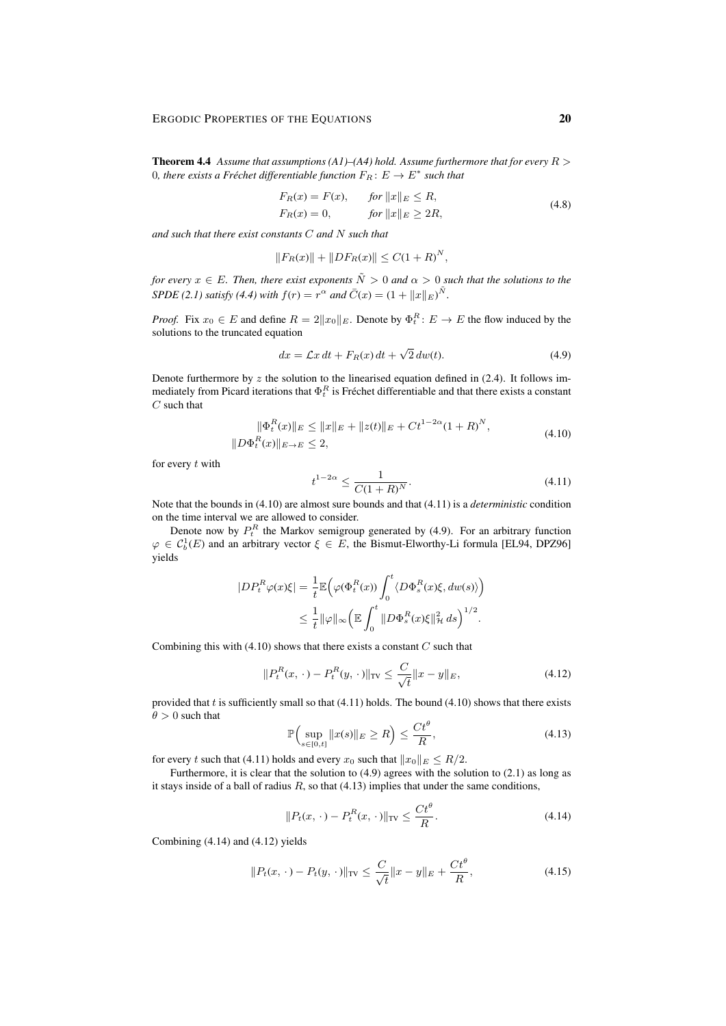**Theorem 4.4** *Assume that assumptions (A1)–(A4) hold. Assume furthermore that for every*  $R >$ 0, there exists a Fréchet differentiable function  $F_R: E \to E^*$  such that

$$
F_R(x) = F(x), \qquad \text{for } ||x||_E \le R,
$$
  
\n
$$
F_R(x) = 0, \qquad \text{for } ||x||_E \ge 2R,
$$
\n(4.8)

*and such that there exist constants* C *and* N *such that*

$$
||F_R(x)|| + ||DF_R(x)|| \le C(1 + R)^N,
$$

*for every*  $x \in E$ *. Then, there exist exponents*  $\tilde{N} > 0$  *and*  $\alpha > 0$  *such that the solutions to the SPDE* (2.1) satisfy (4.4) with  $f(r) = r^{\alpha}$  and  $\bar{C}(x) = (1 + ||x||_E)^{\tilde{N}}$ .

*Proof.* Fix  $x_0 \in E$  and define  $R = 2||x_0||_E$ . Denote by  $\Phi_t^R: E \to E$  the flow induced by the solutions to the truncated equation

$$
dx = \mathcal{L}x dt + F_R(x) dt + \sqrt{2} dw(t).
$$
 (4.9)

Denote furthermore by  $z$  the solution to the linearised equation defined in (2.4). It follows immediately from Picard iterations that  $\Phi^R_t$  is Fréchet differentiable and that there exists a constant  $C$  such that

$$
\|\Phi_t^R(x)\|_E \le \|x\|_E + \|z(t)\|_E + Ct^{1-2\alpha}(1+R)^N,
$$
  

$$
\|D\Phi_t^R(x)\|_{E\to E} \le 2,
$$
 (4.10)

for every  $t$  with

$$
t^{1-2\alpha} \le \frac{1}{C(1+R)^N}.\tag{4.11}
$$

Note that the bounds in (4.10) are almost sure bounds and that (4.11) is a *deterministic* condition on the time interval we are allowed to consider.

Denote now by  $P_t^R$  the Markov semigroup generated by (4.9). For an arbitrary function  $\varphi \in \mathcal{C}_b^1(E)$  and an arbitrary vector  $\xi \in E$ , the Bismut-Elworthy-Li formula [EL94, DPZ96] yields

$$
\begin{split} |DP_t^R \varphi(x)\xi| &= \frac{1}{t} \mathbb{E} \Big( \varphi(\Phi_t^R(x)) \int_0^t \langle D\Phi_s^R(x)\xi, dw(s) \rangle \Big) \\ &\leq \frac{1}{t} ||\varphi||_{\infty} \Big( \mathbb{E} \int_0^t ||D\Phi_s^R(x)\xi||_\mathcal{H}^2 ds \Big)^{1/2}. \end{split}
$$

Combining this with  $(4.10)$  shows that there exists a constant  $C$  such that

$$
||P_t^R(x, \cdot) - P_t^R(y, \cdot)||_{TV} \le \frac{C}{\sqrt{t}} ||x - y||_E, \tag{4.12}
$$

provided that  $t$  is sufficiently small so that  $(4.11)$  holds. The bound  $(4.10)$  shows that there exists  $\theta > 0$  such that

$$
\mathbb{P}\Big(\sup_{s\in[0,t]}\|x(s)\|_{E}\geq R\Big)\leq\frac{Ct^{\theta}}{R},\tag{4.13}
$$

for every t such that (4.11) holds and every  $x_0$  such that  $||x_0||_E \leq R/2$ .

Furthermore, it is clear that the solution to (4.9) agrees with the solution to (2.1) as long as it stays inside of a ball of radius  $R$ , so that (4.13) implies that under the same conditions,

$$
||P_t(x,\cdot) - P_t^R(x,\cdot)||_{\text{TV}} \le \frac{C t^{\theta}}{R}.
$$
\n(4.14)

Combining (4.14) and (4.12) yields

$$
||P_t(x, \cdot) - P_t(y, \cdot)||_{TV} \le \frac{C}{\sqrt{t}} ||x - y||_E + \frac{Ct^{\theta}}{R},
$$
\n(4.15)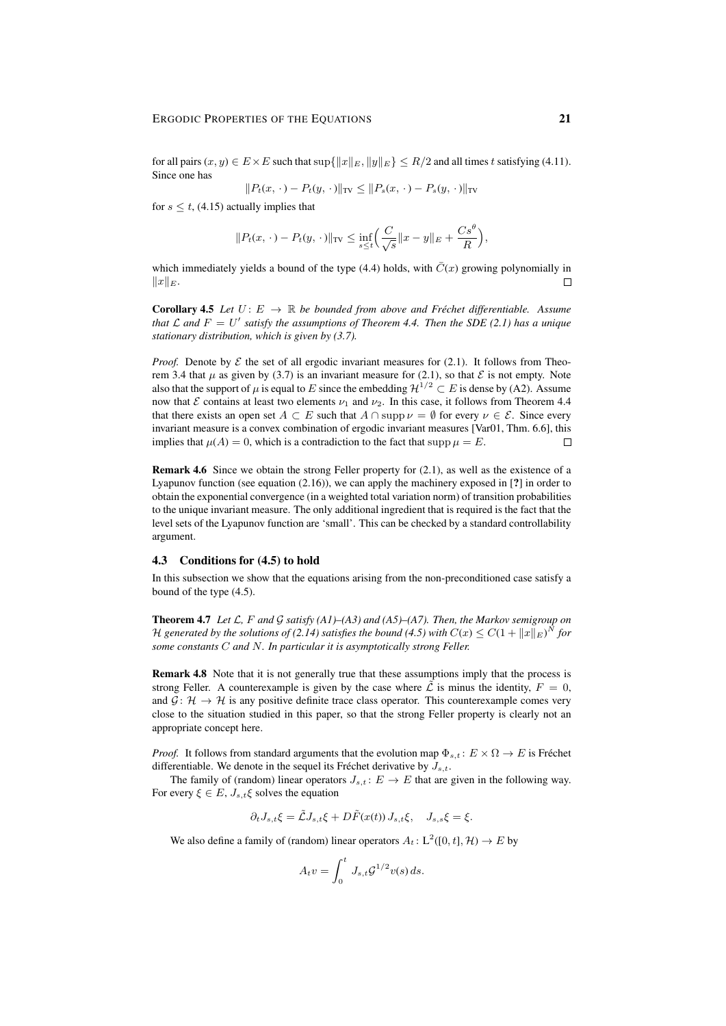for all pairs  $(x, y) \in E \times E$  such that  $\sup\{\Vert x \Vert_E, \Vert y \Vert_E\} \le R/2$  and all times t satisfying (4.11). Since one has  $R \times | \mathbb{R}^n \times \mathbb{R}^n \times \mathbb{R}^n \times \mathbb{R}^n \times \mathbb{R}^n$ 

$$
||P_t(x, \cdot) - P_t(y, \cdot)||_{TV} \le ||P_s(x, \cdot) - P_s(y, \cdot)||_{TV}
$$

for  $s \leq t$ , (4.15) actually implies that

$$
||P_t(x, \cdot) - P_t(y, \cdot)||_{TV} \le \inf_{s \le t} \left( \frac{C}{\sqrt{s}} ||x - y||_E + \frac{Cs^{\theta}}{R} \right),
$$

which immediately yields a bound of the type  $(4.4)$  holds, with  $C(x)$  growing polynomially in  $||x||_E.$  $\Box$ 

**Corollary 4.5** *Let*  $U: E \to \mathbb{R}$  *be bounded from above and Fréchet differentiable. Assume* that  $\mathcal L$  and  $F = U'$  satisfy the assumptions of Theorem 4.4. Then the SDE (2.1) has a unique *stationary distribution, which is given by (3.7).*

*Proof.* Denote by  $\mathcal E$  the set of all ergodic invariant measures for (2.1). It follows from Theorem 3.4 that  $\mu$  as given by (3.7) is an invariant measure for (2.1), so that  $\mathcal E$  is not empty. Note also that the support of  $\mu$  is equal to E since the embedding  $\mathcal{H}^{1/2} \subset E$  is dense by (A2). Assume now that  $\mathcal E$  contains at least two elements  $\nu_1$  and  $\nu_2$ . In this case, it follows from Theorem 4.4 that there exists an open set  $A \subset E$  such that  $A \cap \text{supp }\nu = \emptyset$  for every  $\nu \in \mathcal{E}$ . Since every invariant measure is a convex combination of ergodic invariant measures [Var01, Thm. 6.6], this implies that  $\mu(A) = 0$ , which is a contradiction to the fact that supp  $\mu = E$ .  $\Box$ 

Remark 4.6 Since we obtain the strong Feller property for (2.1), as well as the existence of a Lyapunov function (see equation (2.16)), we can apply the machinery exposed in [?] in order to obtain the exponential convergence (in a weighted total variation norm) of transition probabilities to the unique invariant measure. The only additional ingredient that is required is the fact that the level sets of the Lyapunov function are 'small'. This can be checked by a standard controllability argument.

### 4.3 Conditions for (4.5) to hold

In this subsection we show that the equations arising from the non-preconditioned case satisfy a bound of the type (4.5).

Theorem 4.7 *Let* L*,* F *and* G *satisfy (A1)–(A3) and (A5)–(A7). Then, the Markov semigroup on* H generated by the solutions of (2.14) satisfies the bound (4.5) with  $C(x) \leq C(1 + ||x||_E)^N$  for *some constants* C *and* N*. In particular it is asymptotically strong Feller.*

Remark 4.8 Note that it is not generally true that these assumptions imply that the process is strong Feller. A counterexample is given by the case where  $\tilde{\mathcal{L}}$  is minus the identity,  $F = 0$ , and  $\mathcal{G} \colon \mathcal{H} \to \mathcal{H}$  is any positive definite trace class operator. This counterexample comes very close to the situation studied in this paper, so that the strong Feller property is clearly not an appropriate concept here.

*Proof.* It follows from standard arguments that the evolution map  $\Phi_{s,t} : E \times \Omega \to E$  is Fréchet differentiable. We denote in the sequel its Fréchet derivative by  $J_{s,t}$ .

The family of (random) linear operators  $J_{s,t}$ :  $E \to E$  that are given in the following way. For every  $\xi \in E$ ,  $J_{s,t}\xi$  solves the equation

$$
\partial_t J_{s,t} \xi = \tilde{\mathcal{L}} J_{s,t} \xi + D \tilde{F}(x(t)) J_{s,t} \xi, \quad J_{s,s} \xi = \xi.
$$

We also define a family of (random) linear operators  $A_t: L^2([0, t], \mathcal{H}) \to E$  by

$$
A_t v = \int_0^t J_{s,t} \mathcal{G}^{1/2} v(s) ds.
$$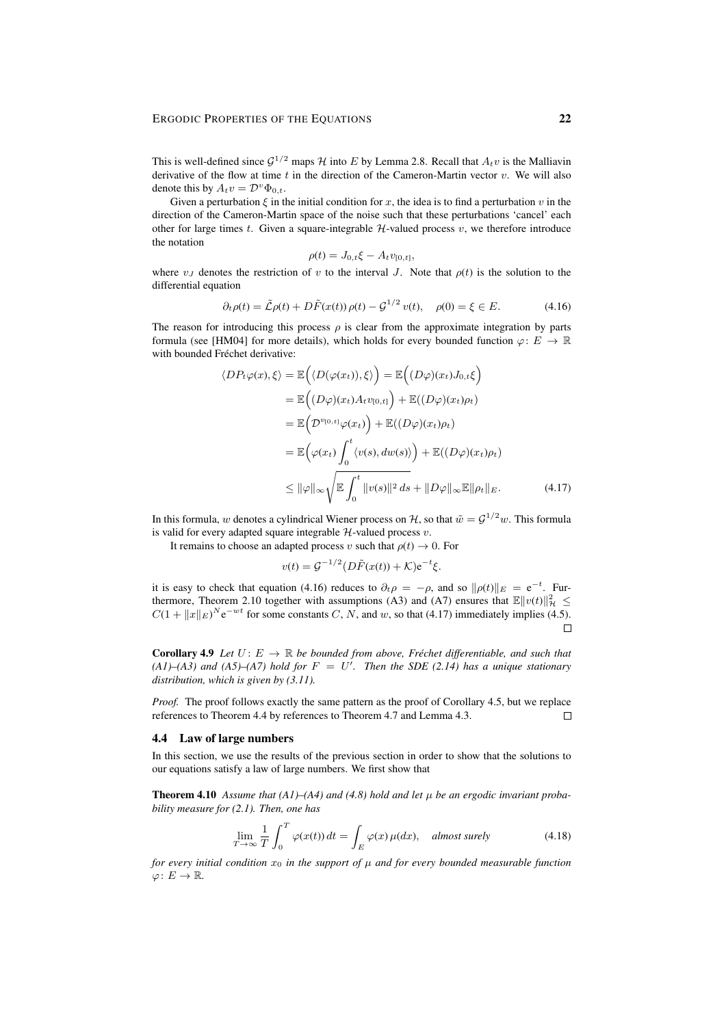This is well-defined since  $G^{1/2}$  maps H into E by Lemma 2.8. Recall that  $A_t v$  is the Malliavin derivative of the flow at time  $t$  in the direction of the Cameron-Martin vector  $v$ . We will also denote this by  $A_t v = \mathcal{D}^v \Phi_{0,t}$ .

Given a perturbation  $\xi$  in the initial condition for x, the idea is to find a perturbation v in the direction of the Cameron-Martin space of the noise such that these perturbations 'cancel' each other for large times t. Given a square-integrable  $H$ -valued process  $v$ , we therefore introduce the notation

$$
\rho(t) = J_{0,t} \xi - A_t v_{[0,t]},
$$

where  $v_J$  denotes the restriction of v to the interval J. Note that  $\rho(t)$  is the solution to the differential equation

$$
\partial_t \rho(t) = \tilde{\mathcal{L}} \rho(t) + D\tilde{F}(x(t)) \rho(t) - \mathcal{G}^{1/2} v(t), \quad \rho(0) = \xi \in E. \tag{4.16}
$$

The reason for introducing this process  $\rho$  is clear from the approximate integration by parts formula (see [HM04] for more details), which holds for every bounded function  $\varphi: E \to \mathbb{R}$ with bounded Fréchet derivative:

$$
\langle DP_t \varphi(x), \xi \rangle = \mathbb{E}\Big(\langle D(\varphi(x_t)), \xi \rangle\Big) = \mathbb{E}\Big((D\varphi)(x_t)J_{0,t}\xi\Big)
$$
  
\n
$$
= \mathbb{E}\Big((D\varphi)(x_t)A_t v_{[0,t]}\Big) + \mathbb{E}((D\varphi)(x_t)\rho_t)
$$
  
\n
$$
= \mathbb{E}\Big(\mathcal{D}^{v_{[0,t]}}\varphi(x_t)\Big) + \mathbb{E}((D\varphi)(x_t)\rho_t)
$$
  
\n
$$
= \mathbb{E}\Big(\varphi(x_t)\int_0^t \langle v(s), dw(s) \rangle\Big) + \mathbb{E}((D\varphi)(x_t)\rho_t)
$$
  
\n
$$
\leq ||\varphi||_{\infty} \sqrt{\mathbb{E}\int_0^t ||v(s)||^2 ds} + ||D\varphi||_{\infty} \mathbb{E}||\rho_t||_E.
$$
 (4.17)

In this formula,  $w$  denotes a cylindrical Wiener process on  $H$ , so that  $\tilde{w} = \mathcal{G}^{1/2}w$ . This formula is valid for every adapted square integrable  $H$ -valued process  $v$ .

It remains to choose an adapted process v such that  $\rho(t) \rightarrow 0$ . For

$$
v(t) = \mathcal{G}^{-1/2} (D\tilde{F}(x(t)) + \mathcal{K}) e^{-t} \xi.
$$

it is easy to check that equation (4.16) reduces to  $\partial_t \rho = -\rho$ , and so  $\|\rho(t)\|_E = e^{-t}$ . Furthermore, Theorem 2.10 together with assumptions (A3) and (A7) ensures that  $\mathbb{E}||v(t)||_{\mathcal{H}}^2 \leq$  $C(1 + ||x||_E)^N e^{-wt}$  for some constants C, N, and w, so that (4.17) immediately implies (4.5).  $\Box$ 

**Corollary 4.9** *Let*  $U: E \to \mathbb{R}$  *be bounded from above, Fréchet differentiable, and such that*  $(AI)$ – $(A3)$  and  $(A5)$ – $(A7)$  hold for  $F = U'$ . Then the SDE (2.14) has a unique stationary *distribution, which is given by (3.11).*

*Proof.* The proof follows exactly the same pattern as the proof of Corollary 4.5, but we replace references to Theorem 4.4 by references to Theorem 4.7 and Lemma 4.3.  $\Box$ 

#### 4.4 Law of large numbers

In this section, we use the results of the previous section in order to show that the solutions to our equations satisfy a law of large numbers. We first show that

**Theorem 4.10** Assume that  $(A1)$ – $(A4)$  and  $(4.8)$  hold and let  $\mu$  be an ergodic invariant proba*bility measure for (2.1). Then, one has*

$$
\lim_{T \to \infty} \frac{1}{T} \int_0^T \varphi(x(t)) dt = \int_E \varphi(x) \mu(dx), \quad \text{almost surely} \tag{4.18}
$$

*for every initial condition*  $x_0$  *in the support of*  $\mu$  *and for every bounded measurable function*  $\varphi\colon E\to\mathbb{R}$ .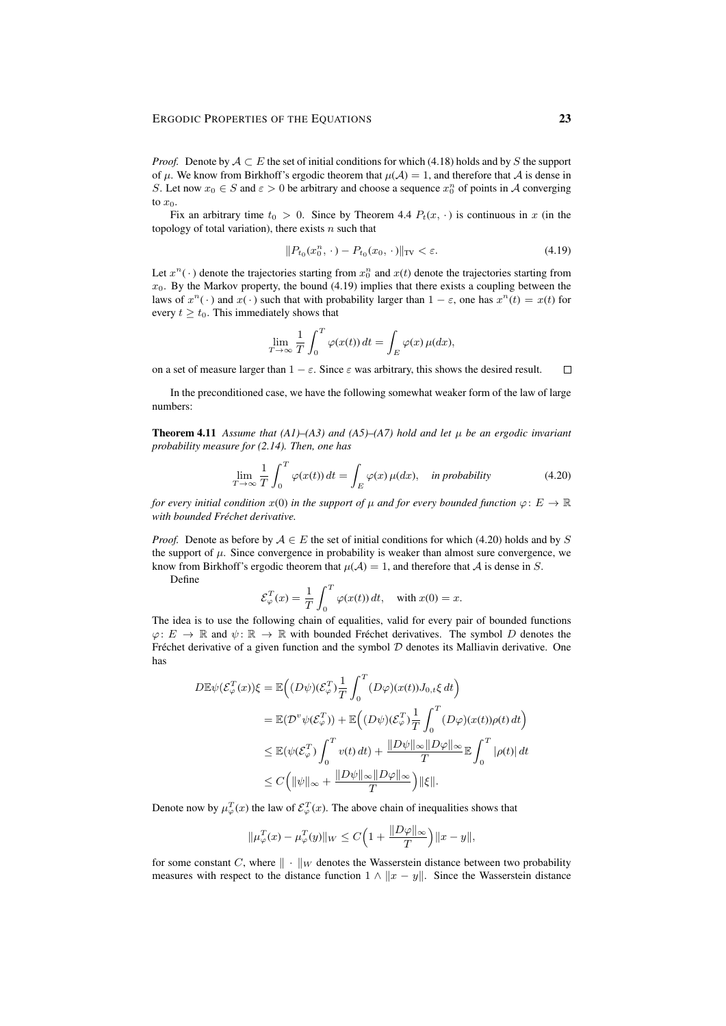*Proof.* Denote by  $A \subset E$  the set of initial conditions for which (4.18) holds and by S the support of  $\mu$ . We know from Birkhoff's ergodic theorem that  $\mu(\mathcal{A}) = 1$ , and therefore that  $\mathcal A$  is dense in S. Let now  $x_0 \in S$  and  $\varepsilon > 0$  be arbitrary and choose a sequence  $x_0^n$  of points in A converging to  $x_0$ .

Fix an arbitrary time  $t_0 > 0$ . Since by Theorem 4.4  $P_t(x, \cdot)$  is continuous in x (in the topology of total variation), there exists  $n$  such that

$$
||P_{t_0}(x_0^n, \cdot) - P_{t_0}(x_0, \cdot)||_{TV} < \varepsilon. \tag{4.19}
$$

Let  $x^n(\cdot)$  denote the trajectories starting from  $x_0^n$  and  $x(t)$  denote the trajectories starting from  $x_0$ . By the Markov property, the bound (4.19) implies that there exists a coupling between the laws of  $x^n(\cdot)$  and  $x(\cdot)$  such that with probability larger than  $1 - \varepsilon$ , one has  $x^n(t) = x(t)$  for every  $t \geq t_0$ . This immediately shows that

$$
\lim_{T \to \infty} \frac{1}{T} \int_0^T \varphi(x(t)) dt = \int_E \varphi(x) \mu(dx),
$$

on a set of measure larger than  $1 - \varepsilon$ . Since  $\varepsilon$  was arbitrary, this shows the desired result.  $\Box$ 

In the preconditioned case, we have the following somewhat weaker form of the law of large numbers:

**Theorem 4.11** Assume that (A1)–(A3) and (A5)–(A7) hold and let  $\mu$  be an ergodic invariant *probability measure for (2.14). Then, one has*

$$
\lim_{T \to \infty} \frac{1}{T} \int_0^T \varphi(x(t)) dt = \int_E \varphi(x) \mu(dx), \quad \text{in probability}
$$
\n(4.20)

*for every initial condition*  $x(0)$  *in the support of*  $\mu$  *and for every bounded function*  $\varphi: E \to \mathbb{R}$  $with$  *bounded Fréchet derivative.* 

*Proof.* Denote as before by  $A \in E$  the set of initial conditions for which (4.20) holds and by S the support of  $\mu$ . Since convergence in probability is weaker than almost sure convergence, we know from Birkhoff's ergodic theorem that  $\mu(A) = 1$ , and therefore that A is dense in S.

Define

$$
\mathcal{E}_{\varphi}^{T}(x) = \frac{1}{T} \int_{0}^{T} \varphi(x(t)) dt, \quad \text{with } x(0) = x.
$$

The idea is to use the following chain of equalities, valid for every pair of bounded functions  $\varphi: E \to \mathbb{R}$  and  $\psi: \mathbb{R} \to \mathbb{R}$  with bounded Fréchet derivatives. The symbol D denotes the Fréchet derivative of a given function and the symbol  $D$  denotes its Malliavin derivative. One has

$$
D \mathbb{E} \psi(\mathcal{E}_{\varphi}^{T}(x)) \xi = \mathbb{E} \Big( (D \psi)(\mathcal{E}_{\varphi}^{T}) \frac{1}{T} \int_{0}^{T} (D \varphi)(x(t)) J_{0,t} \xi dt \Big)
$$
  
\n
$$
= \mathbb{E} (\mathcal{D}^{v} \psi(\mathcal{E}_{\varphi}^{T})) + \mathbb{E} \Big( (D \psi)(\mathcal{E}_{\varphi}^{T}) \frac{1}{T} \int_{0}^{T} (D \varphi)(x(t)) \rho(t) dt \Big)
$$
  
\n
$$
\leq \mathbb{E} (\psi(\mathcal{E}_{\varphi}^{T}) \int_{0}^{T} v(t) dt) + \frac{\|D \psi\|_{\infty} \|D \varphi\|_{\infty}}{T} \mathbb{E} \int_{0}^{T} |\rho(t)| dt
$$
  
\n
$$
\leq C \Big( \|\psi\|_{\infty} + \frac{\|D \psi\|_{\infty} \|D \varphi\|_{\infty}}{T} \Big) \|\xi\|.
$$

Denote now by  $\mu_{\varphi}^{T}(x)$  the law of  $\mathcal{E}_{\varphi}^{T}(x)$ . The above chain of inequalities shows that

$$
\|\mu_{\varphi}^T(x) - \mu_{\varphi}^T(y)\|_{W} \le C\Big(1 + \frac{\|D\varphi\|_{\infty}}{T}\Big)\|x - y\|,
$$

for some constant C, where  $\|\cdot\|_W$  denotes the Wasserstein distance between two probability measures with respect to the distance function  $1 \wedge ||x - y||$ . Since the Wasserstein distance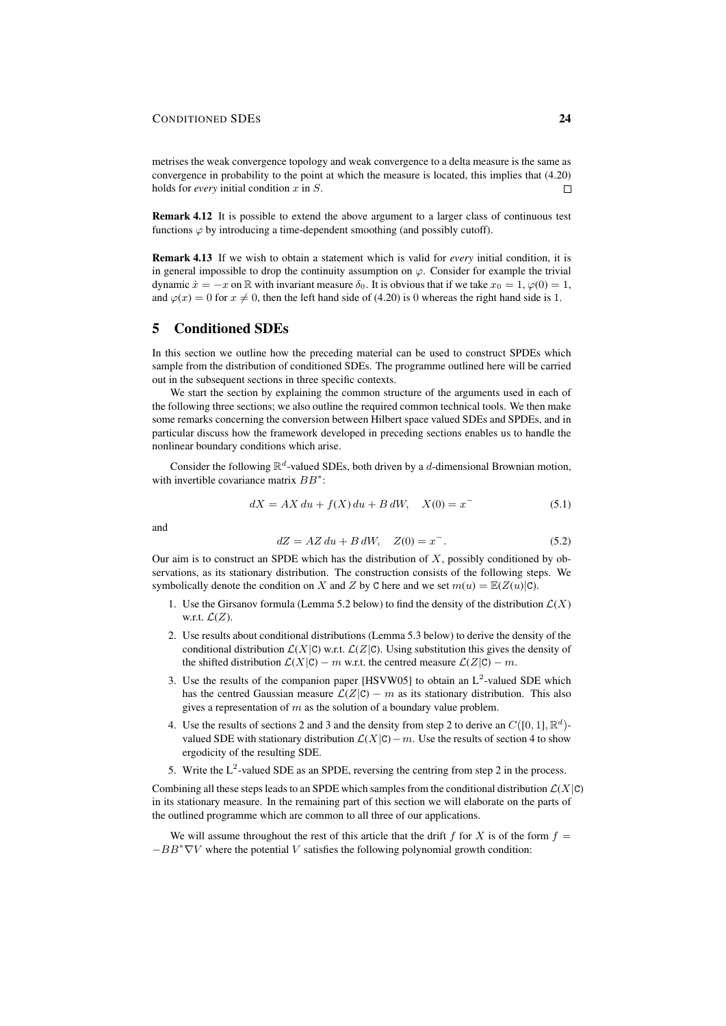metrises the weak convergence topology and weak convergence to a delta measure is the same as convergence in probability to the point at which the measure is located, this implies that (4.20) holds for *every* initial condition x in S.  $\Box$ 

Remark 4.12 It is possible to extend the above argument to a larger class of continuous test functions  $\varphi$  by introducing a time-dependent smoothing (and possibly cutoff).

Remark 4.13 If we wish to obtain a statement which is valid for *every* initial condition, it is in general impossible to drop the continuity assumption on  $\varphi$ . Consider for example the trivial dynamic  $\dot{x} = -x$  on R with invariant measure  $\delta_0$ . It is obvious that if we take  $x_0 = 1$ ,  $\varphi(0) = 1$ , and  $\varphi(x) = 0$  for  $x \neq 0$ , then the left hand side of (4.20) is 0 whereas the right hand side is 1.

# 5 Conditioned SDEs

In this section we outline how the preceding material can be used to construct SPDEs which sample from the distribution of conditioned SDEs. The programme outlined here will be carried out in the subsequent sections in three specific contexts.

We start the section by explaining the common structure of the arguments used in each of the following three sections; we also outline the required common technical tools. We then make some remarks concerning the conversion between Hilbert space valued SDEs and SPDEs, and in particular discuss how the framework developed in preceding sections enables us to handle the nonlinear boundary conditions which arise.

Consider the following  $\mathbb{R}^d$ -valued SDEs, both driven by a d-dimensional Brownian motion, with invertible covariance matrix  $BB^*$ :

$$
dX = AX\,du + f(X)\,du + B\,dW, \quad X(0) = x^{-}
$$
\n(5.1)

and

$$
dZ = AZ\,du + B\,dW, \quad Z(0) = x^{-}.
$$
\n(5.2)

Our aim is to construct an SPDE which has the distribution of  $X$ , possibly conditioned by observations, as its stationary distribution. The construction consists of the following steps. We symbolically denote the condition on X and Z by C here and we set  $m(u) = \mathbb{E}(Z(u)|C)$ .

- 1. Use the Girsanov formula (Lemma 5.2 below) to find the density of the distribution  $\mathcal{L}(X)$ w.r.t.  $\mathcal{L}(Z)$ .
- 2. Use results about conditional distributions (Lemma 5.3 below) to derive the density of the conditional distribution  $\mathcal{L}(X|\mathbf{C})$  w.r.t.  $\mathcal{L}(Z|\mathbf{C})$ . Using substitution this gives the density of the shifted distribution  $\mathcal{L}(X|\mathbf{C}) - m$  w.r.t. the centred measure  $\mathcal{L}(Z|\mathbf{C}) - m$ .
- 3. Use the results of the companion paper [HSVW05] to obtain an  $L^2$ -valued SDE which has the centred Gaussian measure  $\mathcal{L}(Z|\mathbf{C}) - m$  as its stationary distribution. This also gives a representation of  $m$  as the solution of a boundary value problem.
- 4. Use the results of sections 2 and 3 and the density from step 2 to derive an  $C([0,1], \mathbb{R}^d)$ valued SDE with stationary distribution  $\mathcal{L}(X|\mathbf{C})-m$ . Use the results of section 4 to show ergodicity of the resulting SDE.
- 5. Write the  $L^2$ -valued SDE as an SPDE, reversing the centring from step 2 in the process.

Combining all these steps leads to an SPDE which samples from the conditional distribution  $\mathcal{L}(X|\mathbf{C})$ in its stationary measure. In the remaining part of this section we will elaborate on the parts of the outlined programme which are common to all three of our applications.

We will assume throughout the rest of this article that the drift f for X is of the form  $f =$  $-BB<sup>*</sup>$ V where the potential V satisfies the following polynomial growth condition: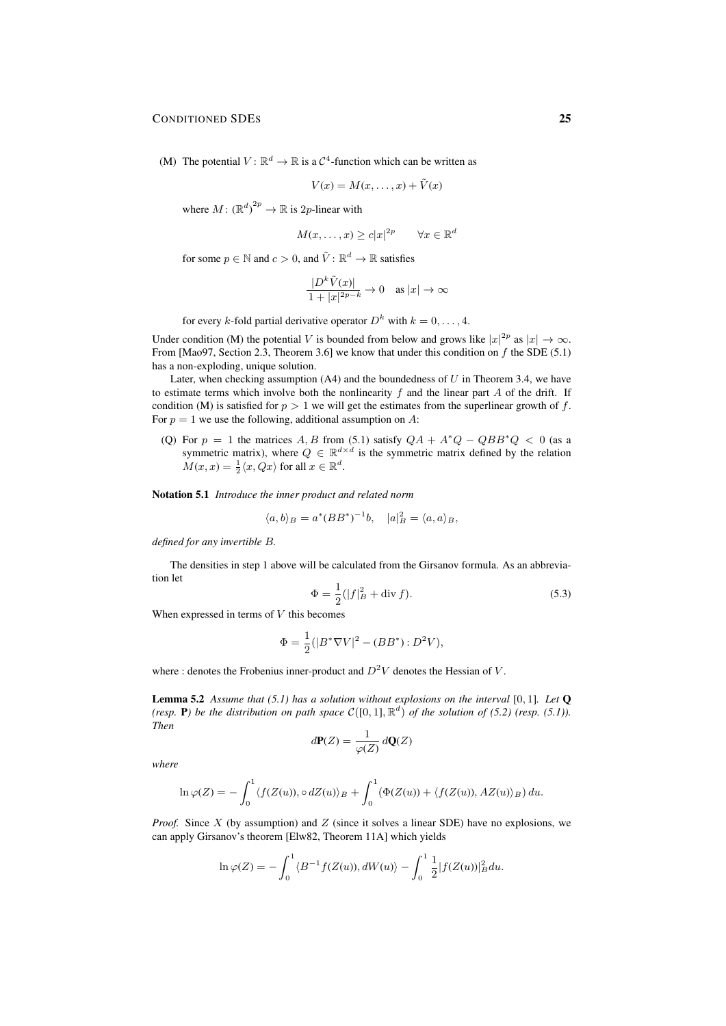(M) The potential  $V: \mathbb{R}^d \to \mathbb{R}$  is a  $C^4$ -function which can be written as

$$
V(x) = M(x, \dots, x) + \tilde{V}(x)
$$

where  $M: (\mathbb{R}^d)^{2p} \to \mathbb{R}$  is 2p-linear with

$$
M(x, \dots, x) \ge c|x|^{2p} \qquad \forall x \in \mathbb{R}^d
$$

for some  $p \in \mathbb{N}$  and  $c > 0$ , and  $\tilde{V} : \mathbb{R}^d \to \mathbb{R}$  satisfies

$$
\frac{|D^k \tilde{V}(x)|}{1+|x|^{2p-k}} \to 0 \quad \text{as } |x| \to \infty
$$

for every k-fold partial derivative operator  $D^k$  with  $k = 0, \ldots, 4$ .

Under condition (M) the potential V is bounded from below and grows like  $|x|^{2p}$  as  $|x| \to \infty$ . From [Mao97, Section 2.3, Theorem 3.6] we know that under this condition on  $f$  the SDE (5.1) has a non-exploding, unique solution.

Later, when checking assumption  $(A4)$  and the boundedness of U in Theorem 3.4, we have to estimate terms which involve both the nonlinearity  $f$  and the linear part  $A$  of the drift. If condition (M) is satisfied for  $p > 1$  we will get the estimates from the superlinear growth of f. For  $p = 1$  we use the following, additional assumption on A:

(Q) For  $p = 1$  the matrices A, B from (5.1) satisfy  $QA + A^*Q - QBB^*Q < 0$  (as a symmetric matrix), where  $Q \in \mathbb{R}^{d \times d}$  is the symmetric matrix defined by the relation  $M(x, x) = \frac{1}{2}\langle x, Qx \rangle$  for all  $x \in \mathbb{R}^d$ .

Notation 5.1 *Introduce the inner product and related norm*

$$
\langle a, b \rangle_B = a^* (BB^*)^{-1}b, \quad |a|_B^2 = \langle a, a \rangle_B,
$$

*defined for any invertible* B*.*

The densities in step 1 above will be calculated from the Girsanov formula. As an abbreviation let

$$
\Phi = \frac{1}{2} (|f|_B^2 + \text{div } f). \tag{5.3}
$$

When expressed in terms of  $V$  this becomes

$$
\Phi = \frac{1}{2} (|B^* \nabla V|^2 - (BB^*) : D^2 V),
$$

where : denotes the Frobenius inner-product and  $D^2V$  denotes the Hessian of V.

Lemma 5.2 *Assume that (5.1) has a solution without explosions on the interval* [0, 1]*. Let* Q *(resp.* **P**) *be the distribution on path space*  $C([0,1], \mathbb{R}^d)$  *of the solution of (5.2) (resp. (5.1)). Then*

$$
d\mathbf{P}(Z) = \frac{1}{\varphi(Z)} d\mathbf{Q}(Z)
$$

*where*

$$
\ln \varphi(Z) = -\int_0^1 \langle f(Z(u)), \circ dZ(u) \rangle_B + \int_0^1 (\Phi(Z(u)) + \langle f(Z(u)), AZ(u) \rangle_B) du.
$$

*Proof.* Since X (by assumption) and Z (since it solves a linear SDE) have no explosions, we can apply Girsanov's theorem [Elw82, Theorem 11A] which yields

$$
\ln \varphi(Z) = -\int_0^1 \langle B^{-1} f(Z(u)), dW(u) \rangle - \int_0^1 \frac{1}{2} |f(Z(u))|_B^2 du.
$$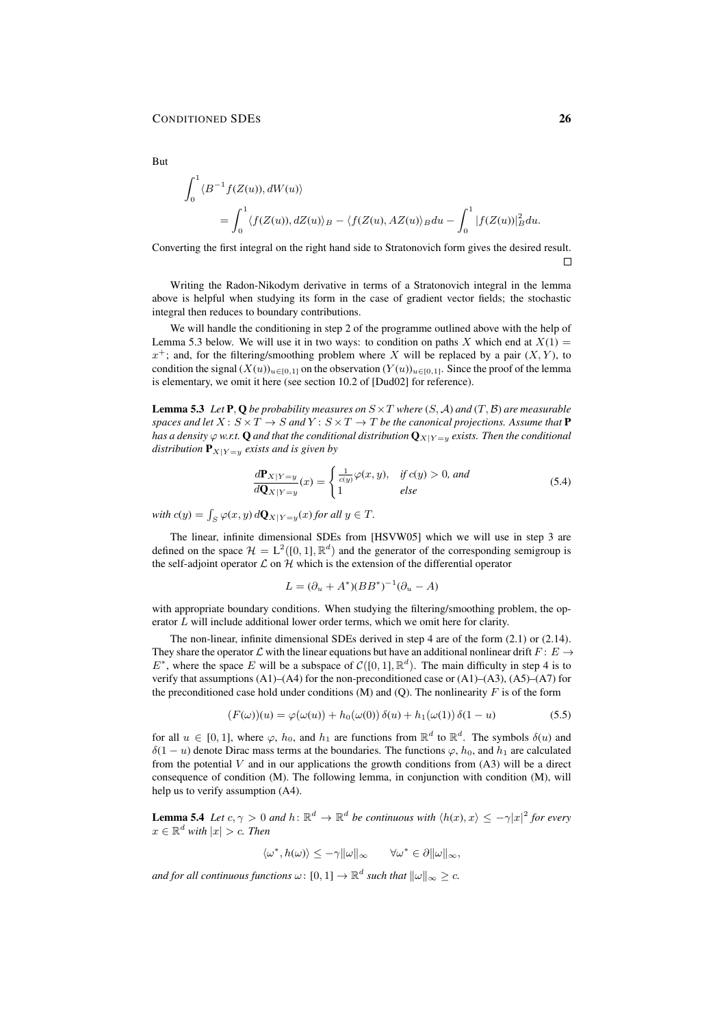$$
\int_0^1 \langle B^{-1}f(Z(u)), dW(u) \rangle
$$
  
= 
$$
\int_0^1 \langle f(Z(u)), dZ(u) \rangle_B - \langle f(Z(u), AZ(u)) \rangle_B du - \int_0^1 |f(Z(u))|_B^2 du.
$$

Converting the first integral on the right hand side to Stratonovich form gives the desired result.

 $\Box$ 

Writing the Radon-Nikodym derivative in terms of a Stratonovich integral in the lemma above is helpful when studying its form in the case of gradient vector fields; the stochastic integral then reduces to boundary contributions.

We will handle the conditioning in step 2 of the programme outlined above with the help of Lemma 5.3 below. We will use it in two ways: to condition on paths X which end at  $X(1) =$  $x^+$ ; and, for the filtering/smoothing problem where X will be replaced by a pair  $(X, Y)$ , to condition the signal  $(X(u))_{u\in[0,1]}$  on the observation  $(Y(u))_{u\in[0,1]}$ . Since the proof of the lemma is elementary, we omit it here (see section 10.2 of [Dud02] for reference).

**Lemma 5.3** Let **P**, Q be probability measures on  $S \times T$  where  $(S, \mathcal{A})$  and  $(T, \mathcal{B})$  are measurable *spaces and let*  $X: S \times T \to S$  *and*  $Y: S \times T \to T$  *be the canonical projections. Assume that* **P** *has a density*  $\varphi$  *w.r.t.* Q *and that the conditional distribution*  $Q_{X|Y=y}$  *exists. Then the conditional distribution*  $P_{X|Y=y}$  *exists and is given by* 

$$
\frac{d\mathbf{P}_{X|Y=y}}{d\mathbf{Q}_{X|Y=y}}(x) = \begin{cases} \frac{1}{c(y)}\varphi(x,y), & \text{if } c(y) > 0, \text{ and} \\ 1 & \text{else} \end{cases}
$$
(5.4)

with  $c(y) = \int_S \varphi(x, y) d\mathbf{Q}_{X|Y=y}(x)$  *for all*  $y \in T$ *.* 

The linear, infinite dimensional SDEs from [HSVW05] which we will use in step 3 are defined on the space  $\mathcal{H} = L^2([0,1], \mathbb{R}^d)$  and the generator of the corresponding semigroup is the self-adjoint operator  $\mathcal L$  on  $\mathcal H$  which is the extension of the differential operator

$$
L = (\partial_u + A^*)(BB^*)^{-1}(\partial_u - A)
$$

with appropriate boundary conditions. When studying the filtering/smoothing problem, the operator L will include additional lower order terms, which we omit here for clarity.

The non-linear, infinite dimensional SDEs derived in step 4 are of the form (2.1) or (2.14). They share the operator L with the linear equations but have an additional nonlinear drift  $F: E \rightarrow$  $E^*$ , where the space E will be a subspace of  $C([0,1], \mathbb{R}^d)$ . The main difficulty in step 4 is to verify that assumptions  $(A1)$ – $(A4)$  for the non-preconditioned case or  $(A1)$ – $(A3)$ ,  $(A5)$ – $(A7)$  for the preconditioned case hold under conditions  $(M)$  and  $(Q)$ . The nonlinearity F is of the form

$$
(F(\omega))(u) = \varphi(\omega(u)) + h_0(\omega(0)) \delta(u) + h_1(\omega(1)) \delta(1 - u)
$$
\n(5.5)

for all  $u \in [0, 1]$ , where  $\varphi$ ,  $h_0$ , and  $h_1$  are functions from  $\mathbb{R}^d$  to  $\mathbb{R}^d$ . The symbols  $\delta(u)$  and δ(1 – *u*) denote Dirac mass terms at the boundaries. The functions  $\varphi$ ,  $h_0$ , and  $h_1$  are calculated from the potential  $V$  and in our applications the growth conditions from  $(A3)$  will be a direct consequence of condition (M). The following lemma, in conjunction with condition (M), will help us to verify assumption (A4).

**Lemma 5.4** Let  $c, \gamma > 0$  and  $h: \mathbb{R}^d \to \mathbb{R}^d$  be continuous with  $\langle h(x), x \rangle \leq -\gamma |x|^2$  for every  $x \in \mathbb{R}^d$  with  $|x| > c$ . Then

 $\langle \omega^*, h(\omega) \rangle \leq -\gamma \|\omega\|_{\infty} \quad \forall \omega^* \in \partial \|\omega\|_{\infty},$ 

and for all continuous functions  $\omega \colon [0,1] \to \mathbb{R}^d$  such that  $\|\omega\|_{\infty} \geq c$ .

But

 $\overline{u}$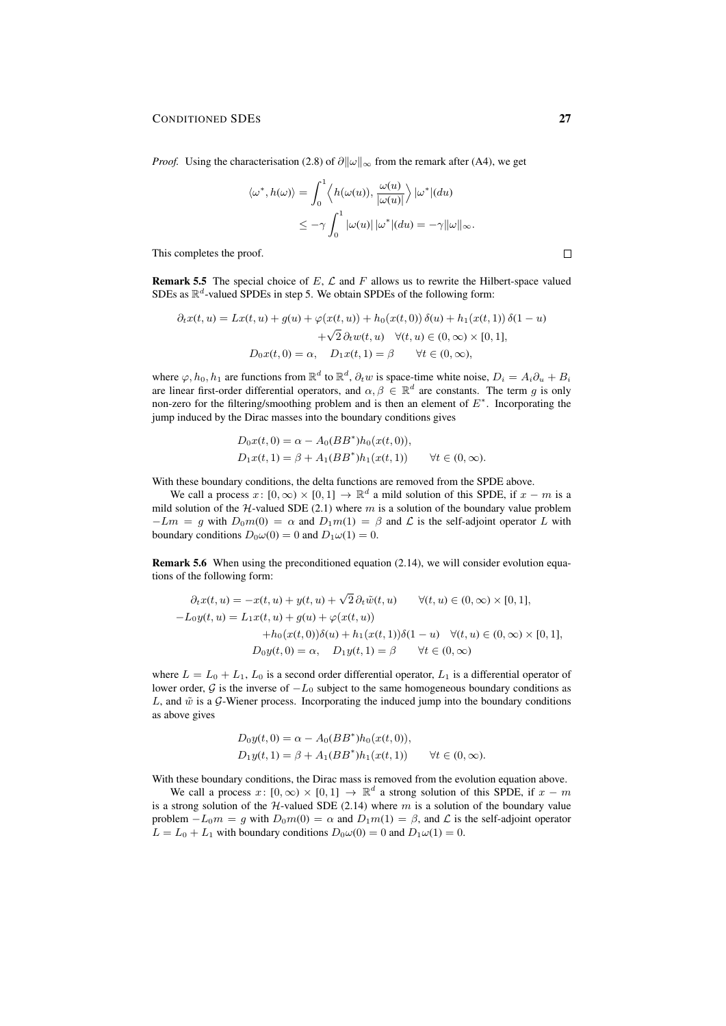*Proof.* Using the characterisation (2.8) of  $\partial ||\omega||_{\infty}$  from the remark after (A4), we get

$$
\langle \omega^*, h(\omega) \rangle = \int_0^1 \langle h(\omega(u)), \frac{\omega(u)}{|\omega(u)|} \rangle |\omega^*| (du)
$$
  

$$
\leq -\gamma \int_0^1 |\omega(u)| |\omega^*| (du) = -\gamma ||\omega||_{\infty}.
$$

This completes the proof.

**Remark 5.5** The special choice of E,  $\mathcal{L}$  and F allows us to rewrite the Hilbert-space valued SDEs as  $\mathbb{R}^d$ -valued SPDEs in step 5. We obtain SPDEs of the following form:

$$
\partial_t x(t, u) = Lx(t, u) + g(u) + \varphi(x(t, u)) + h_0(x(t, 0)) \delta(u) + h_1(x(t, 1)) \delta(1 - u)
$$

$$
+ \sqrt{2} \partial_t w(t, u) \quad \forall (t, u) \in (0, \infty) \times [0, 1],
$$

$$
D_0 x(t, 0) = \alpha, \quad D_1 x(t, 1) = \beta \qquad \forall t \in (0, \infty),
$$

where  $\varphi, h_0, h_1$  are functions from  $\mathbb{R}^d$  to  $\mathbb{R}^d$ ,  $\partial_t w$  is space-time white noise,  $D_i = A_i \partial_u + B_i$ are linear first-order differential operators, and  $\alpha, \beta \in \mathbb{R}^d$  are constants. The term g is only non-zero for the filtering/smoothing problem and is then an element of  $E^*$ . Incorporating the jump induced by the Dirac masses into the boundary conditions gives

$$
D_0x(t, 0) = \alpha - A_0(BB^*)h_0(x(t, 0)),
$$
  
\n
$$
D_1x(t, 1) = \beta + A_1(BB^*)h_1(x(t, 1)) \qquad \forall t \in (0, \infty).
$$

With these boundary conditions, the delta functions are removed from the SPDE above.

We call a process  $x: [0, \infty) \times [0, 1] \to \mathbb{R}^d$  a mild solution of this SPDE, if  $x - m$  is a mild solution of the  $H$ -valued SDE (2.1) where m is a solution of the boundary value problem  $-Lm = g$  with  $D_0m(0) = \alpha$  and  $D_1m(1) = \beta$  and  $\mathcal L$  is the self-adjoint operator L with boundary conditions  $D_0\omega(0) = 0$  and  $D_1\omega(1) = 0$ .

Remark 5.6 When using the preconditioned equation (2.14), we will consider evolution equations of the following form:

$$
\partial_t x(t, u) = -x(t, u) + y(t, u) + \sqrt{2} \partial_t \tilde{w}(t, u) \qquad \forall (t, u) \in (0, \infty) \times [0, 1],
$$
  
\n
$$
-L_0 y(t, u) = L_1 x(t, u) + g(u) + \varphi(x(t, u))
$$
  
\n
$$
+ h_0 (x(t, 0)) \delta(u) + h_1 (x(t, 1)) \delta(1 - u) \quad \forall (t, u) \in (0, \infty) \times [0, 1],
$$
  
\n
$$
D_0 y(t, 0) = \alpha, \quad D_1 y(t, 1) = \beta \qquad \forall t \in (0, \infty)
$$

where  $L = L_0 + L_1$ ,  $L_0$  is a second order differential operator,  $L_1$  is a differential operator of lower order,  $G$  is the inverse of  $-L_0$  subject to the same homogeneous boundary conditions as L, and  $\tilde{w}$  is a G-Wiener process. Incorporating the induced jump into the boundary conditions as above gives

$$
D_0y(t,0) = \alpha - A_0(BB^*)h_0(x(t,0)),
$$
  
\n
$$
D_1y(t,1) = \beta + A_1(BB^*)h_1(x(t,1)) \qquad \forall t \in (0,\infty).
$$

With these boundary conditions, the Dirac mass is removed from the evolution equation above.

We call a process  $x: [0, \infty) \times [0, 1] \rightarrow \mathbb{R}^d$  a strong solution of this SPDE, if  $x - m$ is a strong solution of the  $H$ -valued SDE (2.14) where m is a solution of the boundary value problem  $-L_0m = g$  with  $D_0m(0) = \alpha$  and  $D_1m(1) = \beta$ , and  $\mathcal L$  is the self-adjoint operator  $L = L_0 + L_1$  with boundary conditions  $D_0 \omega(0) = 0$  and  $D_1 \omega(1) = 0$ .

 $\Box$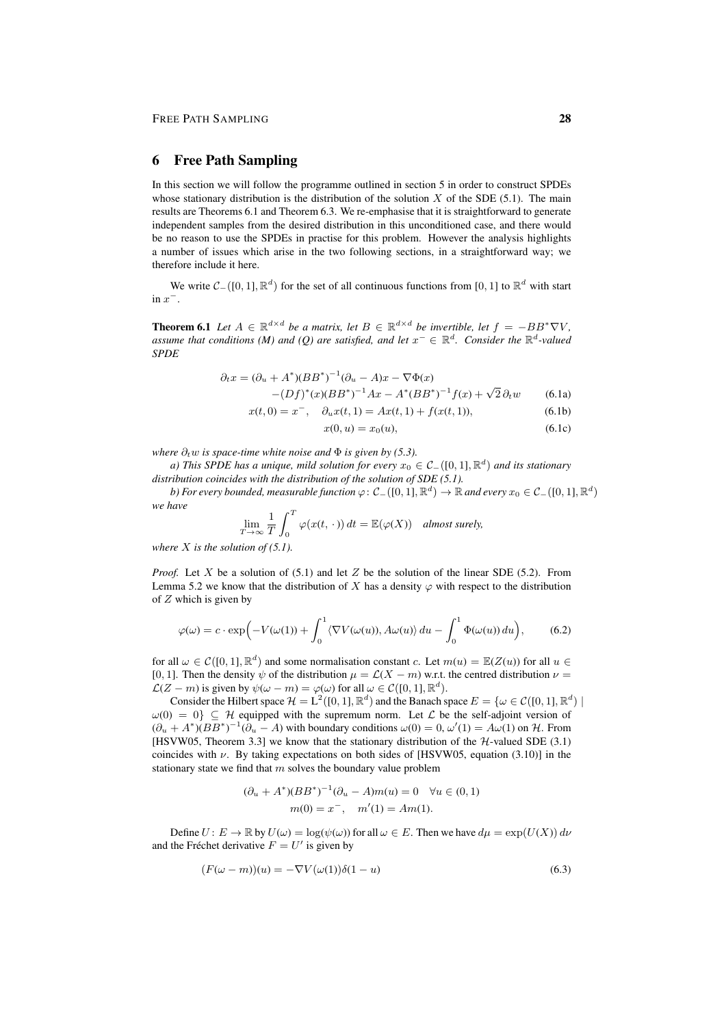### 6 Free Path Sampling

In this section we will follow the programme outlined in section 5 in order to construct SPDEs whose stationary distribution is the distribution of the solution  $X$  of the SDE (5.1). The main results are Theorems 6.1 and Theorem 6.3. We re-emphasise that it is straightforward to generate independent samples from the desired distribution in this unconditioned case, and there would be no reason to use the SPDEs in practise for this problem. However the analysis highlights a number of issues which arise in the two following sections, in a straightforward way; we therefore include it here.

We write  $C_{-}([0,1], \mathbb{R}^{d})$  for the set of all continuous functions from [0, 1] to  $\mathbb{R}^{d}$  with start  $\sin x^{-}$ .

**Theorem 6.1** Let  $A \in \mathbb{R}^{d \times d}$  be a matrix, let  $B \in \mathbb{R}^{d \times d}$  be invertible, let  $f = -BB^* \nabla V$ , assume that conditions (M) and (Q) are satisfied, and let  $x^- \in \mathbb{R}^d$ . Consider the  $\mathbb{R}^d$ -valued *SPDE*

$$
\partial_t x = (\partial_u + A^*)(BB^*)^{-1}(\partial_u - A)x - \nabla \Phi(x) -(Df)^*(x)(BB^*)^{-1}Ax - A^*(BB^*)^{-1}f(x) + \sqrt{2}\,\partial_t w
$$
 (6.1a)

$$
x(t,0) = x^{-}, \quad \partial_{u}x(t,1) = Ax(t,1) + f(x(t,1)), \tag{6.1b}
$$

$$
x(0, u) = x_0(u), \t\t(6.1c)
$$

*where*  $\partial_t w$  *is space-time white noise and*  $\Phi$  *is given by (5.3).* 

*a)* This SPDE has a unique, mild solution for every  $x_0 \in C_-([0,1], \mathbb{R}^d)$  and its stationary *distribution coincides with the distribution of the solution of SDE (5.1).*

*b) For every bounded, measurable function*  $\varphi\colon\mathcal{C}_-([0,1],\mathbb{R}^d)\to\mathbb{R}$  *and every*  $x_0\in\mathcal{C}_-([0,1],\mathbb{R}^d)$ *we have*

$$
\lim_{T \to \infty} \frac{1}{T} \int_0^T \varphi(x(t, \cdot)) dt = \mathbb{E}(\varphi(X)) \quad \text{almost surely,}
$$

*where* X *is the solution of (5.1).*

*Proof.* Let X be a solution of (5.1) and let Z be the solution of the linear SDE (5.2). From Lemma 5.2 we know that the distribution of X has a density  $\varphi$  with respect to the distribution of  $Z$  which is given by

$$
\varphi(\omega) = c \cdot \exp\left(-V(\omega(1)) + \int_0^1 \langle \nabla V(\omega(u)), A\omega(u) \rangle du - \int_0^1 \Phi(\omega(u)) du\right),\tag{6.2}
$$

for all  $\omega \in \mathcal{C}([0,1], \mathbb{R}^d)$  and some normalisation constant c. Let  $m(u) = \mathbb{E}(Z(u))$  for all  $u \in$ [0, 1]. Then the density  $\psi$  of the distribution  $\mu = \mathcal{L}(X - m)$  w.r.t. the centred distribution  $\nu =$  $\mathcal{L}(Z - m)$  is given by  $\psi(\omega - m) = \varphi(\omega)$  for all  $\omega \in \mathcal{C}([0, 1], \mathbb{R}^d)$ .

Consider the Hilbert space  $\mathcal{H} = L^2([0,1], \mathbb{R}^d)$  and the Banach space  $E = \{\omega \in \mathcal{C}([0,1], \mathbb{R}^d) \mid \omega\}$  $\omega(0) = 0$   $\subset \mathcal{H}$  equipped with the supremum norm. Let  $\mathcal{L}$  be the self-adjoint version of  $(\partial_u + A^*)(BB^*)^{-1}(\partial_u - A)$  with boundary conditions  $\omega(0) = 0$ ,  $\omega'(1) = A\omega(1)$  on H. From [HSVW05, Theorem 3.3] we know that the stationary distribution of the  $H$ -valued SDE (3.1) coincides with  $\nu$ . By taking expectations on both sides of [HSVW05, equation (3.10)] in the stationary state we find that  $m$  solves the boundary value problem

$$
(\partial_u + A^*)(BB^*)^{-1}(\partial_u - A)m(u) = 0 \quad \forall u \in (0, 1)
$$

$$
m(0) = x^-, \quad m'(1) = Am(1).
$$

Define  $U: E \to \mathbb{R}$  by  $U(\omega) = \log(\psi(\omega))$  for all  $\omega \in E$ . Then we have  $d\mu = \exp(U(X)) d\nu$ and the Fréchet derivative  $F = U'$  is given by

$$
(F(\omega - m))(u) = -\nabla V(\omega(1))\delta(1 - u)
$$
\n(6.3)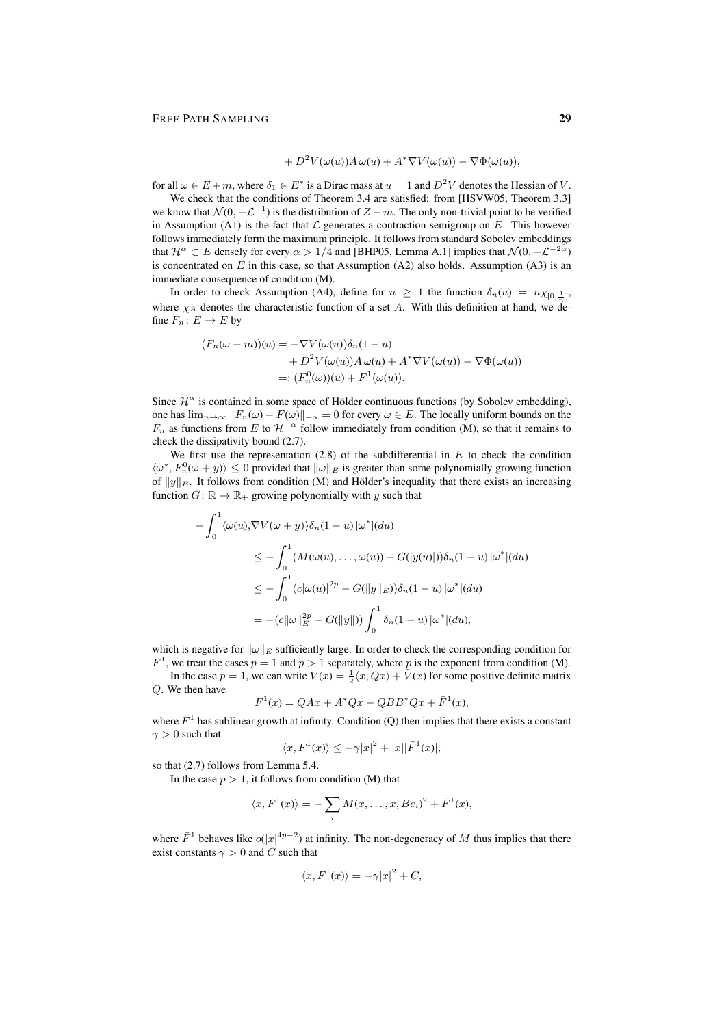$$
+ D2 V(\omega(u)) A \omega(u) + A* \nabla V(\omega(u)) - \nabla \Phi(\omega(u)),
$$

for all  $\omega \in E+m$ , where  $\delta_1 \in E^*$  is a Dirac mass at  $u=1$  and  $D^2V$  denotes the Hessian of V.

We check that the conditions of Theorem 3.4 are satisfied: from [HSVW05, Theorem 3.3] we know that  $\mathcal{N}(0, -\mathcal{L}^{-1})$  is the distribution of  $Z - m$ . The only non-trivial point to be verified in Assumption (A1) is the fact that  $\mathcal L$  generates a contraction semigroup on E. This however follows immediately form the maximum principle. It follows from standard Sobolev embeddings that  $\mathcal{H}^{\alpha} \subset E$  densely for every  $\alpha > 1/4$  and [BHP05, Lemma A.1] implies that  $\mathcal{N}(0, -\mathcal{L}^{-2\alpha})$ is concentrated on  $E$  in this case, so that Assumption (A2) also holds. Assumption (A3) is an immediate consequence of condition (M).

In order to check Assumption (A4), define for  $n \geq 1$  the function  $\delta_n(u) = n \chi_{[0, \frac{1}{n}]},$ where  $\chi_A$  denotes the characteristic function of a set A. With this definition at hand, we define  $F_n: E \to E$  by

$$
(F_n(\omega - m))(u) = -\nabla V(\omega(u))\delta_n(1 - u)
$$
  
+  $D^2 V(\omega(u))A \omega(u) + A^* \nabla V(\omega(u)) - \nabla \Phi(\omega(u))$   
=:  $(F_n^0(\omega))(u) + F^1(\omega(u)).$ 

Since  $\mathcal{H}^{\alpha}$  is contained in some space of Hölder continuous functions (by Sobolev embedding), one has  $\lim_{n\to\infty} ||F_n(\omega) - F(\omega)||_{-\alpha} = 0$  for every  $\omega \in E$ . The locally uniform bounds on the  $F_n$  as functions from E to  $\mathcal{H}^{-\alpha}$  follow immediately from condition (M), so that it remains to check the dissipativity bound (2.7).

We first use the representation  $(2.8)$  of the subdifferential in E to check the condition  $\langle \omega^*, F_n^0(\omega + y) \rangle \leq 0$  provided that  $\|\omega\|_E$  is greater than some polynomially growing function of  $||y||_E$ . It follows from condition (M) and Hölder's inequality that there exists an increasing function  $G: \mathbb{R} \to \mathbb{R}_+$  growing polynomially with y such that

$$
-\int_0^1 \langle \omega(u), \nabla V(\omega + y) \rangle \delta_n(1 - u) | \omega^* | (du)
$$
  
\n
$$
\leq -\int_0^1 (M(\omega(u), \dots, \omega(u)) - G(|y(u)|)) \delta_n(1 - u) | \omega^* | (du)
$$
  
\n
$$
\leq -\int_0^1 (c|\omega(u)|^{2p} - G(||y||_E)) \delta_n(1 - u) | \omega^* | (du)
$$
  
\n
$$
= - (c||\omega||_E^{2p} - G(||y||)) \int_0^1 \delta_n(1 - u) | \omega^* | (du),
$$

which is negative for  $\|\omega\|_E$  sufficiently large. In order to check the corresponding condition for  $F<sup>1</sup>$ , we treat the cases  $p = 1$  and  $p > 1$  separately, where p is the exponent from condition (M).

In the case  $p = 1$ , we can write  $V(x) = \frac{1}{2}\langle x, Qx \rangle + \tilde{V}(x)$  for some positive definite matrix Q. We then have

$$
F^{1}(x) = QAx + A^{*}Qx - QBB^{*}Qx + \bar{F}^{1}(x),
$$

where  $\bar{F}^1$  has sublinear growth at infinity. Condition (Q) then implies that there exists a constant  $\gamma > 0$  such that

$$
\langle x, F^1(x) \rangle \le -\gamma |x|^2 + |x||\overline{F}^1(x)|,
$$

so that (2.7) follows from Lemma 5.4.

In the case  $p > 1$ , it follows from condition (M) that

$$
\langle x, F^1(x) \rangle = -\sum_i M(x, \dots, x, Be_i)^2 + \bar{F}^1(x),
$$

where  $\bar{F}^1$  behaves like  $o(|x|^{4p-2})$  at infinity. The non-degeneracy of M thus implies that there exist constants  $\gamma > 0$  and C such that

$$
\langle x, F^1(x) \rangle = -\gamma |x|^2 + C,
$$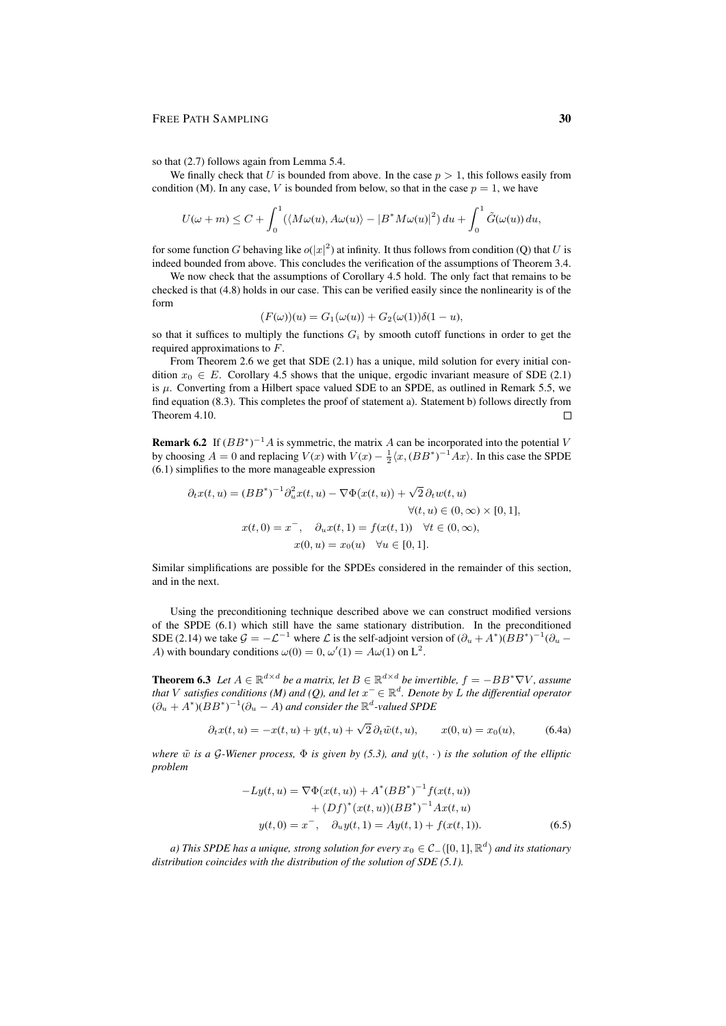#### FREE PATH SAMPLING 30

so that (2.7) follows again from Lemma 5.4.

We finally check that U is bounded from above. In the case  $p > 1$ , this follows easily from condition (M). In any case, V is bounded from below, so that in the case  $p = 1$ , we have

$$
U(\omega+m)\leq C+\int_0^1(\langle M\omega(u),A\omega(u)\rangle-|B^*M\omega(u)|^2)\,du+\int_0^1\tilde{G}(\omega(u))\,du,
$$

for some function G behaving like  $o(|x|^2)$  at infinity. It thus follows from condition (Q) that U is indeed bounded from above. This concludes the verification of the assumptions of Theorem 3.4.

We now check that the assumptions of Corollary 4.5 hold. The only fact that remains to be checked is that (4.8) holds in our case. This can be verified easily since the nonlinearity is of the form

$$
(F(\omega))(u) = G_1(\omega(u)) + G_2(\omega(1))\delta(1-u),
$$

so that it suffices to multiply the functions  $G_i$  by smooth cutoff functions in order to get the required approximations to F.

From Theorem 2.6 we get that SDE (2.1) has a unique, mild solution for every initial condition  $x_0 \in E$ . Corollary 4.5 shows that the unique, ergodic invariant measure of SDE (2.1) is  $\mu$ . Converting from a Hilbert space valued SDE to an SPDE, as outlined in Remark 5.5, we find equation (8.3). This completes the proof of statement a). Statement b) follows directly from Theorem 4.10.  $\Box$ 

**Remark 6.2** If  $(BB^*)^{-1}A$  is symmetric, the matrix A can be incorporated into the potential V by choosing  $A = 0$  and replacing  $V(x)$  with  $V(x) - \frac{1}{2} \langle x, (BB^*)^{-1} Ax \rangle$ . In this case the SPDE (6.1) simplifies to the more manageable expression

$$
\partial_t x(t, u) = (BB^*)^{-1} \partial_u^2 x(t, u) - \nabla \Phi(x(t, u)) + \sqrt{2} \partial_t w(t, u)
$$
  

$$
\forall (t, u) \in (0, \infty) \times [0, 1],
$$
  

$$
x(t, 0) = x^-, \quad \partial_u x(t, 1) = f(x(t, 1)) \quad \forall t \in (0, \infty),
$$
  

$$
x(0, u) = x_0(u) \quad \forall u \in [0, 1].
$$

Similar simplifications are possible for the SPDEs considered in the remainder of this section, and in the next.

Using the preconditioning technique described above we can construct modified versions of the SPDE (6.1) which still have the same stationary distribution. In the preconditioned SDE (2.14) we take  $G = -\mathcal{L}^{-1}$  where  $\mathcal L$  is the self-adjoint version of  $(\partial_u + A^*)(BB^*)^{-1}(\partial_u -$ A) with boundary conditions  $\omega(0) = 0$ ,  $\omega'(1) = A\omega(1)$  on  $L^2$ .

**Theorem 6.3** Let  $A \in \mathbb{R}^{d \times d}$  be a matrix, let  $B \in \mathbb{R}^{d \times d}$  be invertible,  $f = -BB^* \nabla V$ , assume *that* V satisfies conditions (M) and (Q), and let  $x^- \in \mathbb{R}^d$ . Denote by L the differential operator  $(\partial_u + A^*)(BB^*)^{-1}(\partial_u - A)$  and consider the  $\mathbb{R}^d$ -valued SPDE

$$
\partial_t x(t, u) = -x(t, u) + y(t, u) + \sqrt{2} \partial_t \tilde{w}(t, u), \qquad x(0, u) = x_0(u), \tag{6.4a}
$$

*where*  $\tilde{w}$  *is a* G-Wiener process,  $\Phi$  *is given by (5.3), and y(t, ·) is the solution of the elliptic problem*

$$
-Ly(t, u) = \nabla \Phi(x(t, u)) + A^*(BB^*)^{-1} f(x(t, u))
$$
  
+ 
$$
(Df)^*(x(t, u))(BB^*)^{-1} Ax(t, u)
$$
  

$$
y(t, 0) = x^-, \quad \partial_u y(t, 1) = Ay(t, 1) + f(x(t, 1)).
$$
 (6.5)

a) This SPDE has a unique, strong solution for every  $x_0 \in \mathcal{C}_-([0,1], \mathbb{R}^d)$  and its stationary *distribution coincides with the distribution of the solution of SDE (5.1).*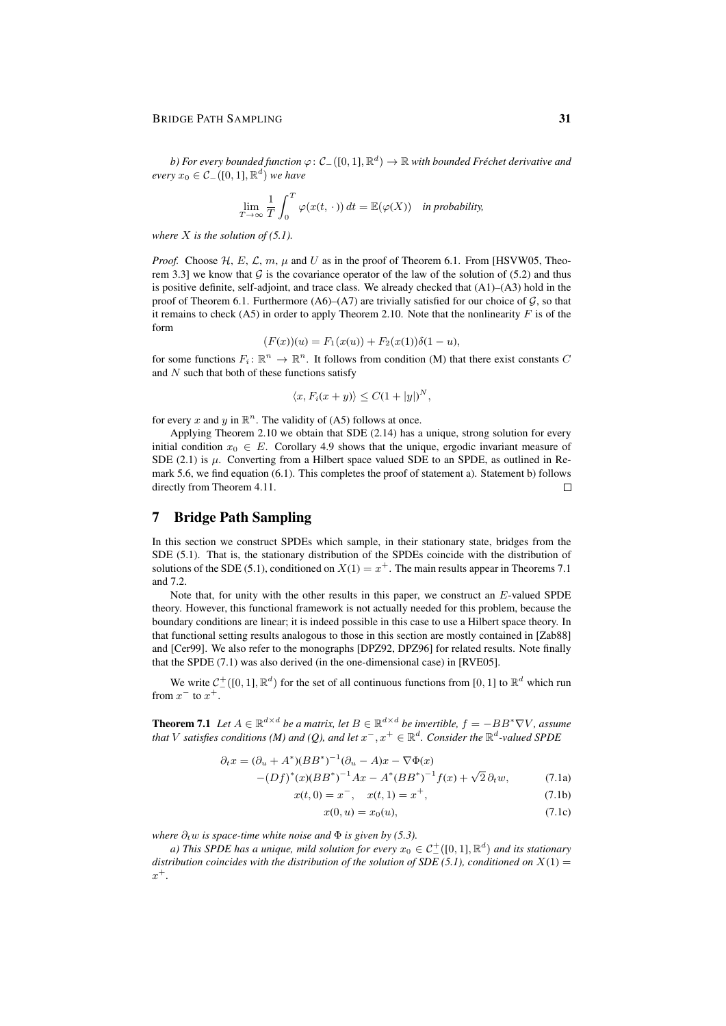#### BRIDGE PATH SAMPLING 31

 $b$ ) For every bounded function  $\varphi \colon \mathcal{C}_-([0,1],{\mathbb R}^d) \to {\mathbb R}$  with bounded Fréchet derivative and *every*  $x_0$  ∈  $C_-([0,1], \mathbb{R}^d)$  *we have* 

$$
\lim_{T \to \infty} \frac{1}{T} \int_0^T \varphi(x(t, \cdot)) dt = \mathbb{E}(\varphi(X)) \text{ in probability,}
$$

*where* X *is the solution of (5.1).*

*Proof.* Choose  $H$ , E,  $\mathcal{L}$ ,  $m$ ,  $\mu$  and  $U$  as in the proof of Theorem 6.1. From [HSVW05, Theorem 3.3] we know that  $G$  is the covariance operator of the law of the solution of (5.2) and thus is positive definite, self-adjoint, and trace class. We already checked that  $(A1)$ – $(A3)$  hold in the proof of Theorem 6.1. Furthermore (A6)–(A7) are trivially satisfied for our choice of  $G$ , so that it remains to check  $(AS)$  in order to apply Theorem 2.10. Note that the nonlinearity  $F$  is of the form

$$
(F(x))(u) = F_1(x(u)) + F_2(x(1))\delta(1-u),
$$

for some functions  $F_i: \mathbb{R}^n \to \mathbb{R}^n$ . It follows from condition (M) that there exist constants C and  $N$  such that both of these functions satisfy

$$
\langle x, F_i(x+y) \rangle \le C(1+|y|)^N,
$$

for every x and y in  $\mathbb{R}^n$ . The validity of (A5) follows at once.

Applying Theorem 2.10 we obtain that SDE (2.14) has a unique, strong solution for every initial condition  $x_0 \in E$ . Corollary 4.9 shows that the unique, ergodic invariant measure of SDE (2.1) is  $\mu$ . Converting from a Hilbert space valued SDE to an SPDE, as outlined in Remark 5.6, we find equation (6.1). This completes the proof of statement a). Statement b) follows directly from Theorem 4.11.  $\Box$ 

# 7 Bridge Path Sampling

In this section we construct SPDEs which sample, in their stationary state, bridges from the SDE (5.1). That is, the stationary distribution of the SPDEs coincide with the distribution of solutions of the SDE (5.1), conditioned on  $X(1) = x^+$ . The main results appear in Theorems 7.1 and 7.2.

Note that, for unity with the other results in this paper, we construct an  $E$ -valued SPDE theory. However, this functional framework is not actually needed for this problem, because the boundary conditions are linear; it is indeed possible in this case to use a Hilbert space theory. In that functional setting results analogous to those in this section are mostly contained in [Zab88] and [Cer99]. We also refer to the monographs [DPZ92, DPZ96] for related results. Note finally that the SPDE (7.1) was also derived (in the one-dimensional case) in [RVE05].

We write  $C_{-}^{+}([0,1], \mathbb{R}^d)$  for the set of all continuous functions from [0, 1] to  $\mathbb{R}^d$  which run from  $x^-$  to  $x^+$ .

**Theorem 7.1** Let  $A \in \mathbb{R}^{d \times d}$  be a matrix, let  $B \in \mathbb{R}^{d \times d}$  be invertible,  $f = -BB^* \nabla V$ , assume that V satisfies conditions (M) and (Q), and let  $x^{-}$ ,  $x^{+} \in \mathbb{R}^{d}$ . Consider the  $\mathbb{R}^{d}$ -valued SPDE

$$
\partial_t x = (\partial_u + A^*)(BB^*)^{-1}(\partial_u - A)x - \nabla \Phi(x)
$$
  
-(*Df*)^\*(x)(BB^\*)^{-1}Ax - A^\*(BB^\*)^{-1}f(x) + \sqrt{2}\partial\_t w, (7.1a)

$$
(Df)^{*}(x)(BB^{*})^{-1}Ax - A^{*}(BB^{*})^{-1}f(x) + \sqrt{2}\,\partial_{t}w,\tag{7.1a}
$$

$$
x(t,0) = x^{-}, \quad x(t,1) = x^{+}, \tag{7.1b}
$$

$$
x(0, u) = x_0(u), \t\t(7.1c)
$$

*where*  $\partial_t w$  *is space-time white noise and*  $\Phi$  *is given by (5.3).* 

a) This SPDE has a unique, mild solution for every  $x_0 \in C^+_-([0,1], \mathbb{R}^d)$  and its stationary *distribution coincides with the distribution of the solution of SDE (5.1), conditioned on*  $X(1)$  = x +*.*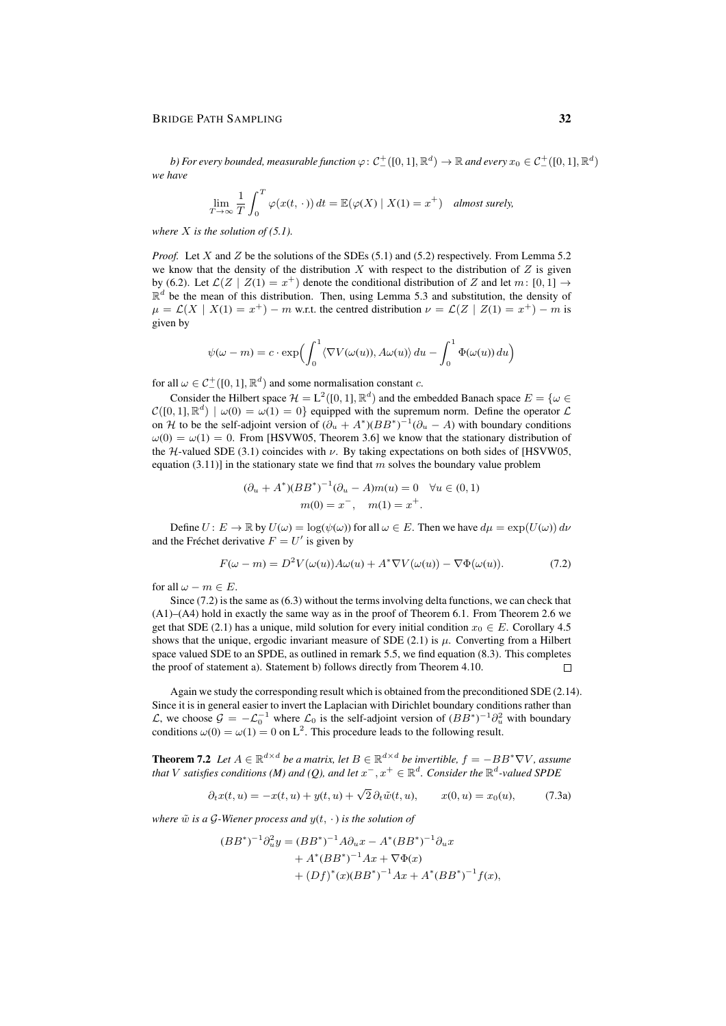b) For every bounded, measurable function  $\varphi\colon\mathcal C^+_-([0,1],\mathbb R^d)\to\mathbb R$  and every  $x_0\in\mathcal C^+_-([0,1],\mathbb R^d)$ *we have*

$$
\lim_{T \to \infty} \frac{1}{T} \int_0^T \varphi(x(t, \cdot)) dt = \mathbb{E}(\varphi(X) | X(1) = x^+) \quad \text{almost surely},
$$

*where* X *is the solution of (5.1).*

*Proof.* Let X and Z be the solutions of the SDEs (5.1) and (5.2) respectively. From Lemma 5.2 we know that the density of the distribution X with respect to the distribution of  $Z$  is given by (6.2). Let  $\mathcal{L}(Z \mid Z(1) = x^+)$  denote the conditional distribution of Z and let  $m: [0,1] \rightarrow$  $\mathbb{R}^d$  be the mean of this distribution. Then, using Lemma 5.3 and substitution, the density of  $\mu = \mathcal{L}(X \mid X(1) = x^+) - m$  w.r.t. the centred distribution  $\nu = \mathcal{L}(Z \mid Z(1) = x^+) - m$  is given by

$$
\psi(\omega - m) = c \cdot \exp\left(\int_0^1 \langle \nabla V(\omega(u)), A\omega(u) \rangle du - \int_0^1 \Phi(\omega(u)) du\right)
$$

for all  $\omega \in C^+_{-}([0,1], \mathbb{R}^d)$  and some normalisation constant c.

Consider the Hilbert space  $\mathcal{H} = L^2([0, 1], \mathbb{R}^d)$  and the embedded Banach space  $E = \{ \omega \in \mathcal{H} \}$  $\mathcal{C}([0,1], \mathbb{R}^d) \mid \omega(0) = \omega(1) = 0$  equipped with the supremum norm. Define the operator  $\mathcal{L}$ on H to be the self-adjoint version of  $(\partial_u + A^*)(BB^*)^{-1}(\partial_u - A)$  with boundary conditions  $\omega(0) = \omega(1) = 0$ . From [HSVW05, Theorem 3.6] we know that the stationary distribution of the H-valued SDE (3.1) coincides with  $\nu$ . By taking expectations on both sides of [HSVW05, equation (3.11)] in the stationary state we find that m solves the boundary value problem

$$
(\partial_u + A^*)(BB^*)^{-1}(\partial_u - A)m(u) = 0 \quad \forall u \in (0, 1)
$$

$$
m(0) = x^-, \quad m(1) = x^+.
$$

Define  $U: E \to \mathbb{R}$  by  $U(\omega) = \log(\psi(\omega))$  for all  $\omega \in E$ . Then we have  $d\mu = \exp(U(\omega)) d\nu$ and the Fréchet derivative  $F = U'$  is given by

$$
F(\omega - m) = D^2 V(\omega(u)) A \omega(u) + A^* \nabla V(\omega(u)) - \nabla \Phi(\omega(u)). \tag{7.2}
$$

for all  $\omega - m \in E$ .

Since (7.2) is the same as (6.3) without the terms involving delta functions, we can check that (A1)–(A4) hold in exactly the same way as in the proof of Theorem 6.1. From Theorem 2.6 we get that SDE (2.1) has a unique, mild solution for every initial condition  $x_0 \in E$ . Corollary 4.5 shows that the unique, ergodic invariant measure of SDE (2.1) is  $\mu$ . Converting from a Hilbert space valued SDE to an SPDE, as outlined in remark 5.5, we find equation (8.3). This completes the proof of statement a). Statement b) follows directly from Theorem 4.10.  $\Box$ 

Again we study the corresponding result which is obtained from the preconditioned SDE (2.14). Since it is in general easier to invert the Laplacian with Dirichlet boundary conditions rather than  $\mathcal{L}$ , we choose  $\mathcal{G} = -\mathcal{L}_0^{-1}$  where  $\mathcal{L}_0$  is the self-adjoint version of  $(BB^*)^{-1}\partial_u^2$  with boundary conditions  $\omega(0) = \omega(1) = 0$  on L<sup>2</sup>. This procedure leads to the following result.

**Theorem 7.2** Let  $A \in \mathbb{R}^{d \times d}$  be a matrix, let  $B \in \mathbb{R}^{d \times d}$  be invertible,  $f = -BB^* \nabla V$ , assume that  $V$  satisfies conditions (M) and (Q), and let  $x^{-},x^{+}\in\mathbb{R}^{d}$ . Consider the  $\mathbb{R}^{d}$ -valued SPDE

$$
\partial_t x(t, u) = -x(t, u) + y(t, u) + \sqrt{2} \partial_t \tilde{w}(t, u), \qquad x(0, u) = x_0(u), \tag{7.3a}
$$

*where*  $\tilde{w}$  *is a*  $\mathcal{G}$ *-Wiener process and*  $y(t, \cdot)$  *is the solution of* 

$$
(BB^*)^{-1}\partial_u^2 y = (BB^*)^{-1}A\partial_u x - A^*(BB^*)^{-1}\partial_u x + A^*(BB^*)^{-1}Ax + \nabla\Phi(x) + (Df)^*(x)(BB^*)^{-1}Ax + A^*(BB^*)^{-1}f(x),
$$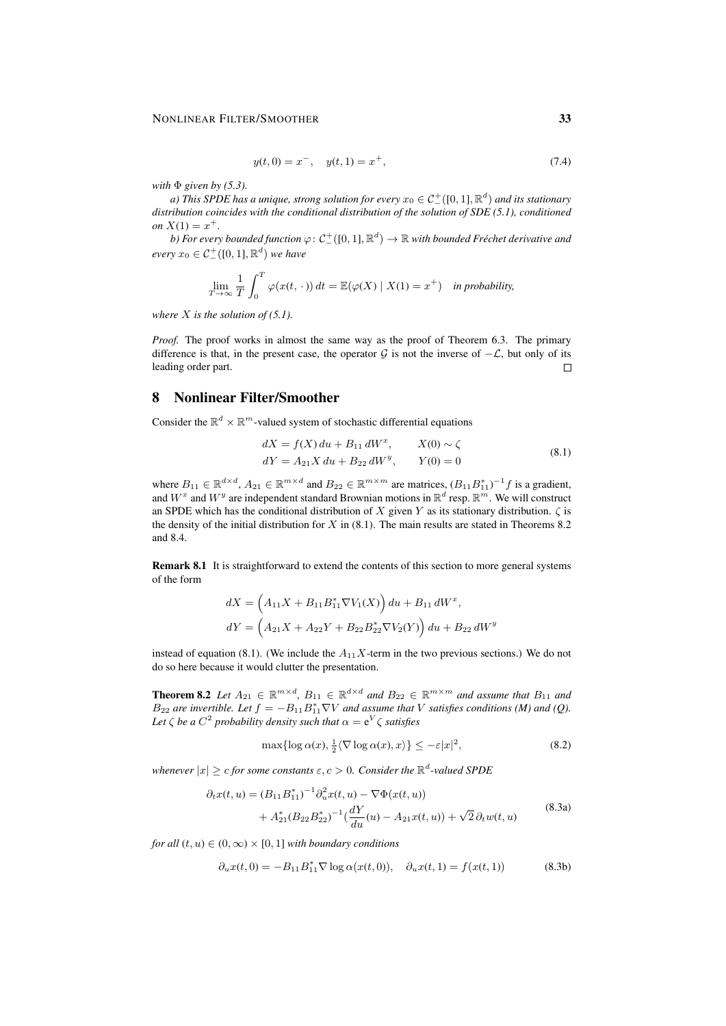#### NONLINEAR FILTER/SMOOTHER 33

$$
y(t,0) = x^{-}, \quad y(t,1) = x^{+}, \tag{7.4}
$$

*with* Φ *given by (5.3).*

a) This SPDE has a unique, strong solution for every  $x_0\in{\mathcal C}^+_-([0,1],{\mathbb R}^d)$  and its stationary *distribution coincides with the conditional distribution of the solution of SDE (5.1), conditioned on*  $X(1) = x^+$ .

b) For every bounded function  $\varphi\colon\mathcal C^+_-([0,1],{\mathbb R}^d)\to{\mathbb R}$  with bounded Fréchet derivative and  $every x_0 \in C^+_{-}([0,1], \mathbb{R}^d)$  *we have* 

$$
\lim_{T \to \infty} \frac{1}{T} \int_0^T \varphi(x(t, \cdot)) dt = \mathbb{E}(\varphi(X) \mid X(1) = x^+) \text{ in probability,}
$$

*where* X *is the solution of (5.1).*

*Proof.* The proof works in almost the same way as the proof of Theorem 6.3. The primary difference is that, in the present case, the operator  $G$  is not the inverse of  $-\mathcal{L}$ , but only of its leading order part.  $\Box$ 

# 8 Nonlinear Filter/Smoother

Consider the  $\mathbb{R}^d \times \mathbb{R}^m$ -valued system of stochastic differential equations

$$
dX = f(X) du + B_{11} dW^{x}, \t X(0) \sim \zeta
$$
  
\n
$$
dY = A_{21} X du + B_{22} dW^{y}, \t Y(0) = 0
$$
\n(8.1)

where  $B_{11} \in \mathbb{R}^{d \times d}$ ,  $A_{21} \in \mathbb{R}^{m \times d}$  and  $B_{22} \in \mathbb{R}^{m \times m}$  are matrices,  $(B_{11}B_{11}^*)^{-1}f$  is a gradient, and  $W^x$  and  $W^y$  are independent standard Brownian motions in  $\mathbb{R}^d$  resp.  $\mathbb{R}^m$ . We will construct an SPDE which has the conditional distribution of X given Y as its stationary distribution.  $\zeta$  is the density of the initial distribution for  $X$  in (8.1). The main results are stated in Theorems 8.2 and 8.4.

Remark 8.1 It is straightforward to extend the contents of this section to more general systems of the form

$$
dX = (A_{11}X + B_{11}B_{11}^*\nabla V_1(X)) du + B_{11} dW^x,
$$
  

$$
dY = (A_{21}X + A_{22}Y + B_{22}B_{22}^*\nabla V_2(Y)) du + B_{22} dW^y
$$

instead of equation (8.1). (We include the  $A_{11}X$ -term in the two previous sections.) We do not do so here because it would clutter the presentation.

**Theorem 8.2** Let  $A_{21} \in \mathbb{R}^{m \times d}$ ,  $B_{11} \in \mathbb{R}^{d \times d}$  and  $B_{22} \in \mathbb{R}^{m \times m}$  and assume that  $B_{11}$  and  $B_{22}$  are invertible. Let  $f = -B_{11}B_{11}^* \nabla V$  and assume that V satisfies conditions (M) and (Q). Let  $\zeta$  *be a*  $C^2$  probability density such that  $\alpha = e^V \zeta$  satisfies

$$
\max\{\log \alpha(x), \frac{1}{2}\langle \nabla \log \alpha(x), x \rangle\} \le -\varepsilon |x|^2,\tag{8.2}
$$

whenever  $|x| \ge c$  for some constants  $\varepsilon, c > 0$ . Consider the  $\mathbb{R}^d$ -valued SPDE

$$
\partial_t x(t, u) = (B_{11} B_{11}^*)^{-1} \partial_u^2 x(t, u) - \nabla \Phi(x(t, u)) \n+ A_{21}^* (B_{22} B_{22}^*)^{-1} (\frac{dY}{du}(u) - A_{21} x(t, u)) + \sqrt{2} \partial_t w(t, u)
$$
\n(8.3a)

*for all*  $(t, u) \in (0, \infty) \times [0, 1]$  *with boundary conditions* 

$$
\partial_u x(t,0) = -B_{11} B_{11}^* \nabla \log \alpha(x(t,0)), \quad \partial_u x(t,1) = f(x(t,1)) \tag{8.3b}
$$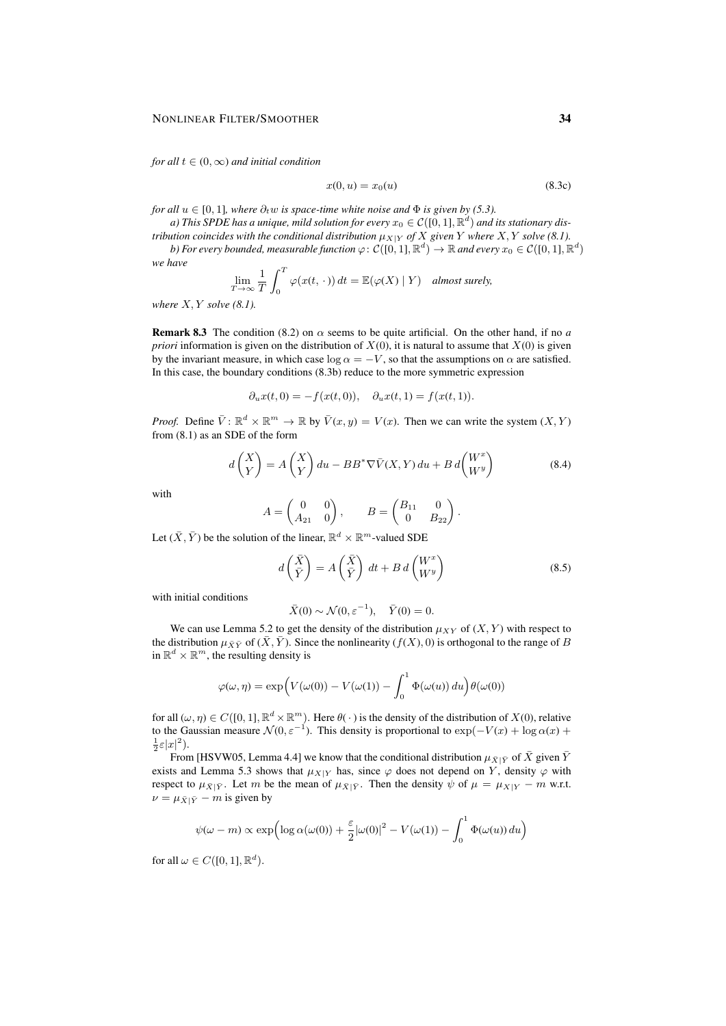*for all*  $t \in (0, \infty)$  *and initial condition* 

$$
x(0, u) = x_0(u) \tag{8.3c}
$$

*for all*  $u \in [0, 1]$ *, where*  $\partial_t w$  *is space-time white noise and*  $\Phi$  *is given by (5.3).* 

a) This SPDE has a unique, mild solution for every  $x_0\in \mathcal{C}([0,1],{\mathbb R}^d)$  and its stationary dis*tribution coincides with the conditional distribution*  $\mu_{X|Y}$  *of* X given Y where X, Y solve (8.1). b) For every bounded, measurable function  $\varphi\colon\mathcal C([0,1],\mathbb R^d)\to\mathbb R$  and every  $x_0\in\mathcal C([0,1],\mathbb R^d)$ 

$$
\lim_{T \to \infty} \frac{1}{T} \int_0^T \varphi(x(t, \cdot)) dt = \mathbb{E}(\varphi(X) | Y) \quad \text{almost surely,}
$$

*where* X, Y *solve (8.1).*

*we have*

**Remark 8.3** The condition (8.2) on  $\alpha$  seems to be quite artificial. On the other hand, if no *a priori* information is given on the distribution of  $X(0)$ , it is natural to assume that  $X(0)$  is given by the invariant measure, in which case  $\log \alpha = -V$ , so that the assumptions on  $\alpha$  are satisfied. In this case, the boundary conditions (8.3b) reduce to the more symmetric expression

$$
\partial_u x(t,0) = -f(x(t,0)), \quad \partial_u x(t,1) = f(x(t,1)).
$$

*Proof.* Define  $\overline{V}$ :  $\mathbb{R}^d \times \mathbb{R}^m \to \mathbb{R}$  by  $\overline{V}(x, y) = V(x)$ . Then we can write the system  $(X, Y)$ from (8.1) as an SDE of the form

$$
d\begin{pmatrix} X \\ Y \end{pmatrix} = A \begin{pmatrix} X \\ Y \end{pmatrix} du - BB^* \nabla \bar{V}(X, Y) du + B d \begin{pmatrix} W^x \\ W^y \end{pmatrix}
$$
(8.4)

with

$$
A = \begin{pmatrix} 0 & 0 \\ A_{21} & 0 \end{pmatrix}, \qquad B = \begin{pmatrix} B_{11} & 0 \\ 0 & B_{22} \end{pmatrix}.
$$

Let  $(\bar{X}, \bar{Y})$  be the solution of the linear,  $\mathbb{R}^d \times \mathbb{R}^m$ -valued SDE

$$
d\left(\frac{\bar{X}}{\bar{Y}}\right) = A\left(\frac{\bar{X}}{\bar{Y}}\right) dt + B d\left(\begin{matrix} W^x \\ W^y \end{matrix}\right)
$$
(8.5)

with initial conditions

$$
\bar{X}(0) \sim \mathcal{N}(0, \varepsilon^{-1}), \quad \bar{Y}(0) = 0.
$$

We can use Lemma 5.2 to get the density of the distribution  $\mu_{XY}$  of  $(X, Y)$  with respect to the distribution  $\mu_{\bar{X}\bar{Y}}$  of  $(\bar{X}, \bar{Y})$ . Since the nonlinearity  $(f(X), 0)$  is orthogonal to the range of B in  $\mathbb{R}^d \times \mathbb{R}^m$ , the resulting density is

$$
\varphi(\omega, \eta) = \exp\left(V(\omega(0)) - V(\omega(1)) - \int_0^1 \Phi(\omega(u)) du\right) \theta(\omega(0))
$$

for all  $(\omega, \eta) \in C([0, 1], \mathbb{R}^d \times \mathbb{R}^m)$ . Here  $\theta(\cdot)$  is the density of the distribution of  $X(0)$ , relative to the Gaussian measure  $\mathcal{N}(0, \varepsilon^{-1})$ . This density is proportional to  $\exp(-V(x) + \log \alpha(x) +$  $\frac{1}{2}\varepsilon|x|^2$ ).

From [HSVW05, Lemma 4.4] we know that the conditional distribution  $\mu_{\bar{X}|\bar{Y}}$  of  $\bar{X}$  given  $\bar{Y}$ exists and Lemma 5.3 shows that  $\mu_{X|Y}$  has, since  $\varphi$  does not depend on Y, density  $\varphi$  with respect to  $\mu_{\bar{X}|\bar{Y}}$ . Let m be the mean of  $\mu_{\bar{X}|\bar{Y}}$ . Then the density  $\psi$  of  $\mu = \mu_{X|Y} - m$  w.r.t.  $\nu = \mu_{\bar{X}|\bar{Y}} - m$  is given by

$$
\psi(\omega - m) \propto \exp\left(\log \alpha(\omega(0)) + \frac{\varepsilon}{2} |\omega(0)|^2 - V(\omega(1)) - \int_0^1 \Phi(\omega(u)) du\right)
$$

for all  $\omega \in C([0, 1], \mathbb{R}^d)$ .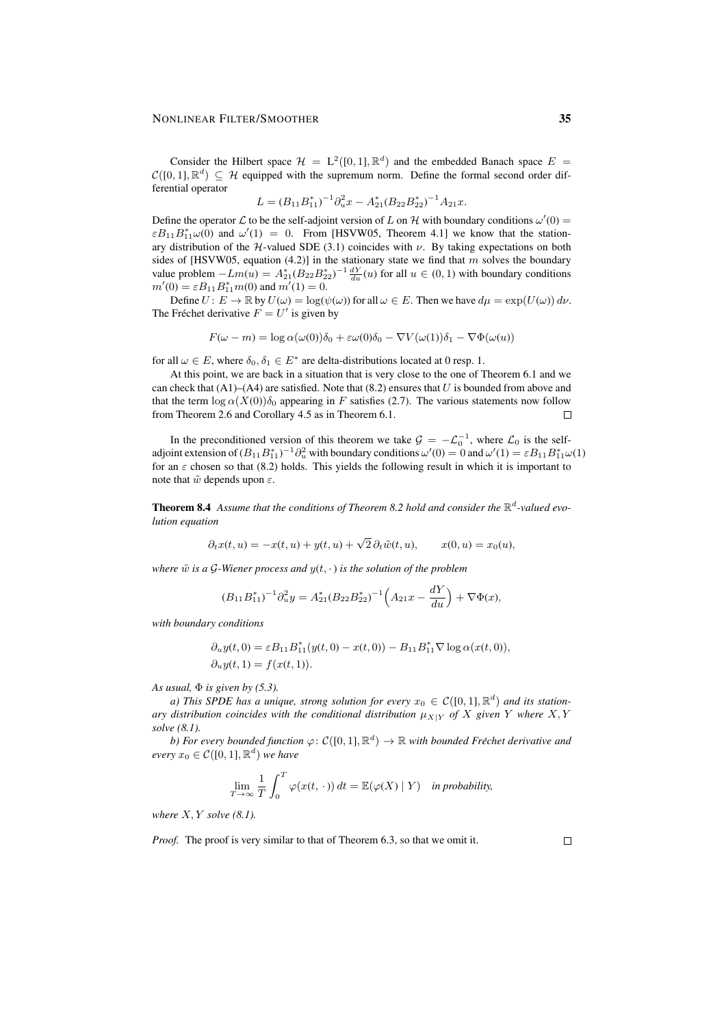#### NONLINEAR FILTER/SMOOTHER 35

Consider the Hilbert space  $\mathcal{H} = L^2([0,1], \mathbb{R}^d)$  and the embedded Banach space  $E =$  $\mathcal{C}([0,1], \mathbb{R}^d) \subseteq \mathcal{H}$  equipped with the supremum norm. Define the formal second order differential operator

$$
L = (B_{11}B_{11}^*)^{-1}\partial_u^2 x - A_{21}^*(B_{22}B_{22}^*)^{-1}A_{21}x.
$$

Define the operator  $\mathcal L$  to be the self-adjoint version of L on H with boundary conditions  $\omega'(0)$  $\epsilon B_{11}B_{11}^* \omega(0)$  and  $\omega'(1) = 0$ . From [HSVW05, Theorem 4.1] we know that the stationary distribution of the H-valued SDE (3.1) coincides with  $\nu$ . By taking expectations on both sides of [HSVW05, equation (4.2)] in the stationary state we find that m solves the boundary value problem  $-Lm(u) = A_{21}^*(B_{22}B_{22}^*)^{-1}\frac{dY}{du}(u)$  for all  $u \in (0,1)$  with boundary conditions  $m'(0) = \varepsilon B_{11} B_{11}^* m(0)$  and  $m'(1) = 0$ .

Define  $U: E \to \mathbb{R}$  by  $U(\omega) = \log(\psi(\omega))$  for all  $\omega \in E$ . Then we have  $d\mu = \exp(U(\omega)) d\nu$ . The Fréchet derivative  $F = U'$  is given by

 $F(\omega - m) = \log \alpha(\omega(0))\delta_0 + \varepsilon \omega(0)\delta_0 - \nabla V(\omega(1))\delta_1 - \nabla \Phi(\omega(u))$ 

for all  $\omega \in E$ , where  $\delta_0, \delta_1 \in E^*$  are delta-distributions located at 0 resp. 1.

At this point, we are back in a situation that is very close to the one of Theorem 6.1 and we can check that  $(A1)$ – $(A4)$  are satisfied. Note that  $(8.2)$  ensures that U is bounded from above and that the term  $\log \alpha(X(0))\delta_0$  appearing in F satisfies (2.7). The various statements now follow from Theorem 2.6 and Corollary 4.5 as in Theorem 6.1.  $\Box$ 

In the preconditioned version of this theorem we take  $G = -\mathcal{L}_0^{-1}$ , where  $\mathcal{L}_0$  is the selfadjoint extension of  $(B_{11}B_{11}^*)^{-1}\partial_u^2$  with boundary conditions  $\omega'(0) = 0$  and  $\omega'(1) = \varepsilon B_{11}B_{11}^*\omega(1)$ for an  $\varepsilon$  chosen so that (8.2) holds. This yields the following result in which it is important to note that  $\tilde{w}$  depends upon  $\varepsilon$ .

**Theorem 8.4** Assume that the conditions of Theorem 8.2 hold and consider the  $\mathbb{R}^d$ -valued evo*lution equation*

$$
\partial_t x(t, u) = -x(t, u) + y(t, u) + \sqrt{2} \partial_t \tilde{w}(t, u), \qquad x(0, u) = x_0(u),
$$

*where*  $\tilde{w}$  *is a* G-Wiener process and  $y(t, \cdot)$  *is the solution of the problem* 

$$
(B_{11}B_{11}^*)^{-1}\partial_u^2 y = A_{21}^*(B_{22}B_{22}^*)^{-1}\left(A_{21}x - \frac{dY}{du}\right) + \nabla\Phi(x),
$$

*with boundary conditions*

$$
\partial_u y(t,0) = \varepsilon B_{11} B_{11}^*(y(t,0) - x(t,0)) - B_{11} B_{11}^* \nabla \log \alpha(x(t,0)),
$$
  

$$
\partial_u y(t,1) = f(x(t,1)).
$$

*As usual,* Φ *is given by (5.3).*

*a*) This SPDE has a unique, strong solution for every  $x_0 \in C([0,1], \mathbb{R}^d)$  and its station*ary distribution coincides with the conditional distribution*  $\mu_{X|Y}$  *of* X given Y where X, Y *solve (8.1).*

b) For every bounded function  $\varphi \colon \mathcal{C}([0,1], \mathbb{R}^d) \to \mathbb{R}$  with bounded Fréchet derivative and  $every x_0 \in \mathcal{C}([0,1], \mathbb{R}^d)$  *we have* 

$$
\lim_{T \to \infty} \frac{1}{T} \int_0^T \varphi(x(t, \cdot)) dt = \mathbb{E}(\varphi(X) | Y) \text{ in probability,}
$$

*where* X, Y *solve (8.1).*

*Proof.* The proof is very similar to that of Theorem 6.3, so that we omit it.

 $\Box$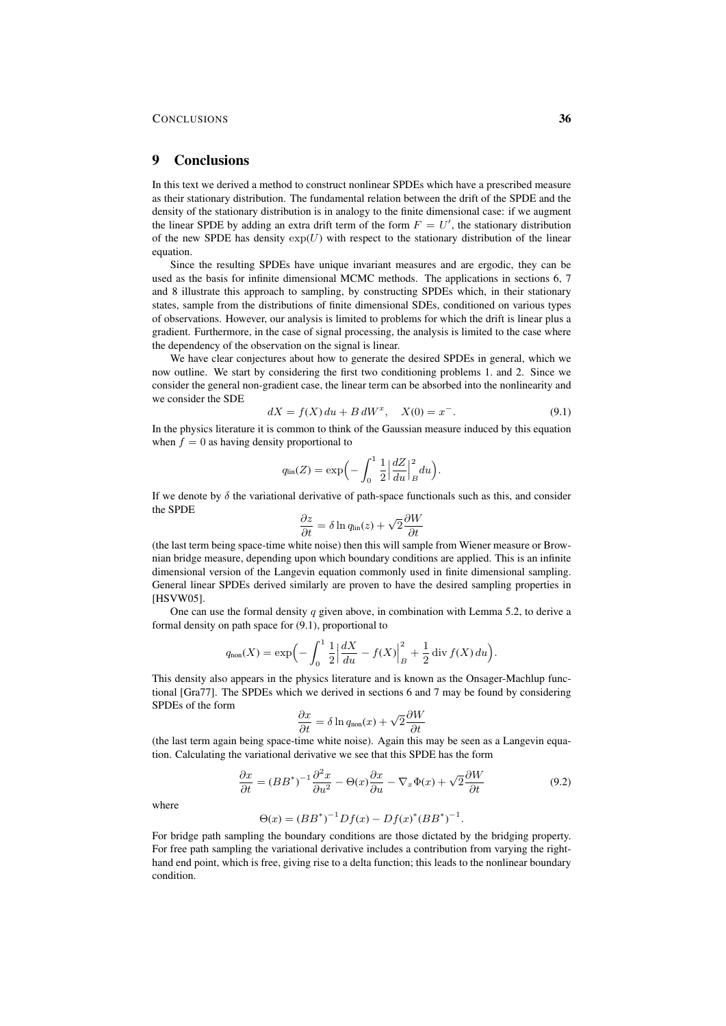### 9 Conclusions

In this text we derived a method to construct nonlinear SPDEs which have a prescribed measure as their stationary distribution. The fundamental relation between the drift of the SPDE and the density of the stationary distribution is in analogy to the finite dimensional case: if we augment the linear SPDE by adding an extra drift term of the form  $F = U'$ , the stationary distribution of the new SPDE has density  $exp(U)$  with respect to the stationary distribution of the linear equation.

Since the resulting SPDEs have unique invariant measures and are ergodic, they can be used as the basis for infinite dimensional MCMC methods. The applications in sections 6, 7 and 8 illustrate this approach to sampling, by constructing SPDEs which, in their stationary states, sample from the distributions of finite dimensional SDEs, conditioned on various types of observations. However, our analysis is limited to problems for which the drift is linear plus a gradient. Furthermore, in the case of signal processing, the analysis is limited to the case where the dependency of the observation on the signal is linear.

We have clear conjectures about how to generate the desired SPDEs in general, which we now outline. We start by considering the first two conditioning problems 1. and 2. Since we consider the general non-gradient case, the linear term can be absorbed into the nonlinearity and we consider the SDE

$$
dX = f(X) du + B dW^{x}, \quad X(0) = x^{-}.
$$
\n(9.1)

In the physics literature it is common to think of the Gaussian measure induced by this equation when  $f = 0$  as having density proportional to

$$
q_{\rm lin}(Z) = \exp\Big(-\int_0^1 \frac{1}{2} \Big|\frac{dZ}{du}\Big|_B^2 du\Big).
$$

If we denote by  $\delta$  the variational derivative of path-space functionals such as this, and consider the SPDE

$$
\frac{\partial z}{\partial t} = \delta \ln q_{\rm lin}(z) + \sqrt{2} \frac{\partial W}{\partial t}
$$

(the last term being space-time white noise) then this will sample from Wiener measure or Brownian bridge measure, depending upon which boundary conditions are applied. This is an infinite dimensional version of the Langevin equation commonly used in finite dimensional sampling. General linear SPDEs derived similarly are proven to have the desired sampling properties in [HSVW05].

One can use the formal density q given above, in combination with Lemma 5.2, to derive a formal density on path space for (9.1), proportional to

$$
q_{\text{non}}(X) = \exp\left(-\int_0^1 \frac{1}{2} \left| \frac{dX}{du} - f(X) \right|_B^2 + \frac{1}{2} \operatorname{div} f(X) \, du\right).
$$

This density also appears in the physics literature and is known as the Onsager-Machlup functional [Gra77]. The SPDEs which we derived in sections 6 and 7 may be found by considering SPDEs of the form

$$
\frac{\partial x}{\partial t} = \delta \ln q_{\text{non}}(x) + \sqrt{2} \frac{\partial W}{\partial t}
$$

(the last term again being space-time white noise). Again this may be seen as a Langevin equation. Calculating the variational derivative we see that this SPDE has the form

$$
\frac{\partial x}{\partial t} = (BB^*)^{-1} \frac{\partial^2 x}{\partial u^2} - \Theta(x) \frac{\partial x}{\partial u} - \nabla_x \Phi(x) + \sqrt{2} \frac{\partial W}{\partial t}
$$
(9.2)

where

$$
\Theta(x) = (BB^*)^{-1}Df(x) - Df(x)^*(BB^*)^{-1}.
$$

For bridge path sampling the boundary conditions are those dictated by the bridging property. For free path sampling the variational derivative includes a contribution from varying the righthand end point, which is free, giving rise to a delta function; this leads to the nonlinear boundary condition.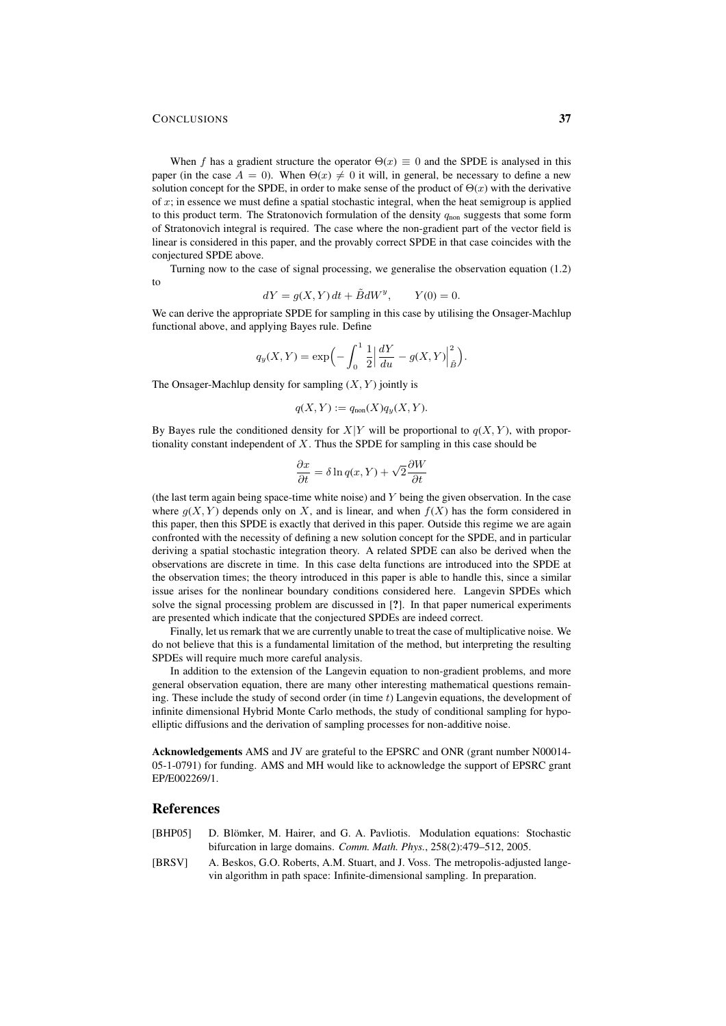When f has a gradient structure the operator  $\Theta(x) \equiv 0$  and the SPDE is analysed in this paper (in the case  $A = 0$ ). When  $\Theta(x) \neq 0$  it will, in general, be necessary to define a new solution concept for the SPDE, in order to make sense of the product of  $\Theta(x)$  with the derivative of  $x$ ; in essence we must define a spatial stochastic integral, when the heat semigroup is applied to this product term. The Stratonovich formulation of the density  $q_{\text{non}}$  suggests that some form of Stratonovich integral is required. The case where the non-gradient part of the vector field is linear is considered in this paper, and the provably correct SPDE in that case coincides with the conjectured SPDE above.

Turning now to the case of signal processing, we generalise the observation equation (1.2) to

$$
dY = g(X, Y) dt + \tilde{B} dW^{y}, \qquad Y(0) = 0.
$$

We can derive the appropriate SPDE for sampling in this case by utilising the Onsager-Machlup functional above, and applying Bayes rule. Define

$$
q_y(X,Y) = \exp\left(-\int_0^1 \frac{1}{2} \left| \frac{dY}{du} - g(X,Y) \right|_{\tilde{B}}^2\right).
$$

The Onsager-Machlup density for sampling  $(X, Y)$  jointly is

$$
q(X, Y) := q_{\text{non}}(X)q_y(X, Y).
$$

By Bayes rule the conditioned density for  $X|Y$  will be proportional to  $q(X, Y)$ , with proportionality constant independent of  $X$ . Thus the SPDE for sampling in this case should be

$$
\frac{\partial x}{\partial t} = \delta \ln q(x, Y) + \sqrt{2} \frac{\partial W}{\partial t}
$$

(the last term again being space-time white noise) and  $Y$  being the given observation. In the case where  $g(X, Y)$  depends only on X, and is linear, and when  $f(X)$  has the form considered in this paper, then this SPDE is exactly that derived in this paper. Outside this regime we are again confronted with the necessity of defining a new solution concept for the SPDE, and in particular deriving a spatial stochastic integration theory. A related SPDE can also be derived when the observations are discrete in time. In this case delta functions are introduced into the SPDE at the observation times; the theory introduced in this paper is able to handle this, since a similar issue arises for the nonlinear boundary conditions considered here. Langevin SPDEs which solve the signal processing problem are discussed in [?]. In that paper numerical experiments are presented which indicate that the conjectured SPDEs are indeed correct.

Finally, let us remark that we are currently unable to treat the case of multiplicative noise. We do not believe that this is a fundamental limitation of the method, but interpreting the resulting SPDEs will require much more careful analysis.

In addition to the extension of the Langevin equation to non-gradient problems, and more general observation equation, there are many other interesting mathematical questions remaining. These include the study of second order (in time  $t$ ) Langevin equations, the development of infinite dimensional Hybrid Monte Carlo methods, the study of conditional sampling for hypoelliptic diffusions and the derivation of sampling processes for non-additive noise.

Acknowledgements AMS and JV are grateful to the EPSRC and ONR (grant number N00014- 05-1-0791) for funding. AMS and MH would like to acknowledge the support of EPSRC grant EP/E002269/1.

# **References**

- [BHP05] D. Blömker, M. Hairer, and G. A. Pavliotis. Modulation equations: Stochastic bifurcation in large domains. *Comm. Math. Phys.*, 258(2):479–512, 2005.
- [BRSV] A. Beskos, G.O. Roberts, A.M. Stuart, and J. Voss. The metropolis-adjusted langevin algorithm in path space: Infinite-dimensional sampling. In preparation.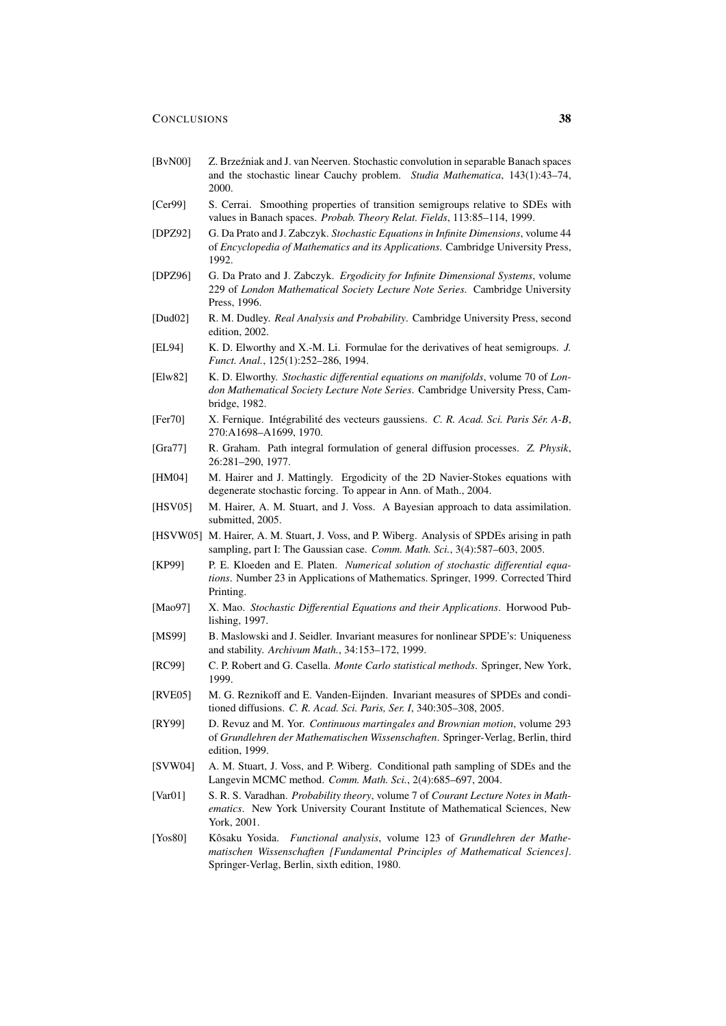- [BvN00] Z. Brzeźniak and J. van Neerven. Stochastic convolution in separable Banach spaces and the stochastic linear Cauchy problem. *Studia Mathematica*, 143(1):43–74, 2000.
- [Cer99] S. Cerrai. Smoothing properties of transition semigroups relative to SDEs with values in Banach spaces. *Probab. Theory Relat. Fields*, 113:85–114, 1999.
- [DPZ92] G. Da Prato and J. Zabczyk. *Stochastic Equations in Infinite Dimensions*, volume 44 of *Encyclopedia of Mathematics and its Applications*. Cambridge University Press, 1992.
- [DPZ96] G. Da Prato and J. Zabczyk. *Ergodicity for Infinite Dimensional Systems*, volume 229 of *London Mathematical Society Lecture Note Series*. Cambridge University Press, 1996.
- [Dud02] R. M. Dudley. *Real Analysis and Probability*. Cambridge University Press, second edition, 2002.
- [EL94] K. D. Elworthy and X.-M. Li. Formulae for the derivatives of heat semigroups. *J. Funct. Anal.*, 125(1):252–286, 1994.
- [Elw82] K. D. Elworthy. *Stochastic differential equations on manifolds*, volume 70 of *London Mathematical Society Lecture Note Series*. Cambridge University Press, Cambridge, 1982.
- [Fer70] X. Fernique. Intégrabilité des vecteurs gaussiens. C. R. Acad. Sci. Paris Sér. A-B, 270:A1698–A1699, 1970.
- [Gra77] R. Graham. Path integral formulation of general diffusion processes. *Z. Physik*, 26:281–290, 1977.
- [HM04] M. Hairer and J. Mattingly. Ergodicity of the 2D Navier-Stokes equations with degenerate stochastic forcing. To appear in Ann. of Math., 2004.
- [HSV05] M. Hairer, A. M. Stuart, and J. Voss. A Bayesian approach to data assimilation. submitted, 2005.
- [HSVW05] M. Hairer, A. M. Stuart, J. Voss, and P. Wiberg. Analysis of SPDEs arising in path sampling, part I: The Gaussian case. *Comm. Math. Sci.*, 3(4):587–603, 2005.
- [KP99] P. E. Kloeden and E. Platen. *Numerical solution of stochastic differential equations*. Number 23 in Applications of Mathematics. Springer, 1999. Corrected Third Printing.
- [Mao97] X. Mao. *Stochastic Differential Equations and their Applications*. Horwood Publishing, 1997.
- [MS99] B. Maslowski and J. Seidler. Invariant measures for nonlinear SPDE's: Uniqueness and stability. *Archivum Math.*, 34:153–172, 1999.
- [RC99] C. P. Robert and G. Casella. *Monte Carlo statistical methods*. Springer, New York, 1999.
- [RVE05] M. G. Reznikoff and E. Vanden-Eijnden. Invariant measures of SPDEs and conditioned diffusions. *C. R. Acad. Sci. Paris, Ser. I*, 340:305–308, 2005.
- [RY99] D. Revuz and M. Yor. *Continuous martingales and Brownian motion*, volume 293 of *Grundlehren der Mathematischen Wissenschaften*. Springer-Verlag, Berlin, third edition, 1999.
- [SVW04] A. M. Stuart, J. Voss, and P. Wiberg. Conditional path sampling of SDEs and the Langevin MCMC method. *Comm. Math. Sci.*, 2(4):685–697, 2004.
- [Var01] S. R. S. Varadhan. *Probability theory*, volume 7 of *Courant Lecture Notes in Mathematics*. New York University Courant Institute of Mathematical Sciences, New York, 2001.
- [Yos80] Kôsaku Yosida. Functional analysis, volume 123 of *Grundlehren der Mathematischen Wissenschaften [Fundamental Principles of Mathematical Sciences]*. Springer-Verlag, Berlin, sixth edition, 1980.